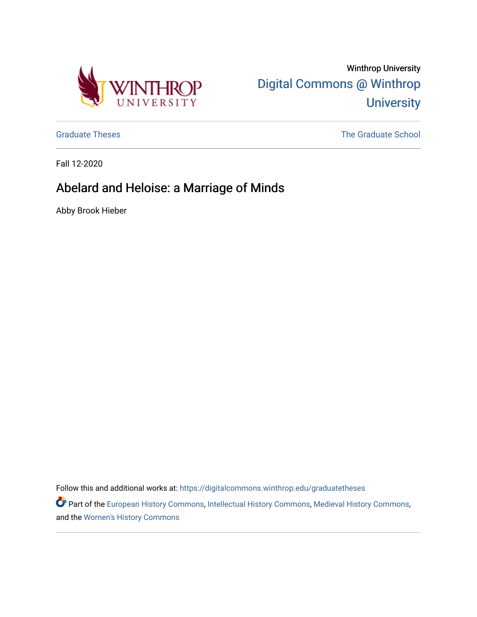

Winthrop University [Digital Commons @ Winthrop](https://digitalcommons.winthrop.edu/)  **University** 

[Graduate Theses](https://digitalcommons.winthrop.edu/graduatetheses) **The Graduate School** Craduate School Craduate School Craduate School Craduate School Craduate School

Fall 12-2020

# Abelard and Heloise: a Marriage of Minds

Abby Brook Hieber

Follow this and additional works at: [https://digitalcommons.winthrop.edu/graduatetheses](https://digitalcommons.winthrop.edu/graduatetheses?utm_source=digitalcommons.winthrop.edu%2Fgraduatetheses%2F125&utm_medium=PDF&utm_campaign=PDFCoverPages)

Part of the [European History Commons](http://network.bepress.com/hgg/discipline/492?utm_source=digitalcommons.winthrop.edu%2Fgraduatetheses%2F125&utm_medium=PDF&utm_campaign=PDFCoverPages), [Intellectual History Commons](http://network.bepress.com/hgg/discipline/501?utm_source=digitalcommons.winthrop.edu%2Fgraduatetheses%2F125&utm_medium=PDF&utm_campaign=PDFCoverPages), [Medieval History Commons](http://network.bepress.com/hgg/discipline/503?utm_source=digitalcommons.winthrop.edu%2Fgraduatetheses%2F125&utm_medium=PDF&utm_campaign=PDFCoverPages), and the [Women's History Commons](http://network.bepress.com/hgg/discipline/507?utm_source=digitalcommons.winthrop.edu%2Fgraduatetheses%2F125&utm_medium=PDF&utm_campaign=PDFCoverPages)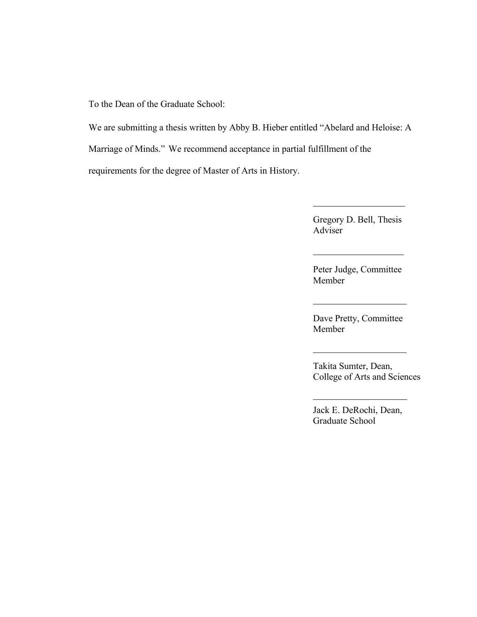To the Dean of the Graduate School:

We are submitting a thesis written by Abby B. Hieber entitled "Abelard and Heloise: A Marriage of Minds." We recommend acceptance in partial fulfillment of the requirements for the degree of Master of Arts in History.

> Gregory D. Bell, Thesis Adviser

> Peter Judge, Committee Member

Dave Pretty, Committee Member

Takita Sumter, Dean, College of Arts and Sciences

Jack E. DeRochi, Dean, Graduate School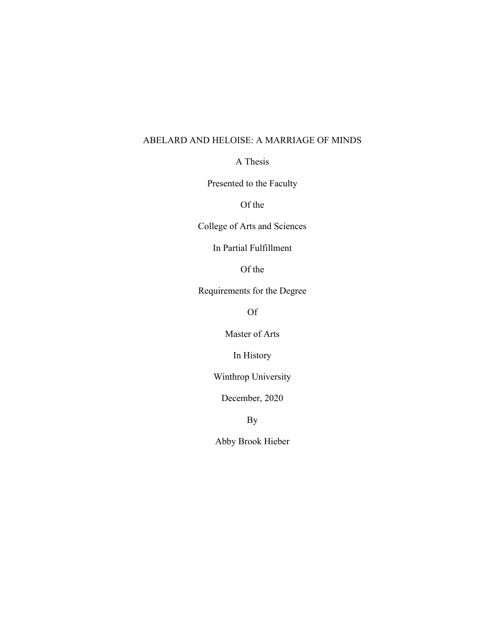# ABELARD AND HELOISE: A MARRIAGE OF MINDS

A Thesis

Presented to the Faculty

Of the

College of Arts and Sciences

In Partial Fulfillment

Of the

Requirements for the Degree

Of

Master of Arts

In History

Winthrop University

December, 2020

By

Abby Brook Hieber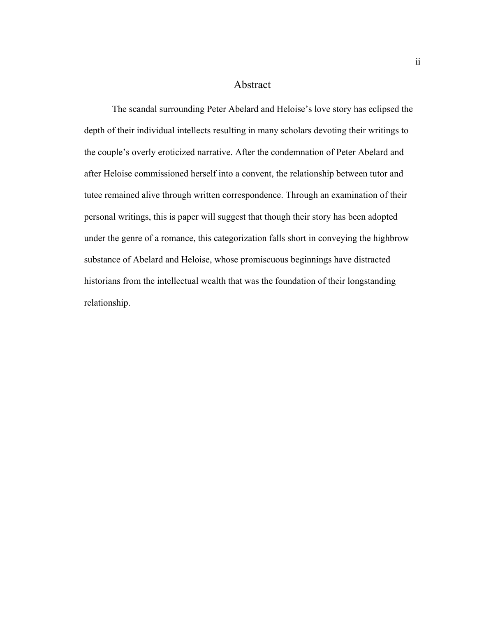#### Abstract

The scandal surrounding Peter Abelard and Heloise's love story has eclipsed the depth of their individual intellects resulting in many scholars devoting their writings to the couple's overly eroticized narrative. After the condemnation of Peter Abelard and after Heloise commissioned herself into a convent, the relationship between tutor and tutee remained alive through written correspondence. Through an examination of their personal writings, this is paper will suggest that though their story has been adopted under the genre of a romance, this categorization falls short in conveying the highbrow substance of Abelard and Heloise, whose promiscuous beginnings have distracted historians from the intellectual wealth that was the foundation of their longstanding relationship.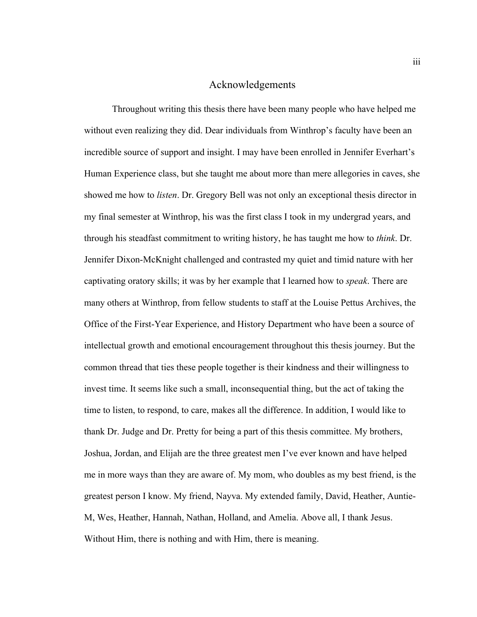#### Acknowledgements

Throughout writing this thesis there have been many people who have helped me without even realizing they did. Dear individuals from Winthrop's faculty have been an incredible source of support and insight. I may have been enrolled in Jennifer Everhart's Human Experience class, but she taught me about more than mere allegories in caves, she showed me how to *listen*. Dr. Gregory Bell was not only an exceptional thesis director in my final semester at Winthrop, his was the first class I took in my undergrad years, and through his steadfast commitment to writing history, he has taught me how to *think*. Dr. Jennifer Dixon-McKnight challenged and contrasted my quiet and timid nature with her captivating oratory skills; it was by her example that I learned how to *speak*. There are many others at Winthrop, from fellow students to staff at the Louise Pettus Archives, the Office of the First-Year Experience, and History Department who have been a source of intellectual growth and emotional encouragement throughout this thesis journey. But the common thread that ties these people together is their kindness and their willingness to invest time. It seems like such a small, inconsequential thing, but the act of taking the time to listen, to respond, to care, makes all the difference. In addition, I would like to thank Dr. Judge and Dr. Pretty for being a part of this thesis committee. My brothers, Joshua, Jordan, and Elijah are the three greatest men I've ever known and have helped me in more ways than they are aware of. My mom, who doubles as my best friend, is the greatest person I know. My friend, Nayva. My extended family, David, Heather, Auntie-M, Wes, Heather, Hannah, Nathan, Holland, and Amelia. Above all, I thank Jesus. Without Him, there is nothing and with Him, there is meaning.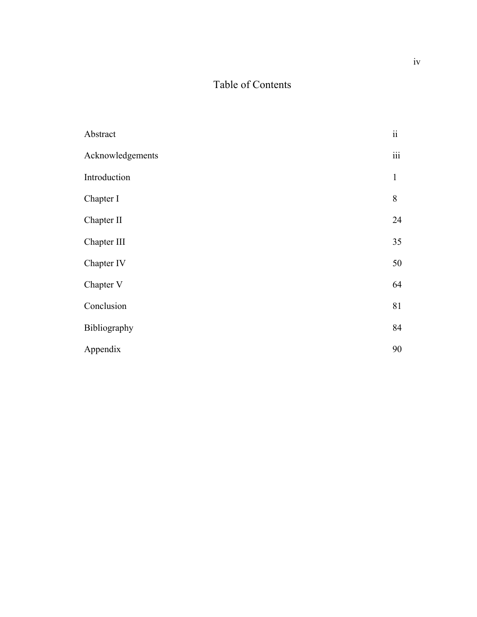# Table of Contents

| Abstract         | $\rm ii$                |
|------------------|-------------------------|
| Acknowledgements | $\overline{\text{iii}}$ |
| Introduction     | $\mathbf{1}$            |
| Chapter I        | 8                       |
| Chapter II       | 24                      |
| Chapter III      | 35                      |
| Chapter IV       | 50                      |
| Chapter V        | 64                      |
| Conclusion       | 81                      |
| Bibliography     | 84                      |
| Appendix         | 90                      |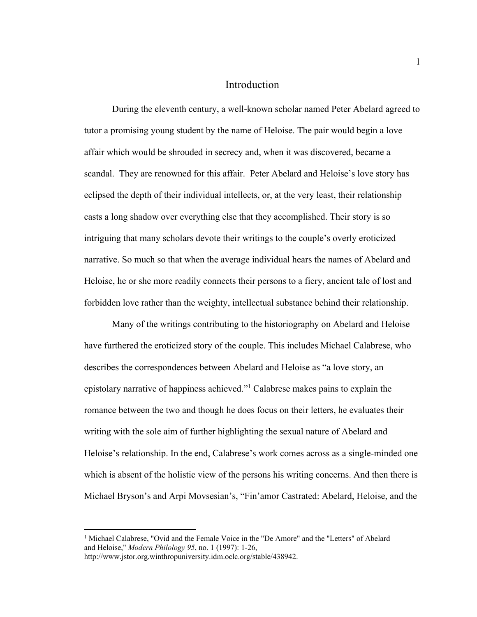#### Introduction

During the eleventh century, a well-known scholar named Peter Abelard agreed to tutor a promising young student by the name of Heloise. The pair would begin a love affair which would be shrouded in secrecy and, when it was discovered, became a scandal. They are renowned for this affair. Peter Abelard and Heloise's love story has eclipsed the depth of their individual intellects, or, at the very least, their relationship casts a long shadow over everything else that they accomplished. Their story is so intriguing that many scholars devote their writings to the couple's overly eroticized narrative. So much so that when the average individual hears the names of Abelard and Heloise, he or she more readily connects their persons to a fiery, ancient tale of lost and forbidden love rather than the weighty, intellectual substance behind their relationship.

Many of the writings contributing to the historiography on Abelard and Heloise have furthered the eroticized story of the couple. This includes Michael Calabrese, who describes the correspondences between Abelard and Heloise as "a love story, an epistolary narrative of happiness achieved."1 Calabrese makes pains to explain the romance between the two and though he does focus on their letters, he evaluates their writing with the sole aim of further highlighting the sexual nature of Abelard and Heloise's relationship. In the end, Calabrese's work comes across as a single-minded one which is absent of the holistic view of the persons his writing concerns. And then there is Michael Bryson's and Arpi Movsesian's, "Fin'amor Castrated: Abelard, Heloise, and the

<sup>&</sup>lt;sup>1</sup> Michael Calabrese, "Ovid and the Female Voice in the "De Amore" and the "Letters" of Abelard and Heloise," *Modern Philology 95*, no. 1 (1997): 1-26,

http://www.jstor.org.winthropuniversity.idm.oclc.org/stable/438942.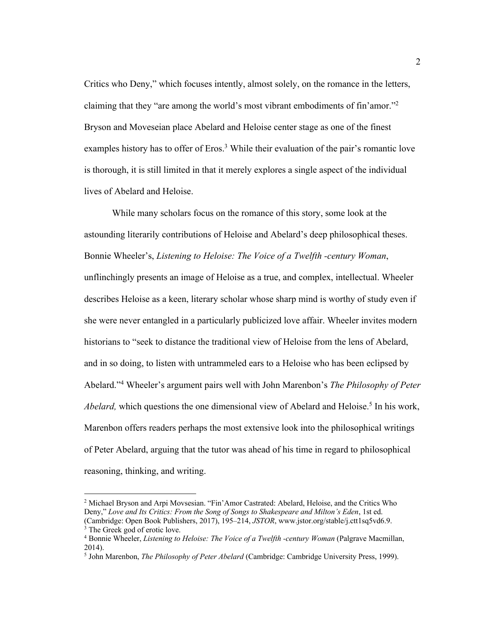Critics who Deny," which focuses intently, almost solely, on the romance in the letters, claiming that they "are among the world's most vibrant embodiments of fin'amor."2 Bryson and Moveseian place Abelard and Heloise center stage as one of the finest examples history has to offer of Eros.<sup>3</sup> While their evaluation of the pair's romantic love is thorough, it is still limited in that it merely explores a single aspect of the individual lives of Abelard and Heloise.

While many scholars focus on the romance of this story, some look at the astounding literarily contributions of Heloise and Abelard's deep philosophical theses. Bonnie Wheeler's, *Listening to Heloise: The Voice of a Twelfth -century Woman*, unflinchingly presents an image of Heloise as a true, and complex, intellectual. Wheeler describes Heloise as a keen, literary scholar whose sharp mind is worthy of study even if she were never entangled in a particularly publicized love affair. Wheeler invites modern historians to "seek to distance the traditional view of Heloise from the lens of Abelard, and in so doing, to listen with untrammeled ears to a Heloise who has been eclipsed by Abelard."4 Wheeler's argument pairs well with John Marenbon's *The Philosophy of Peter*  Abelard, which questions the one dimensional view of Abelard and Heloise.<sup>5</sup> In his work, Marenbon offers readers perhaps the most extensive look into the philosophical writings of Peter Abelard, arguing that the tutor was ahead of his time in regard to philosophical reasoning, thinking, and writing.

<sup>2</sup> Michael Bryson and Arpi Movsesian. "Fin'Amor Castrated: Abelard, Heloise, and the Critics Who Deny," *Love and Its Critics: From the Song of Songs to Shakespeare and Milton's Eden*, 1st ed. (Cambridge: Open Book Publishers, 2017), 195–214, *JSTOR*, www.jstor.org/stable/j.ctt1sq5vd6.9. <sup>3</sup> The Greek god of erotic love.

<sup>4</sup> Bonnie Wheeler, *Listening to Heloise: The Voice of a Twelfth -century Woman* (Palgrave Macmillan, 2014).

<sup>5</sup> John Marenbon, *The Philosophy of Peter Abelard* (Cambridge: Cambridge University Press, 1999).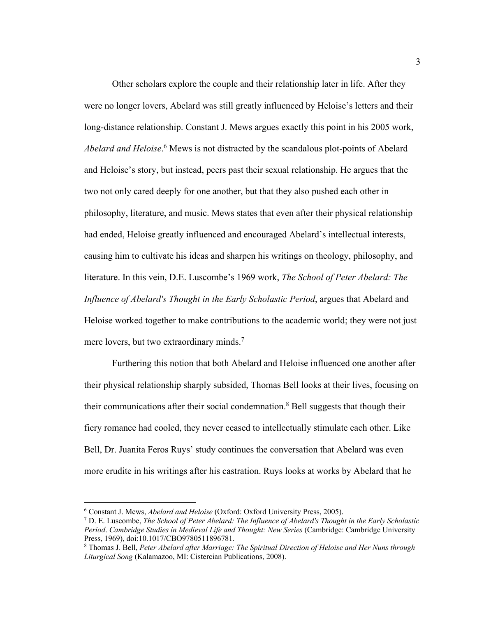Other scholars explore the couple and their relationship later in life. After they were no longer lovers, Abelard was still greatly influenced by Heloise's letters and their long-distance relationship. Constant J. Mews argues exactly this point in his 2005 work, *Abelard and Heloise*. <sup>6</sup> Mews is not distracted by the scandalous plot-points of Abelard and Heloise's story, but instead, peers past their sexual relationship. He argues that the two not only cared deeply for one another, but that they also pushed each other in philosophy, literature, and music. Mews states that even after their physical relationship had ended, Heloise greatly influenced and encouraged Abelard's intellectual interests, causing him to cultivate his ideas and sharpen his writings on theology, philosophy, and literature. In this vein, D.E. Luscombe's 1969 work, *The School of Peter Abelard: The Influence of Abelard's Thought in the Early Scholastic Period*, argues that Abelard and Heloise worked together to make contributions to the academic world; they were not just mere lovers, but two extraordinary minds.<sup>7</sup>

Furthering this notion that both Abelard and Heloise influenced one another after their physical relationship sharply subsided, Thomas Bell looks at their lives, focusing on their communications after their social condemnation.<sup>8</sup> Bell suggests that though their fiery romance had cooled, they never ceased to intellectually stimulate each other. Like Bell, Dr. Juanita Feros Ruys' study continues the conversation that Abelard was even more erudite in his writings after his castration. Ruys looks at works by Abelard that he

<sup>6</sup> Constant J. Mews, *Abelard and Heloise* (Oxford: Oxford University Press, 2005).

<sup>7</sup> D. E. Luscombe, *The School of Peter Abelard: The Influence of Abelard's Thought in the Early Scholastic Period*. *Cambridge Studies in Medieval Life and Thought: New Series* (Cambridge: Cambridge University Press, 1969), doi:10.1017/CBO9780511896781.

<sup>8</sup> Thomas J. Bell, *Peter Abelard after Marriage: The Spiritual Direction of Heloise and Her Nuns through Liturgical Song* (Kalamazoo, MI: Cistercian Publications, 2008).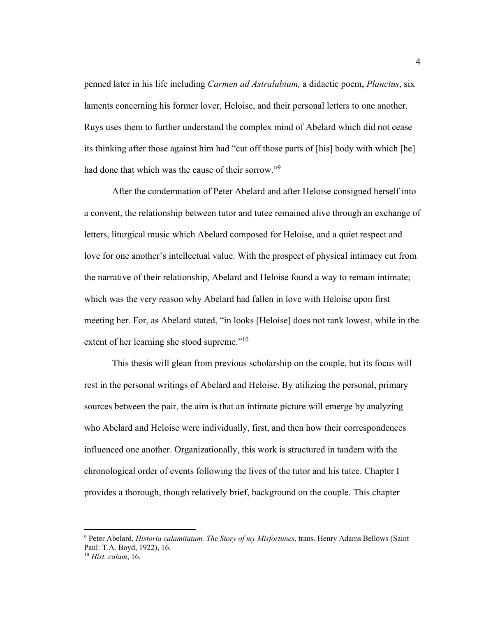penned later in his life including *Carmen ad Astralabium,* a didactic poem, *Planctus*, six laments concerning his former lover, Heloise, and their personal letters to one another. Ruys uses them to further understand the complex mind of Abelard which did not cease its thinking after those against him had "cut off those parts of [his] body with which [he] had done that which was the cause of their sorrow."9

After the condemnation of Peter Abelard and after Heloise consigned herself into a convent, the relationship between tutor and tutee remained alive through an exchange of letters, liturgical music which Abelard composed for Heloise, and a quiet respect and love for one another's intellectual value. With the prospect of physical intimacy cut from the narrative of their relationship, Abelard and Heloise found a way to remain intimate; which was the very reason why Abelard had fallen in love with Heloise upon first meeting her. For, as Abelard stated, "in looks [Heloise] does not rank lowest, while in the extent of her learning she stood supreme."<sup>10</sup>

This thesis will glean from previous scholarship on the couple, but its focus will rest in the personal writings of Abelard and Heloise. By utilizing the personal, primary sources between the pair, the aim is that an intimate picture will emerge by analyzing who Abelard and Heloise were individually, first, and then how their correspondences influenced one another. Organizationally, this work is structured in tandem with the chronological order of events following the lives of the tutor and his tutee. Chapter I provides a thorough, though relatively brief, background on the couple. This chapter

<sup>9</sup> Peter Abelard, *Historia calamitatum. The Story of my Misfortunes*, trans. Henry Adams Bellows (Saint Paul: T.A. Boyd, 1922), 16. 10 *Hist. calam*, 16.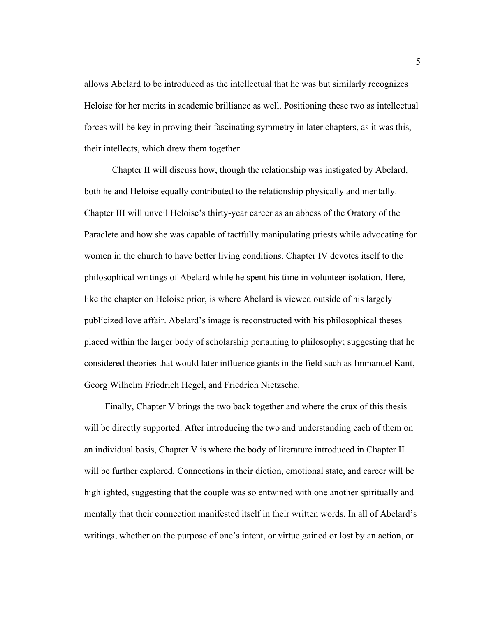allows Abelard to be introduced as the intellectual that he was but similarly recognizes Heloise for her merits in academic brilliance as well. Positioning these two as intellectual forces will be key in proving their fascinating symmetry in later chapters, as it was this, their intellects, which drew them together.

Chapter II will discuss how, though the relationship was instigated by Abelard, both he and Heloise equally contributed to the relationship physically and mentally. Chapter III will unveil Heloise's thirty-year career as an abbess of the Oratory of the Paraclete and how she was capable of tactfully manipulating priests while advocating for women in the church to have better living conditions. Chapter IV devotes itself to the philosophical writings of Abelard while he spent his time in volunteer isolation. Here, like the chapter on Heloise prior, is where Abelard is viewed outside of his largely publicized love affair. Abelard's image is reconstructed with his philosophical theses placed within the larger body of scholarship pertaining to philosophy; suggesting that he considered theories that would later influence giants in the field such as Immanuel Kant, Georg Wilhelm Friedrich Hegel, and Friedrich Nietzsche.

 Finally, Chapter V brings the two back together and where the crux of this thesis will be directly supported. After introducing the two and understanding each of them on an individual basis, Chapter V is where the body of literature introduced in Chapter II will be further explored. Connections in their diction, emotional state, and career will be highlighted, suggesting that the couple was so entwined with one another spiritually and mentally that their connection manifested itself in their written words. In all of Abelard's writings, whether on the purpose of one's intent, or virtue gained or lost by an action, or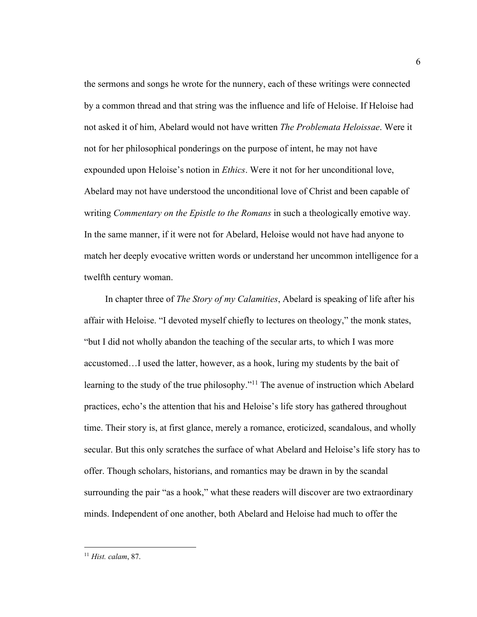the sermons and songs he wrote for the nunnery, each of these writings were connected by a common thread and that string was the influence and life of Heloise. If Heloise had not asked it of him, Abelard would not have written *The Problemata Heloissae*. Were it not for her philosophical ponderings on the purpose of intent, he may not have expounded upon Heloise's notion in *Ethics*. Were it not for her unconditional love, Abelard may not have understood the unconditional love of Christ and been capable of writing *Commentary on the Epistle to the Romans* in such a theologically emotive way. In the same manner, if it were not for Abelard, Heloise would not have had anyone to match her deeply evocative written words or understand her uncommon intelligence for a twelfth century woman.

 In chapter three of *The Story of my Calamities*, Abelard is speaking of life after his affair with Heloise. "I devoted myself chiefly to lectures on theology," the monk states, "but I did not wholly abandon the teaching of the secular arts, to which I was more accustomed…I used the latter, however, as a hook, luring my students by the bait of learning to the study of the true philosophy."<sup>11</sup> The avenue of instruction which Abelard practices, echo's the attention that his and Heloise's life story has gathered throughout time. Their story is, at first glance, merely a romance, eroticized, scandalous, and wholly secular. But this only scratches the surface of what Abelard and Heloise's life story has to offer. Though scholars, historians, and romantics may be drawn in by the scandal surrounding the pair "as a hook," what these readers will discover are two extraordinary minds. Independent of one another, both Abelard and Heloise had much to offer the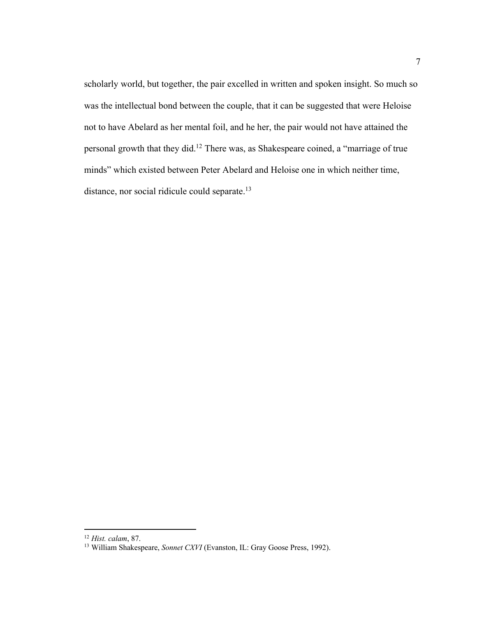scholarly world, but together, the pair excelled in written and spoken insight. So much so was the intellectual bond between the couple, that it can be suggested that were Heloise not to have Abelard as her mental foil, and he her, the pair would not have attained the personal growth that they did. <sup>12</sup> There was, as Shakespeare coined, a "marriage of true minds" which existed between Peter Abelard and Heloise one in which neither time, distance, nor social ridicule could separate.<sup>13</sup>

<sup>&</sup>lt;sup>12</sup> *Hist. calam*, 87.<br><sup>13</sup> William Shakespeare, *Sonnet CXVI* (Evanston, IL: Gray Goose Press, 1992).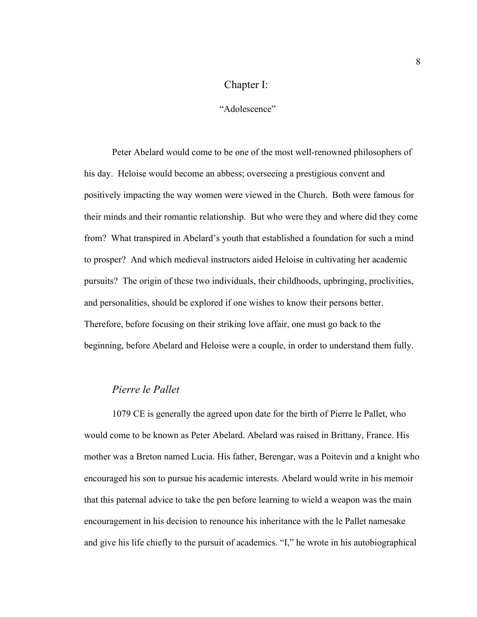# Chapter I:

#### "Adolescence"

Peter Abelard would come to be one of the most well-renowned philosophers of his day. Heloise would become an abbess; overseeing a prestigious convent and positively impacting the way women were viewed in the Church. Both were famous for their minds and their romantic relationship. But who were they and where did they come from? What transpired in Abelard's youth that established a foundation for such a mind to prosper? And which medieval instructors aided Heloise in cultivating her academic pursuits? The origin of these two individuals, their childhoods, upbringing, proclivities, and personalities, should be explored if one wishes to know their persons better. Therefore, before focusing on their striking love affair, one must go back to the beginning, before Abelard and Heloise were a couple, in order to understand them fully.

### *Pierre le Pallet*

1079 CE is generally the agreed upon date for the birth of Pierre le Pallet, who would come to be known as Peter Abelard. Abelard was raised in Brittany, France. His mother was a Breton named Lucia. His father, Berengar, was a Poitevin and a knight who encouraged his son to pursue his academic interests. Abelard would write in his memoir that this paternal advice to take the pen before learning to wield a weapon was the main encouragement in his decision to renounce his inheritance with the le Pallet namesake and give his life chiefly to the pursuit of academics. "I," he wrote in his autobiographical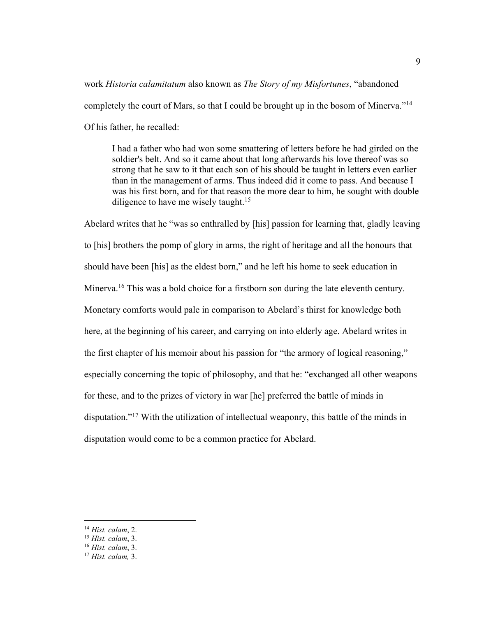work *Historia calamitatum* also known as *The Story of my Misfortunes*, "abandoned completely the court of Mars, so that I could be brought up in the bosom of Minerva."<sup>14</sup> Of his father, he recalled:

I had a father who had won some smattering of letters before he had girded on the soldier's belt. And so it came about that long afterwards his love thereof was so strong that he saw to it that each son of his should be taught in letters even earlier than in the management of arms. Thus indeed did it come to pass. And because I was his first born, and for that reason the more dear to him, he sought with double diligence to have me wisely taught.<sup>15</sup>

Abelard writes that he "was so enthralled by [his] passion for learning that, gladly leaving to [his] brothers the pomp of glory in arms, the right of heritage and all the honours that should have been [his] as the eldest born," and he left his home to seek education in Minerva.<sup>16</sup> This was a bold choice for a firstborn son during the late eleventh century. Monetary comforts would pale in comparison to Abelard's thirst for knowledge both here, at the beginning of his career, and carrying on into elderly age. Abelard writes in the first chapter of his memoir about his passion for "the armory of logical reasoning," especially concerning the topic of philosophy, and that he: "exchanged all other weapons for these, and to the prizes of victory in war [he] preferred the battle of minds in disputation."17 With the utilization of intellectual weaponry, this battle of the minds in disputation would come to be a common practice for Abelard.

<sup>14</sup> *Hist. calam*, 2.

<sup>15</sup> *Hist. calam*, 3.

<sup>16</sup> *Hist. calam*, 3. 17 *Hist. calam,* 3.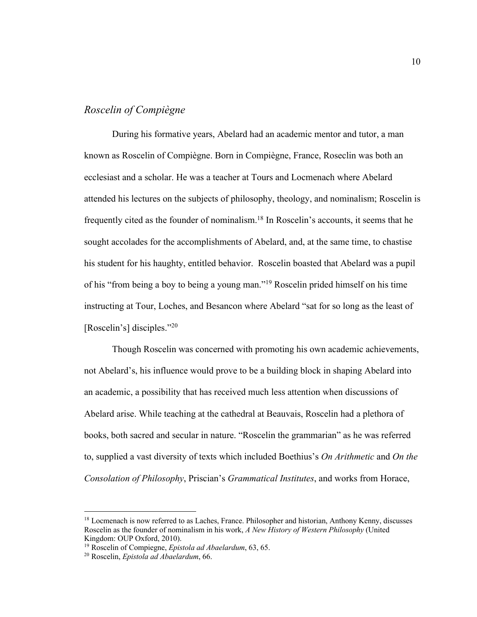### *Roscelin of Compiègne*

During his formative years, Abelard had an academic mentor and tutor, a man known as Roscelin of Compiègne. Born in Compiègne, France, Roseclin was both an ecclesiast and a scholar. He was a teacher at Tours and Locmenach where Abelard attended his lectures on the subjects of philosophy, theology, and nominalism; Roscelin is frequently cited as the founder of nominalism.18 In Roscelin's accounts, it seems that he sought accolades for the accomplishments of Abelard, and, at the same time, to chastise his student for his haughty, entitled behavior. Roscelin boasted that Abelard was a pupil of his "from being a boy to being a young man."19 Roscelin prided himself on his time instructing at Tour, Loches, and Besancon where Abelard "sat for so long as the least of [Roscelin's] disciples."<sup>20</sup>

Though Roscelin was concerned with promoting his own academic achievements, not Abelard's, his influence would prove to be a building block in shaping Abelard into an academic, a possibility that has received much less attention when discussions of Abelard arise. While teaching at the cathedral at Beauvais, Roscelin had a plethora of books, both sacred and secular in nature. "Roscelin the grammarian" as he was referred to, supplied a vast diversity of texts which included Boethius's *On Arithmetic* and *On the Consolation of Philosophy*, Priscian's *Grammatical Institutes*, and works from Horace,

<sup>&</sup>lt;sup>18</sup> Locmenach is now referred to as Laches, France. Philosopher and historian, Anthony Kenny, discusses Roscelin as the founder of nominalism in his work, *A New History of Western Philosophy* (United Kingdom: OUP Oxford, 2010).

<sup>19</sup> Roscelin of Compiegne, *Epistola ad Abaelardum*, 63, 65. 20 Roscelin, *Epistola ad Abaelardum*, 66.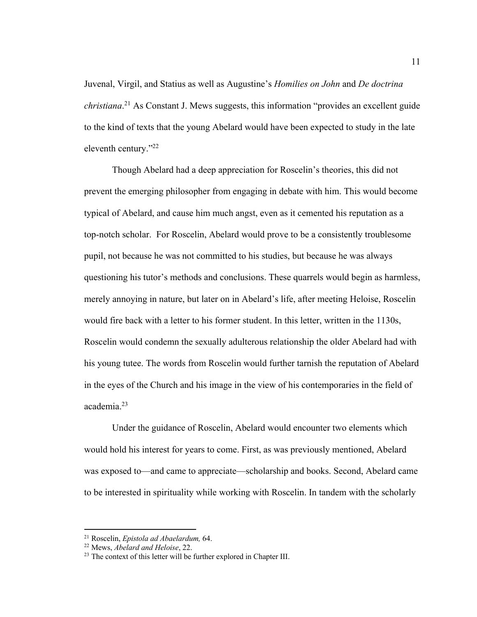Juvenal, Virgil, and Statius as well as Augustine's *Homilies on John* and *De doctrina christiana*. <sup>21</sup> As Constant J. Mews suggests, this information "provides an excellent guide to the kind of texts that the young Abelard would have been expected to study in the late eleventh century."22

Though Abelard had a deep appreciation for Roscelin's theories, this did not prevent the emerging philosopher from engaging in debate with him. This would become typical of Abelard, and cause him much angst, even as it cemented his reputation as a top-notch scholar. For Roscelin, Abelard would prove to be a consistently troublesome pupil, not because he was not committed to his studies, but because he was always questioning his tutor's methods and conclusions. These quarrels would begin as harmless, merely annoying in nature, but later on in Abelard's life, after meeting Heloise, Roscelin would fire back with a letter to his former student. In this letter, written in the 1130s, Roscelin would condemn the sexually adulterous relationship the older Abelard had with his young tutee. The words from Roscelin would further tarnish the reputation of Abelard in the eyes of the Church and his image in the view of his contemporaries in the field of academia.23

Under the guidance of Roscelin, Abelard would encounter two elements which would hold his interest for years to come. First, as was previously mentioned, Abelard was exposed to—and came to appreciate—scholarship and books. Second, Abelard came to be interested in spirituality while working with Roscelin. In tandem with the scholarly

<sup>&</sup>lt;sup>21</sup> Roscelin, *Epistola ad Abaelardum*, 64.<br><sup>22</sup> Mews, *Abelard and Heloise*, 22.<br><sup>23</sup> The context of this letter will be further explored in Chapter III.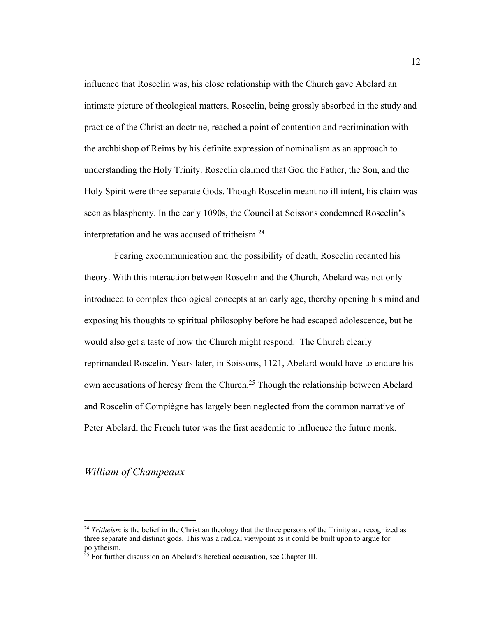influence that Roscelin was, his close relationship with the Church gave Abelard an intimate picture of theological matters. Roscelin, being grossly absorbed in the study and practice of the Christian doctrine, reached a point of contention and recrimination with the archbishop of Reims by his definite expression of nominalism as an approach to understanding the Holy Trinity. Roscelin claimed that God the Father, the Son, and the Holy Spirit were three separate Gods. Though Roscelin meant no ill intent, his claim was seen as blasphemy. In the early 1090s, the Council at Soissons condemned Roscelin's interpretation and he was accused of tritheism.<sup>24</sup>

Fearing excommunication and the possibility of death, Roscelin recanted his theory. With this interaction between Roscelin and the Church, Abelard was not only introduced to complex theological concepts at an early age, thereby opening his mind and exposing his thoughts to spiritual philosophy before he had escaped adolescence, but he would also get a taste of how the Church might respond. The Church clearly reprimanded Roscelin. Years later, in Soissons, 1121, Abelard would have to endure his own accusations of heresy from the Church.<sup>25</sup> Though the relationship between Abelard and Roscelin of Compiègne has largely been neglected from the common narrative of Peter Abelard, the French tutor was the first academic to influence the future monk.

# *William of Champeaux*

<sup>&</sup>lt;sup>24</sup> *Tritheism* is the belief in the Christian theology that the three persons of the Trinity are recognized as three separate and distinct gods. This was a radical viewpoint as it could be built upon to argue for polytheism.

<sup>&</sup>lt;sup>25</sup> For further discussion on Abelard's heretical accusation, see Chapter III.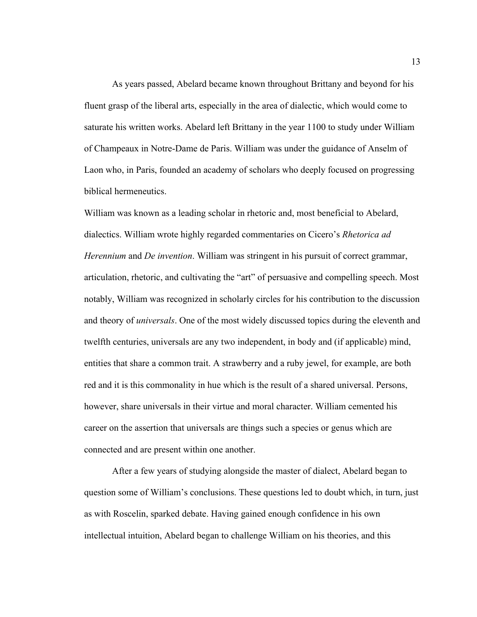As years passed, Abelard became known throughout Brittany and beyond for his fluent grasp of the liberal arts, especially in the area of dialectic, which would come to saturate his written works. Abelard left Brittany in the year 1100 to study under William of Champeaux in Notre-Dame de Paris. William was under the guidance of Anselm of Laon who, in Paris, founded an academy of scholars who deeply focused on progressing biblical hermeneutics.

William was known as a leading scholar in rhetoric and, most beneficial to Abelard, dialectics. William wrote highly regarded commentaries on Cicero's *Rhetorica ad Herennium* and *De invention*. William was stringent in his pursuit of correct grammar, articulation, rhetoric, and cultivating the "art" of persuasive and compelling speech. Most notably, William was recognized in scholarly circles for his contribution to the discussion and theory of *universals*. One of the most widely discussed topics during the eleventh and twelfth centuries, universals are any two independent, in body and (if applicable) mind, entities that share a common trait. A strawberry and a ruby jewel, for example, are both red and it is this commonality in hue which is the result of a shared universal. Persons, however, share universals in their virtue and moral character. William cemented his career on the assertion that universals are things such a species or genus which are connected and are present within one another.

After a few years of studying alongside the master of dialect, Abelard began to question some of William's conclusions. These questions led to doubt which, in turn, just as with Roscelin, sparked debate. Having gained enough confidence in his own intellectual intuition, Abelard began to challenge William on his theories, and this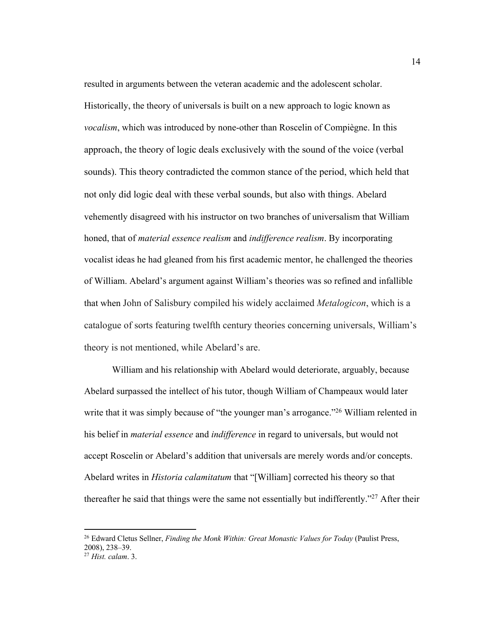resulted in arguments between the veteran academic and the adolescent scholar. Historically, the theory of universals is built on a new approach to logic known as *vocalism*, which was introduced by none-other than Roscelin of Compiègne. In this approach, the theory of logic deals exclusively with the sound of the voice (verbal sounds). This theory contradicted the common stance of the period, which held that not only did logic deal with these verbal sounds, but also with things. Abelard vehemently disagreed with his instructor on two branches of universalism that William honed, that of *material essence realism* and *indifference realism*. By incorporating vocalist ideas he had gleaned from his first academic mentor, he challenged the theories of William. Abelard's argument against William's theories was so refined and infallible that when John of Salisbury compiled his widely acclaimed *Metalogicon*, which is a catalogue of sorts featuring twelfth century theories concerning universals, William's theory is not mentioned, while Abelard's are.

William and his relationship with Abelard would deteriorate, arguably, because Abelard surpassed the intellect of his tutor, though William of Champeaux would later write that it was simply because of "the younger man's arrogance."<sup>26</sup> William relented in his belief in *material essence* and *indifference* in regard to universals, but would not accept Roscelin or Abelard's addition that universals are merely words and/or concepts. Abelard writes in *Historia calamitatum* that "[William] corrected his theory so that thereafter he said that things were the same not essentially but indifferently."<sup>27</sup> After their

<sup>26</sup> Edward Cletus Sellner, *Finding the Monk Within: Great Monastic Values for Today* (Paulist Press, 2008), 238–39. <sup>27</sup> *Hist. calam*. 3.

<sup>14</sup>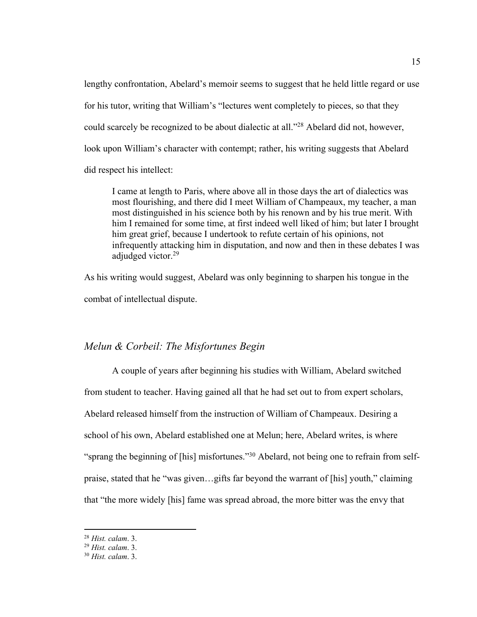lengthy confrontation, Abelard's memoir seems to suggest that he held little regard or use for his tutor, writing that William's "lectures went completely to pieces, so that they could scarcely be recognized to be about dialectic at all."28 Abelard did not, however, look upon William's character with contempt; rather, his writing suggests that Abelard did respect his intellect:

I came at length to Paris, where above all in those days the art of dialectics was most flourishing, and there did I meet William of Champeaux, my teacher, a man most distinguished in his science both by his renown and by his true merit. With him I remained for some time, at first indeed well liked of him; but later I brought him great grief, because I undertook to refute certain of his opinions, not infrequently attacking him in disputation, and now and then in these debates I was adjudged victor.<sup>29</sup>

As his writing would suggest, Abelard was only beginning to sharpen his tongue in the combat of intellectual dispute.

#### *Melun & Corbeil: The Misfortunes Begin*

A couple of years after beginning his studies with William, Abelard switched from student to teacher. Having gained all that he had set out to from expert scholars, Abelard released himself from the instruction of William of Champeaux. Desiring a school of his own, Abelard established one at Melun; here, Abelard writes, is where "sprang the beginning of [his] misfortunes."30 Abelard, not being one to refrain from selfpraise, stated that he "was given…gifts far beyond the warrant of [his] youth," claiming that "the more widely [his] fame was spread abroad, the more bitter was the envy that

<sup>28</sup> *Hist. calam*. 3.

<sup>29</sup> *Hist. calam*. 3.

<sup>30</sup> *Hist. calam*. 3.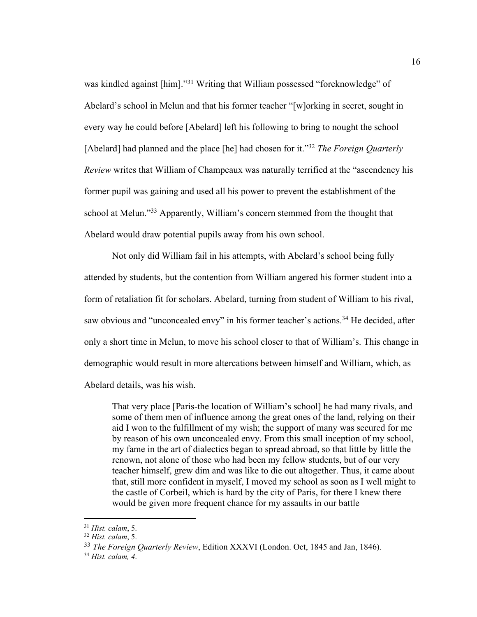was kindled against [him]."<sup>31</sup> Writing that William possessed "foreknowledge" of Abelard's school in Melun and that his former teacher "[w]orking in secret, sought in every way he could before [Abelard] left his following to bring to nought the school [Abelard] had planned and the place [he] had chosen for it."32 *The Foreign Quarterly Review* writes that William of Champeaux was naturally terrified at the "ascendency his former pupil was gaining and used all his power to prevent the establishment of the school at Melun."<sup>33</sup> Apparently, William's concern stemmed from the thought that Abelard would draw potential pupils away from his own school.

Not only did William fail in his attempts, with Abelard's school being fully attended by students, but the contention from William angered his former student into a form of retaliation fit for scholars. Abelard, turning from student of William to his rival, saw obvious and "unconcealed envy" in his former teacher's actions.<sup>34</sup> He decided, after only a short time in Melun, to move his school closer to that of William's. This change in demographic would result in more altercations between himself and William, which, as Abelard details, was his wish.

That very place [Paris-the location of William's school] he had many rivals, and some of them men of influence among the great ones of the land, relying on their aid I won to the fulfillment of my wish; the support of many was secured for me by reason of his own unconcealed envy. From this small inception of my school, my fame in the art of dialectics began to spread abroad, so that little by little the renown, not alone of those who had been my fellow students, but of our very teacher himself, grew dim and was like to die out altogether. Thus, it came about that, still more confident in myself, I moved my school as soon as I well might to the castle of Corbeil, which is hard by the city of Paris, for there I knew there would be given more frequent chance for my assaults in our battle

<sup>31</sup> *Hist. calam*, 5. 32 *Hist. calam*, 5.

<sup>33</sup> *The Foreign Quarterly Review*, Edition XXXVI (London. Oct, 1845 and Jan, 1846). 34 *Hist. calam, 4*.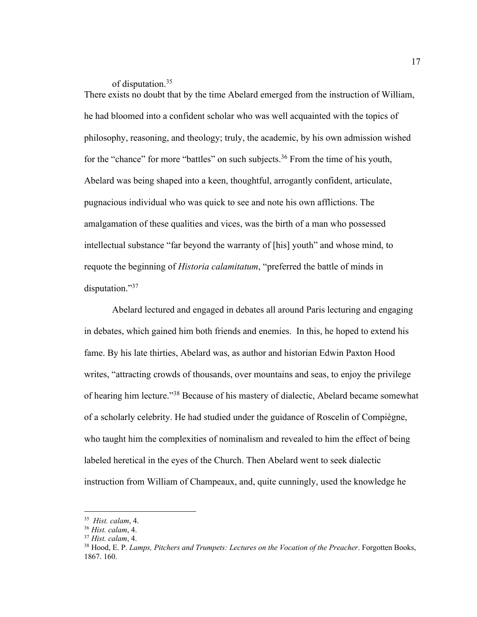of disputation.35

There exists no doubt that by the time Abelard emerged from the instruction of William, he had bloomed into a confident scholar who was well acquainted with the topics of philosophy, reasoning, and theology; truly, the academic, by his own admission wished for the "chance" for more "battles" on such subjects.<sup>36</sup> From the time of his youth, Abelard was being shaped into a keen, thoughtful, arrogantly confident, articulate, pugnacious individual who was quick to see and note his own afflictions. The amalgamation of these qualities and vices, was the birth of a man who possessed intellectual substance "far beyond the warranty of [his] youth" and whose mind, to requote the beginning of *Historia calamitatum*, "preferred the battle of minds in disputation."37

Abelard lectured and engaged in debates all around Paris lecturing and engaging in debates, which gained him both friends and enemies. In this, he hoped to extend his fame. By his late thirties, Abelard was, as author and historian Edwin Paxton Hood writes, "attracting crowds of thousands, over mountains and seas, to enjoy the privilege of hearing him lecture."38 Because of his mastery of dialectic, Abelard became somewhat of a scholarly celebrity. He had studied under the guidance of Roscelin of Compiègne, who taught him the complexities of nominalism and revealed to him the effect of being labeled heretical in the eyes of the Church. Then Abelard went to seek dialectic instruction from William of Champeaux, and, quite cunningly, used the knowledge he

<sup>35</sup> *Hist. calam*, 4.

<sup>36</sup> *Hist. calam*, 4.

<sup>37</sup> *Hist. calam*, 4.

<sup>38</sup> Hood, E. P. *Lamps, Pitchers and Trumpets: Lectures on the Vocation of the Preacher*. Forgotten Books, 1867. 160.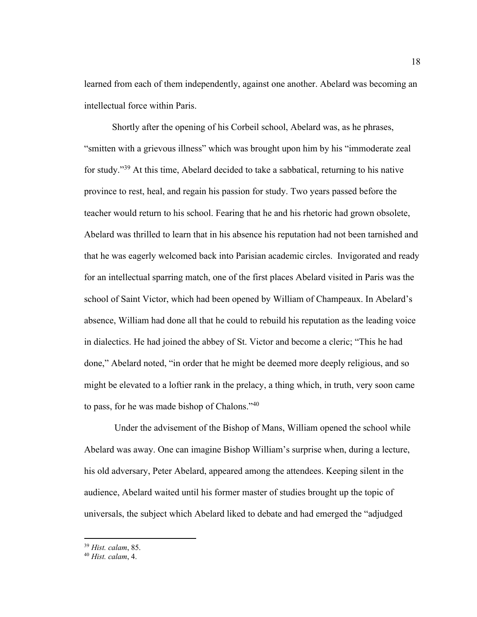learned from each of them independently, against one another. Abelard was becoming an intellectual force within Paris.

Shortly after the opening of his Corbeil school, Abelard was, as he phrases, "smitten with a grievous illness" which was brought upon him by his "immoderate zeal for study."39 At this time, Abelard decided to take a sabbatical, returning to his native province to rest, heal, and regain his passion for study. Two years passed before the teacher would return to his school. Fearing that he and his rhetoric had grown obsolete, Abelard was thrilled to learn that in his absence his reputation had not been tarnished and that he was eagerly welcomed back into Parisian academic circles. Invigorated and ready for an intellectual sparring match, one of the first places Abelard visited in Paris was the school of Saint Victor, which had been opened by William of Champeaux. In Abelard's absence, William had done all that he could to rebuild his reputation as the leading voice in dialectics. He had joined the abbey of St. Victor and become a cleric; "This he had done," Abelard noted, "in order that he might be deemed more deeply religious, and so might be elevated to a loftier rank in the prelacy, a thing which, in truth, very soon came to pass, for he was made bishop of Chalons."40

Under the advisement of the Bishop of Mans, William opened the school while Abelard was away. One can imagine Bishop William's surprise when, during a lecture, his old adversary, Peter Abelard, appeared among the attendees. Keeping silent in the audience, Abelard waited until his former master of studies brought up the topic of universals, the subject which Abelard liked to debate and had emerged the "adjudged

<sup>39</sup> *Hist. calam*, 85.

<sup>40</sup> *Hist. calam*, 4.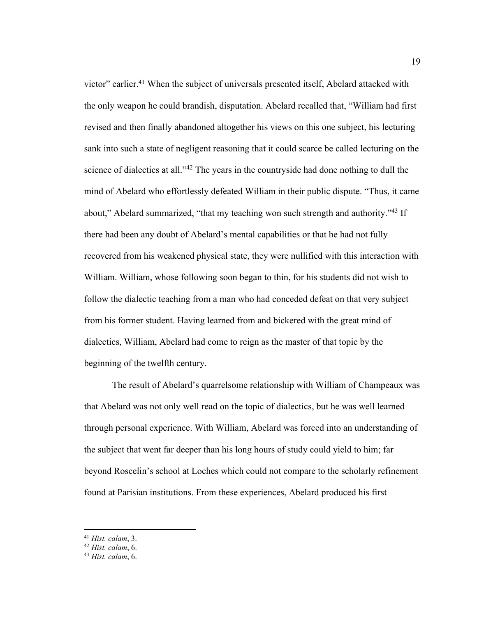victor" earlier.<sup>41</sup> When the subject of universals presented itself, Abelard attacked with the only weapon he could brandish, disputation. Abelard recalled that, "William had first revised and then finally abandoned altogether his views on this one subject, his lecturing sank into such a state of negligent reasoning that it could scarce be called lecturing on the science of dialectics at all."<sup>42</sup> The years in the countryside had done nothing to dull the mind of Abelard who effortlessly defeated William in their public dispute. "Thus, it came about," Abelard summarized, "that my teaching won such strength and authority."<sup>43</sup> If there had been any doubt of Abelard's mental capabilities or that he had not fully recovered from his weakened physical state, they were nullified with this interaction with William. William, whose following soon began to thin, for his students did not wish to follow the dialectic teaching from a man who had conceded defeat on that very subject from his former student. Having learned from and bickered with the great mind of dialectics, William, Abelard had come to reign as the master of that topic by the beginning of the twelfth century.

The result of Abelard's quarrelsome relationship with William of Champeaux was that Abelard was not only well read on the topic of dialectics, but he was well learned through personal experience. With William, Abelard was forced into an understanding of the subject that went far deeper than his long hours of study could yield to him; far beyond Roscelin's school at Loches which could not compare to the scholarly refinement found at Parisian institutions. From these experiences, Abelard produced his first

<sup>41</sup> *Hist. calam*, 3.

<sup>42</sup> *Hist. calam*, 6.

<sup>43</sup> *Hist. calam*, 6.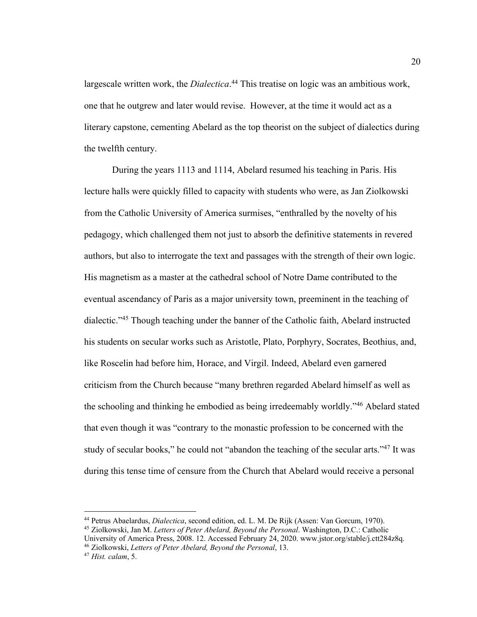largescale written work, the *Dialectica*. <sup>44</sup> This treatise on logic was an ambitious work, one that he outgrew and later would revise. However, at the time it would act as a literary capstone, cementing Abelard as the top theorist on the subject of dialectics during the twelfth century.

During the years 1113 and 1114, Abelard resumed his teaching in Paris. His lecture halls were quickly filled to capacity with students who were, as Jan Ziolkowski from the Catholic University of America surmises, "enthralled by the novelty of his pedagogy, which challenged them not just to absorb the definitive statements in revered authors, but also to interrogate the text and passages with the strength of their own logic. His magnetism as a master at the cathedral school of Notre Dame contributed to the eventual ascendancy of Paris as a major university town, preeminent in the teaching of dialectic."45 Though teaching under the banner of the Catholic faith, Abelard instructed his students on secular works such as Aristotle, Plato, Porphyry, Socrates, Beothius, and, like Roscelin had before him, Horace, and Virgil. Indeed, Abelard even garnered criticism from the Church because "many brethren regarded Abelard himself as well as the schooling and thinking he embodied as being irredeemably worldly."46 Abelard stated that even though it was "contrary to the monastic profession to be concerned with the study of secular books," he could not "abandon the teaching of the secular arts."<sup>47</sup> It was during this tense time of censure from the Church that Abelard would receive a personal

<sup>45</sup> Ziolkowski, Jan M. *Letters of Peter Abelard, Beyond the Personal*. Washington, D.C.: Catholic

University of America Press, 2008. 12. Accessed February 24, 2020. www.jstor.org/stable/j.ctt284z8q.

<sup>46</sup> Ziolkowski, *Letters of Peter Abelard, Beyond the Personal*, 13.

<sup>44</sup> Petrus Abaelardus, *Dialectica*, second edition, ed. L. M. De Rijk (Assen: Van Gorcum, 1970).

<sup>47</sup> *Hist. calam*, 5.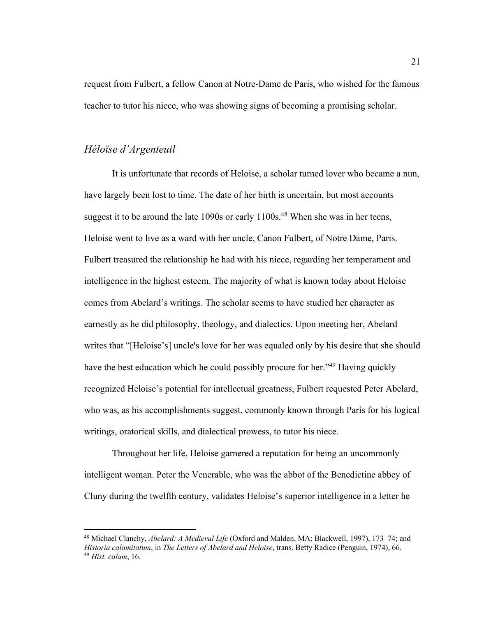request from Fulbert, a fellow Canon at Notre-Dame de Paris, who wished for the famous teacher to tutor his niece, who was showing signs of becoming a promising scholar.

#### *Héloïse d'Argenteuil*

It is unfortunate that records of Heloise, a scholar turned lover who became a nun, have largely been lost to time. The date of her birth is uncertain, but most accounts suggest it to be around the late  $1090s$  or early  $1100s$ .<sup>48</sup> When she was in her teens, Heloise went to live as a ward with her uncle, Canon Fulbert, of Notre Dame, Paris. Fulbert treasured the relationship he had with his niece, regarding her temperament and intelligence in the highest esteem. The majority of what is known today about Heloise comes from Abelard's writings. The scholar seems to have studied her character as earnestly as he did philosophy, theology, and dialectics. Upon meeting her, Abelard writes that "[Heloise's] uncle's love for her was equaled only by his desire that she should have the best education which he could possibly procure for her.<sup>149</sup> Having quickly recognized Heloise's potential for intellectual greatness, Fulbert requested Peter Abelard, who was, as his accomplishments suggest, commonly known through Paris for his logical writings, oratorical skills, and dialectical prowess, to tutor his niece.

Throughout her life, Heloise garnered a reputation for being an uncommonly intelligent woman. Peter the Venerable, who was the abbot of the Benedictine abbey of Cluny during the twelfth century, validates Heloise's superior intelligence in a letter he

<sup>48</sup> Michael Clanchy, *Abelard: A Medieval Life* (Oxford and Malden, MA: Blackwell, 1997), 173–74; and *Historia calamitatum*, in *The Letters of Abelard and Heloise*, trans. Betty Radice (Penguin, 1974), 66. <sup>49</sup> *Hist. calam*, 16.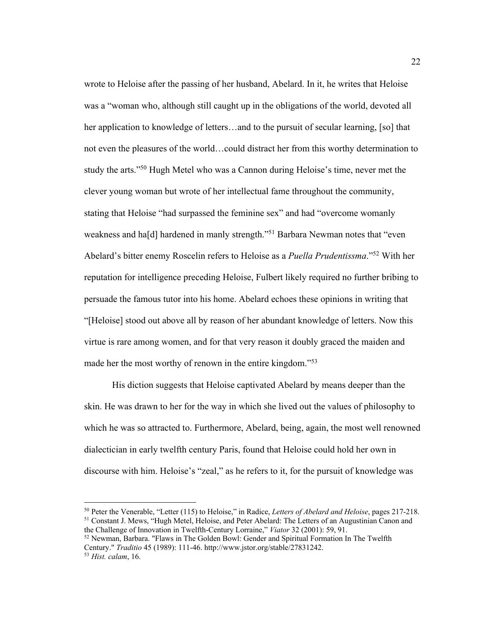wrote to Heloise after the passing of her husband, Abelard. In it, he writes that Heloise was a "woman who, although still caught up in the obligations of the world, devoted all her application to knowledge of letters...and to the pursuit of secular learning, [so] that not even the pleasures of the world…could distract her from this worthy determination to study the arts."<sup>50</sup> Hugh Metel who was a Cannon during Heloise's time, never met the clever young woman but wrote of her intellectual fame throughout the community, stating that Heloise "had surpassed the feminine sex" and had "overcome womanly weakness and ha<sup>[d]</sup> hardened in manly strength."<sup>51</sup> Barbara Newman notes that "even Abelard's bitter enemy Roscelin refers to Heloise as a *Puella Prudentissma*."52 With her reputation for intelligence preceding Heloise, Fulbert likely required no further bribing to persuade the famous tutor into his home. Abelard echoes these opinions in writing that "[Heloise] stood out above all by reason of her abundant knowledge of letters. Now this virtue is rare among women, and for that very reason it doubly graced the maiden and made her the most worthy of renown in the entire kingdom."<sup>53</sup>

His diction suggests that Heloise captivated Abelard by means deeper than the skin. He was drawn to her for the way in which she lived out the values of philosophy to which he was so attracted to. Furthermore, Abelard, being, again, the most well renowned dialectician in early twelfth century Paris, found that Heloise could hold her own in discourse with him. Heloise's "zeal," as he refers to it, for the pursuit of knowledge was

<sup>50</sup> Peter the Venerable, "Letter (115) to Heloise," in Radice, *Letters of Abelard and Heloise*, pages 217-218. <sup>51</sup> Constant J. Mews, "Hugh Metel, Heloise, and Peter Abelard: The Letters of an Augustinian Canon and the Challenge of Innovation in Twelfth-Century Lorraine," *Viator* 32 (2001): 59, 91.

<sup>52</sup> Newman, Barbara. "Flaws in The Golden Bowl: Gender and Spiritual Formation In The Twelfth Century." *Traditio* 45 (1989): 111-46. http://www.jstor.org/stable/27831242. 53 *Hist. calam*, 16.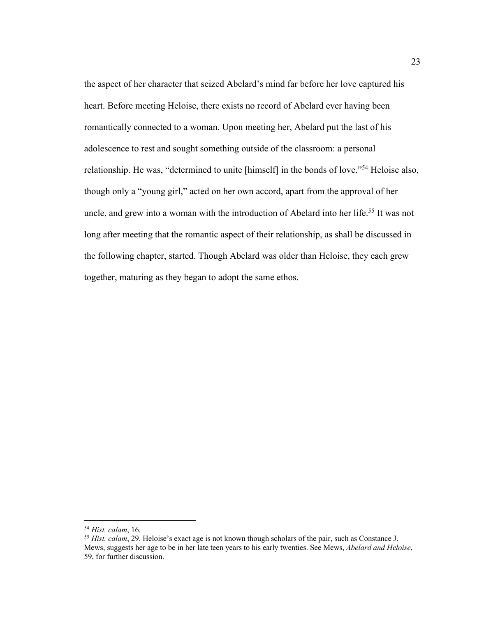the aspect of her character that seized Abelard's mind far before her love captured his heart. Before meeting Heloise, there exists no record of Abelard ever having been romantically connected to a woman. Upon meeting her, Abelard put the last of his adolescence to rest and sought something outside of the classroom: a personal relationship. He was, "determined to unite [himself] in the bonds of love."54 Heloise also, though only a "young girl," acted on her own accord, apart from the approval of her uncle, and grew into a woman with the introduction of Abelard into her life.<sup>55</sup> It was not long after meeting that the romantic aspect of their relationship, as shall be discussed in the following chapter, started. Though Abelard was older than Heloise, they each grew together, maturing as they began to adopt the same ethos.

<sup>54</sup> *Hist. calam*, 16.

<sup>55</sup> *Hist. calam*, 29. Heloise's exact age is not known though scholars of the pair, such as Constance J. Mews, suggests her age to be in her late teen years to his early twenties. See Mews, *Abelard and Heloise*, 59, for further discussion.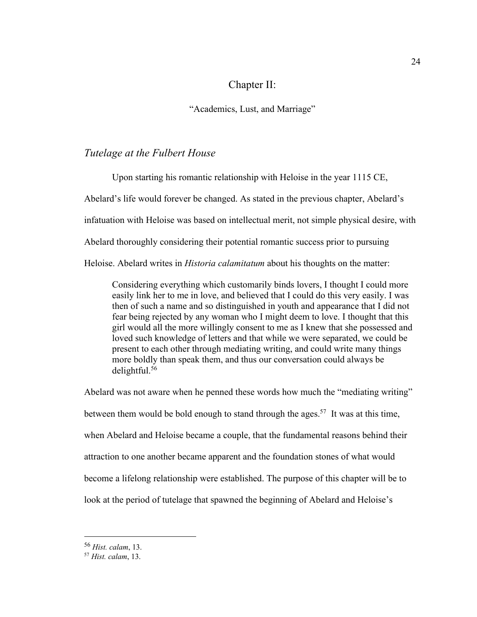# Chapter II:

"Academics, Lust, and Marriage"

### *Tutelage at the Fulbert House*

Upon starting his romantic relationship with Heloise in the year 1115 CE, Abelard's life would forever be changed. As stated in the previous chapter, Abelard's infatuation with Heloise was based on intellectual merit, not simple physical desire, with Abelard thoroughly considering their potential romantic success prior to pursuing Heloise. Abelard writes in *Historia calamitatum* about his thoughts on the matter:

Considering everything which customarily binds lovers, I thought I could more easily link her to me in love, and believed that I could do this very easily. I was then of such a name and so distinguished in youth and appearance that I did not fear being rejected by any woman who I might deem to love. I thought that this girl would all the more willingly consent to me as I knew that she possessed and loved such knowledge of letters and that while we were separated, we could be present to each other through mediating writing, and could write many things more boldly than speak them, and thus our conversation could always be delightful.56

Abelard was not aware when he penned these words how much the "mediating writing" between them would be bold enough to stand through the ages.<sup>57</sup> It was at this time, when Abelard and Heloise became a couple, that the fundamental reasons behind their attraction to one another became apparent and the foundation stones of what would become a lifelong relationship were established. The purpose of this chapter will be to look at the period of tutelage that spawned the beginning of Abelard and Heloise's

<sup>56</sup> *Hist. calam*, 13.

<sup>57</sup> *Hist. calam*, 13.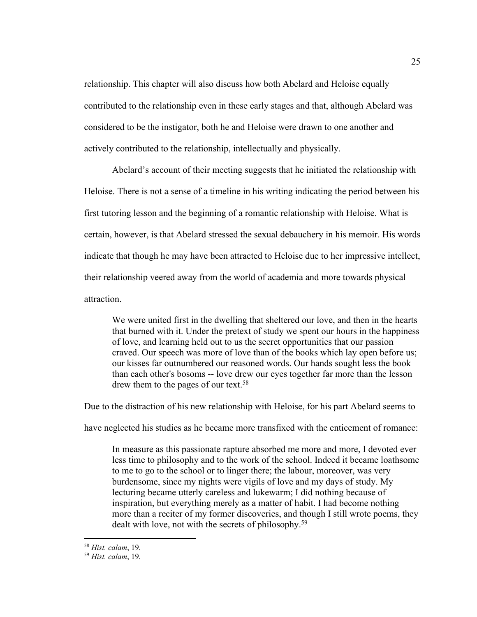relationship. This chapter will also discuss how both Abelard and Heloise equally contributed to the relationship even in these early stages and that, although Abelard was considered to be the instigator, both he and Heloise were drawn to one another and actively contributed to the relationship, intellectually and physically.

Abelard's account of their meeting suggests that he initiated the relationship with Heloise. There is not a sense of a timeline in his writing indicating the period between his first tutoring lesson and the beginning of a romantic relationship with Heloise. What is certain, however, is that Abelard stressed the sexual debauchery in his memoir. His words indicate that though he may have been attracted to Heloise due to her impressive intellect, their relationship veered away from the world of academia and more towards physical attraction.

We were united first in the dwelling that sheltered our love, and then in the hearts that burned with it. Under the pretext of study we spent our hours in the happiness of love, and learning held out to us the secret opportunities that our passion craved. Our speech was more of love than of the books which lay open before us; our kisses far outnumbered our reasoned words. Our hands sought less the book than each other's bosoms -- love drew our eyes together far more than the lesson drew them to the pages of our text.<sup>58</sup>

Due to the distraction of his new relationship with Heloise, for his part Abelard seems to

have neglected his studies as he became more transfixed with the enticement of romance:

In measure as this passionate rapture absorbed me more and more, I devoted ever less time to philosophy and to the work of the school. Indeed it became loathsome to me to go to the school or to linger there; the labour, moreover, was very burdensome, since my nights were vigils of love and my days of study. My lecturing became utterly careless and lukewarm; I did nothing because of inspiration, but everything merely as a matter of habit. I had become nothing more than a reciter of my former discoveries, and though I still wrote poems, they dealt with love, not with the secrets of philosophy.<sup>59</sup>

<sup>58</sup> *Hist. calam*, 19.

<sup>59</sup> *Hist. calam*, 19.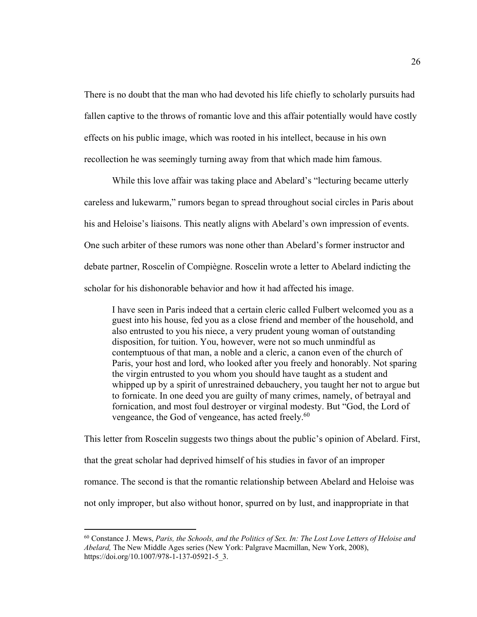There is no doubt that the man who had devoted his life chiefly to scholarly pursuits had fallen captive to the throws of romantic love and this affair potentially would have costly effects on his public image, which was rooted in his intellect, because in his own recollection he was seemingly turning away from that which made him famous.

While this love affair was taking place and Abelard's "lecturing became utterly careless and lukewarm," rumors began to spread throughout social circles in Paris about his and Heloise's liaisons. This neatly aligns with Abelard's own impression of events. One such arbiter of these rumors was none other than Abelard's former instructor and debate partner, Roscelin of Compiègne. Roscelin wrote a letter to Abelard indicting the scholar for his dishonorable behavior and how it had affected his image.

I have seen in Paris indeed that a certain cleric called Fulbert welcomed you as a guest into his house, fed you as a close friend and member of the household, and also entrusted to you his niece, a very prudent young woman of outstanding disposition, for tuition. You, however, were not so much unmindful as contemptuous of that man, a noble and a cleric, a canon even of the church of Paris, your host and lord, who looked after you freely and honorably. Not sparing the virgin entrusted to you whom you should have taught as a student and whipped up by a spirit of unrestrained debauchery, you taught her not to argue but to fornicate. In one deed you are guilty of many crimes, namely, of betrayal and fornication, and most foul destroyer or virginal modesty. But "God, the Lord of vengeance, the God of vengeance, has acted freely.<sup>60</sup>

This letter from Roscelin suggests two things about the public's opinion of Abelard. First, that the great scholar had deprived himself of his studies in favor of an improper romance. The second is that the romantic relationship between Abelard and Heloise was not only improper, but also without honor, spurred on by lust, and inappropriate in that

<sup>60</sup> Constance J. Mews, *Paris, the Schools, and the Politics of Sex. In: The Lost Love Letters of Heloise and Abelard,* The New Middle Ages series (New York: Palgrave Macmillan, New York, 2008), https://doi.org/10.1007/978-1-137-05921-5\_3.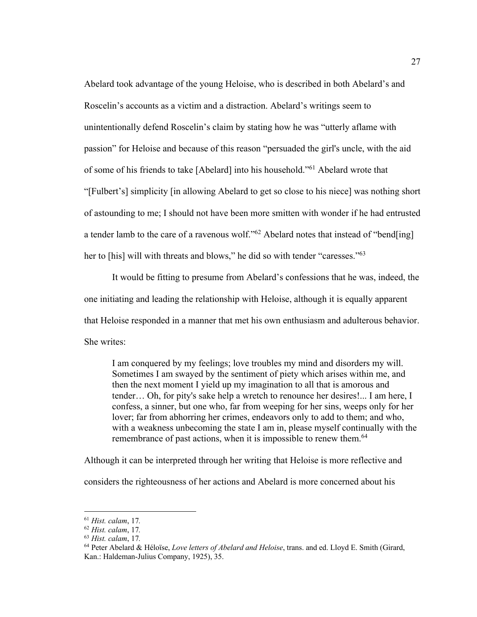Abelard took advantage of the young Heloise, who is described in both Abelard's and Roscelin's accounts as a victim and a distraction. Abelard's writings seem to unintentionally defend Roscelin's claim by stating how he was "utterly aflame with passion" for Heloise and because of this reason "persuaded the girl's uncle, with the aid of some of his friends to take [Abelard] into his household."61 Abelard wrote that "[Fulbert's] simplicity [in allowing Abelard to get so close to his niece] was nothing short of astounding to me; I should not have been more smitten with wonder if he had entrusted a tender lamb to the care of a ravenous wolf."<sup>62</sup> Abelard notes that instead of "bend[ing] her to [his] will with threats and blows," he did so with tender "caresses."<sup>63</sup>

It would be fitting to presume from Abelard's confessions that he was, indeed, the one initiating and leading the relationship with Heloise, although it is equally apparent that Heloise responded in a manner that met his own enthusiasm and adulterous behavior. She writes:

I am conquered by my feelings; love troubles my mind and disorders my will. Sometimes I am swayed by the sentiment of piety which arises within me, and then the next moment I yield up my imagination to all that is amorous and tender… Oh, for pity's sake help a wretch to renounce her desires!... I am here, I confess, a sinner, but one who, far from weeping for her sins, weeps only for her lover; far from abhorring her crimes, endeavors only to add to them; and who, with a weakness unbecoming the state I am in, please myself continually with the remembrance of past actions, when it is impossible to renew them.<sup>64</sup>

Although it can be interpreted through her writing that Heloise is more reflective and considers the righteousness of her actions and Abelard is more concerned about his

<sup>61</sup> *Hist. calam*, 17*.*

<sup>62</sup> *Hist. calam*, 17*.*

<sup>63</sup> *Hist. calam*, 17*.*

<sup>64</sup> Peter Abelard & Héloïse, *Love letters of Abelard and Heloise*, trans. and ed. Lloyd E. Smith (Girard, Kan.: Haldeman-Julius Company, 1925), 35.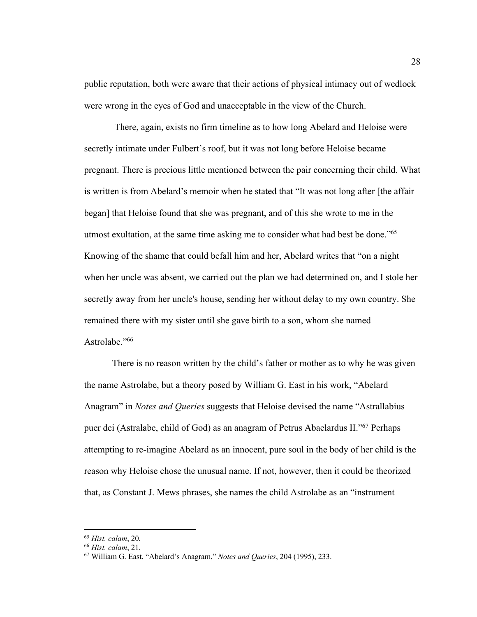public reputation, both were aware that their actions of physical intimacy out of wedlock were wrong in the eyes of God and unacceptable in the view of the Church.

There, again, exists no firm timeline as to how long Abelard and Heloise were secretly intimate under Fulbert's roof, but it was not long before Heloise became pregnant. There is precious little mentioned between the pair concerning their child. What is written is from Abelard's memoir when he stated that "It was not long after [the affair began] that Heloise found that she was pregnant, and of this she wrote to me in the utmost exultation, at the same time asking me to consider what had best be done."65 Knowing of the shame that could befall him and her, Abelard writes that "on a night when her uncle was absent, we carried out the plan we had determined on, and I stole her secretly away from her uncle's house, sending her without delay to my own country. She remained there with my sister until she gave birth to a son, whom she named Astrolabe."<sup>66</sup>

There is no reason written by the child's father or mother as to why he was given the name Astrolabe, but a theory posed by William G. East in his work, "Abelard Anagram" in *Notes and Queries* suggests that Heloise devised the name "Astrallabius puer dei (Astralabe, child of God) as an anagram of Petrus Abaelardus II."67 Perhaps attempting to re-imagine Abelard as an innocent, pure soul in the body of her child is the reason why Heloise chose the unusual name. If not, however, then it could be theorized that, as Constant J. Mews phrases, she names the child Astrolabe as an "instrument

<sup>65</sup> *Hist. calam*, 20*.*

<sup>66</sup> *Hist. calam*, 21*.*

<sup>67</sup> William G. East, "Abelard's Anagram," *Notes and Queries*, 204 (1995), 233.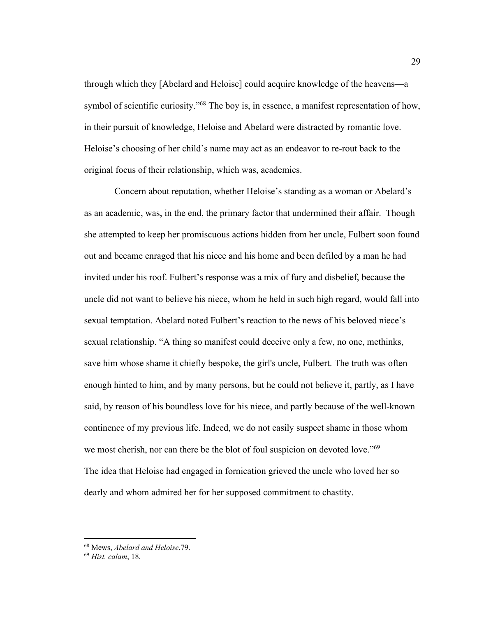through which they [Abelard and Heloise] could acquire knowledge of the heavens—a symbol of scientific curiosity."<sup>68</sup> The boy is, in essence, a manifest representation of how, in their pursuit of knowledge, Heloise and Abelard were distracted by romantic love. Heloise's choosing of her child's name may act as an endeavor to re-rout back to the original focus of their relationship, which was, academics.

Concern about reputation, whether Heloise's standing as a woman or Abelard's as an academic, was, in the end, the primary factor that undermined their affair. Though she attempted to keep her promiscuous actions hidden from her uncle, Fulbert soon found out and became enraged that his niece and his home and been defiled by a man he had invited under his roof. Fulbert's response was a mix of fury and disbelief, because the uncle did not want to believe his niece, whom he held in such high regard, would fall into sexual temptation. Abelard noted Fulbert's reaction to the news of his beloved niece's sexual relationship. "A thing so manifest could deceive only a few, no one, methinks, save him whose shame it chiefly bespoke, the girl's uncle, Fulbert. The truth was often enough hinted to him, and by many persons, but he could not believe it, partly, as I have said, by reason of his boundless love for his niece, and partly because of the well-known continence of my previous life. Indeed, we do not easily suspect shame in those whom we most cherish, nor can there be the blot of foul suspicion on devoted love."<sup>69</sup> The idea that Heloise had engaged in fornication grieved the uncle who loved her so dearly and whom admired her for her supposed commitment to chastity.

<sup>68</sup> Mews, *Abelard and Heloise*,79. 69 *Hist. calam*, 18*.*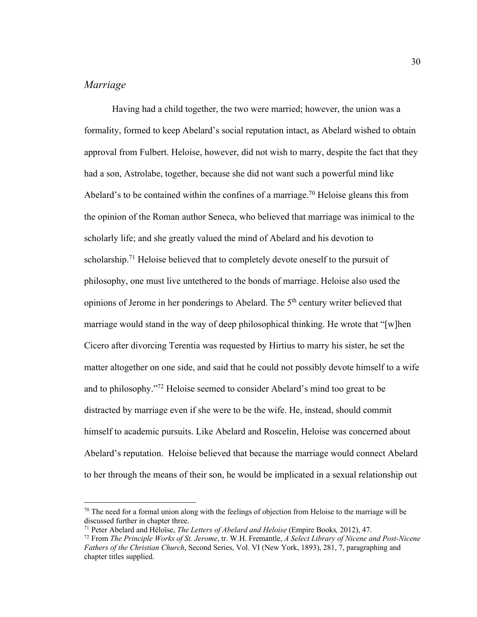# *Marriage*

Having had a child together, the two were married; however, the union was a formality, formed to keep Abelard's social reputation intact, as Abelard wished to obtain approval from Fulbert. Heloise, however, did not wish to marry, despite the fact that they had a son, Astrolabe, together, because she did not want such a powerful mind like Abelard's to be contained within the confines of a marriage.<sup>70</sup> Heloise gleans this from the opinion of the Roman author Seneca, who believed that marriage was inimical to the scholarly life; and she greatly valued the mind of Abelard and his devotion to scholarship.<sup>71</sup> Heloise believed that to completely devote oneself to the pursuit of philosophy, one must live untethered to the bonds of marriage. Heloise also used the opinions of Jerome in her ponderings to Abelard. The 5<sup>th</sup> century writer believed that marriage would stand in the way of deep philosophical thinking. He wrote that "[w]hen Cicero after divorcing Terentia was requested by Hirtius to marry his sister, he set the matter altogether on one side, and said that he could not possibly devote himself to a wife and to philosophy."72 Heloise seemed to consider Abelard's mind too great to be distracted by marriage even if she were to be the wife. He, instead, should commit himself to academic pursuits. Like Abelard and Roscelin, Heloise was concerned about Abelard's reputation. Heloise believed that because the marriage would connect Abelard to her through the means of their son, he would be implicated in a sexual relationship out

 $70$  The need for a formal union along with the feelings of objection from Heloise to the marriage will be discussed further in chapter three.<br><sup>71</sup> Peter Abelard and Héloïse, *The Letters of Abelard and Heloise* (Empire Books, 2012), 47.

 $^{72}$  From The Principle Works of St. Jerome, tr. W.H. Fremantle, A Select Library of Nicene and Post-Nicene *Fathers of the Christian Church*, Second Series, Vol. VI (New York, 1893), 281, 7, paragraphing and chapter titles supplied.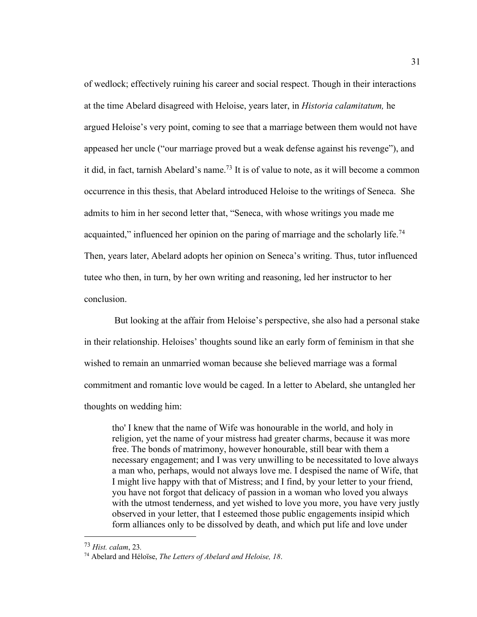of wedlock; effectively ruining his career and social respect. Though in their interactions at the time Abelard disagreed with Heloise, years later, in *Historia calamitatum,* he argued Heloise's very point, coming to see that a marriage between them would not have appeased her uncle ("our marriage proved but a weak defense against his revenge"), and it did, in fact, tarnish Abelard's name.<sup>73</sup> It is of value to note, as it will become a common occurrence in this thesis, that Abelard introduced Heloise to the writings of Seneca. She admits to him in her second letter that, "Seneca, with whose writings you made me acquainted," influenced her opinion on the paring of marriage and the scholarly life.<sup>74</sup> Then, years later, Abelard adopts her opinion on Seneca's writing. Thus, tutor influenced tutee who then, in turn, by her own writing and reasoning, led her instructor to her conclusion.

But looking at the affair from Heloise's perspective, she also had a personal stake in their relationship. Heloises' thoughts sound like an early form of feminism in that she wished to remain an unmarried woman because she believed marriage was a formal commitment and romantic love would be caged. In a letter to Abelard, she untangled her thoughts on wedding him:

tho' I knew that the name of Wife was honourable in the world, and holy in religion, yet the name of your mistress had greater charms, because it was more free. The bonds of matrimony, however honourable, still bear with them a necessary engagement; and I was very unwilling to be necessitated to love always a man who, perhaps, would not always love me. I despised the name of Wife, that I might live happy with that of Mistress; and I find, by your letter to your friend, you have not forgot that delicacy of passion in a woman who loved you always with the utmost tenderness, and yet wished to love you more, you have very justly observed in your letter, that I esteemed those public engagements insipid which form alliances only to be dissolved by death, and which put life and love under

<sup>73</sup> *Hist. calam*, 23*.*

<sup>74</sup> Abelard and Héloïse, *The Letters of Abelard and Heloise, 18*.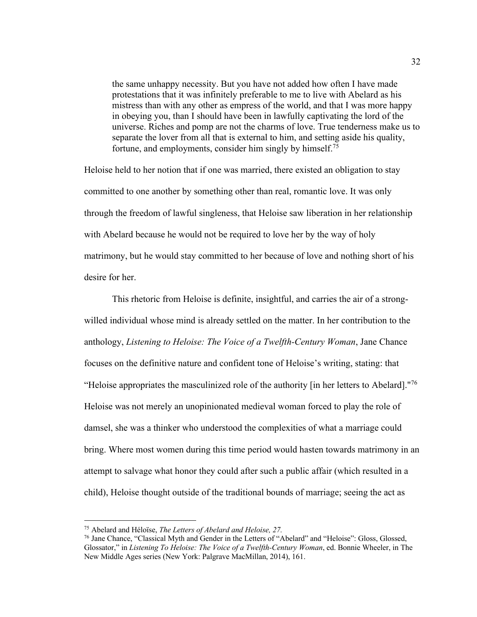the same unhappy necessity. But you have not added how often I have made protestations that it was infinitely preferable to me to live with Abelard as his mistress than with any other as empress of the world, and that I was more happy in obeying you, than I should have been in lawfully captivating the lord of the universe. Riches and pomp are not the charms of love. True tenderness make us to separate the lover from all that is external to him, and setting aside his quality, fortune, and employments, consider him singly by himself.75

Heloise held to her notion that if one was married, there existed an obligation to stay committed to one another by something other than real, romantic love. It was only through the freedom of lawful singleness, that Heloise saw liberation in her relationship with Abelard because he would not be required to love her by the way of holy matrimony, but he would stay committed to her because of love and nothing short of his desire for her.

This rhetoric from Heloise is definite, insightful, and carries the air of a strongwilled individual whose mind is already settled on the matter. In her contribution to the anthology, *Listening to Heloise: The Voice of a Twelfth-Century Woman*, Jane Chance focuses on the definitive nature and confident tone of Heloise's writing, stating: that "Heloise appropriates the masculinized role of the authority  $\left[\right]$  in her letters to Abelard]."<sup>76</sup> Heloise was not merely an unopinionated medieval woman forced to play the role of damsel, she was a thinker who understood the complexities of what a marriage could bring. Where most women during this time period would hasten towards matrimony in an attempt to salvage what honor they could after such a public affair (which resulted in a child), Heloise thought outside of the traditional bounds of marriage; seeing the act as

<sup>75</sup> Abelard and Héloïse, *The Letters of Abelard and Heloise, 27.*

<sup>76</sup> Jane Chance, "Classical Myth and Gender in the Letters of "Abelard" and "Heloise": Gloss, Glossed, Glossator," in *Listening To Heloise: The Voice of a Twelfth-Century Woman*, ed. Bonnie Wheeler, in The New Middle Ages series (New York: Palgrave MacMillan, 2014), 161.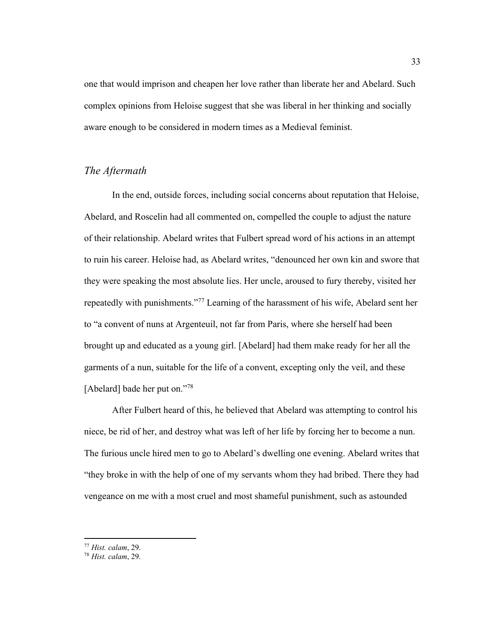one that would imprison and cheapen her love rather than liberate her and Abelard. Such complex opinions from Heloise suggest that she was liberal in her thinking and socially aware enough to be considered in modern times as a Medieval feminist.

### *The Aftermath*

In the end, outside forces, including social concerns about reputation that Heloise, Abelard, and Roscelin had all commented on, compelled the couple to adjust the nature of their relationship. Abelard writes that Fulbert spread word of his actions in an attempt to ruin his career. Heloise had, as Abelard writes, "denounced her own kin and swore that they were speaking the most absolute lies. Her uncle, aroused to fury thereby, visited her repeatedly with punishments."<sup>77</sup> Learning of the harassment of his wife, Abelard sent her to "a convent of nuns at Argenteuil, not far from Paris, where she herself had been brought up and educated as a young girl. [Abelard] had them make ready for her all the garments of a nun, suitable for the life of a convent, excepting only the veil, and these [Abelard] bade her put on."78

After Fulbert heard of this, he believed that Abelard was attempting to control his niece, be rid of her, and destroy what was left of her life by forcing her to become a nun. The furious uncle hired men to go to Abelard's dwelling one evening. Abelard writes that "they broke in with the help of one of my servants whom they had bribed. There they had vengeance on me with a most cruel and most shameful punishment, such as astounded

<sup>77</sup> *Hist. calam*, 29.

<sup>78</sup> *Hist. calam*, 29.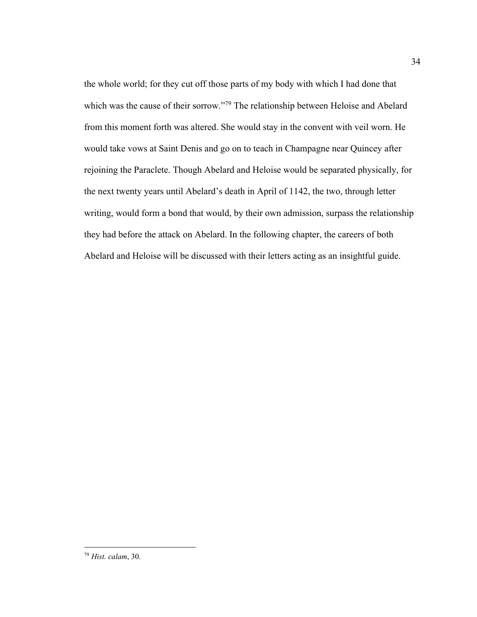the whole world; for they cut off those parts of my body with which I had done that which was the cause of their sorrow."<sup>79</sup> The relationship between Heloise and Abelard from this moment forth was altered. She would stay in the convent with veil worn. He would take vows at Saint Denis and go on to teach in Champagne near Quincey after rejoining the Paraclete. Though Abelard and Heloise would be separated physically, for the next twenty years until Abelard's death in April of 1142, the two, through letter writing, would form a bond that would, by their own admission, surpass the relationship they had before the attack on Abelard. In the following chapter, the careers of both Abelard and Heloise will be discussed with their letters acting as an insightful guide.

<sup>79</sup> *Hist. calam*, 30.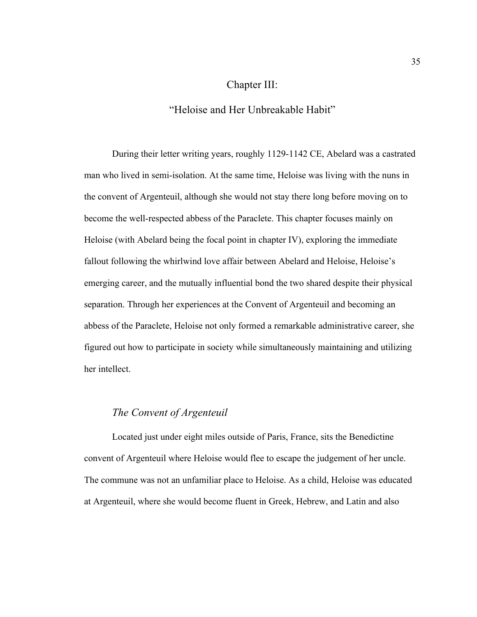## Chapter III:

### "Heloise and Her Unbreakable Habit"

During their letter writing years, roughly 1129-1142 CE, Abelard was a castrated man who lived in semi-isolation. At the same time, Heloise was living with the nuns in the convent of Argenteuil, although she would not stay there long before moving on to become the well-respected abbess of the Paraclete. This chapter focuses mainly on Heloise (with Abelard being the focal point in chapter IV), exploring the immediate fallout following the whirlwind love affair between Abelard and Heloise, Heloise's emerging career, and the mutually influential bond the two shared despite their physical separation. Through her experiences at the Convent of Argenteuil and becoming an abbess of the Paraclete, Heloise not only formed a remarkable administrative career, she figured out how to participate in society while simultaneously maintaining and utilizing her intellect.

# *The Convent of Argenteuil*

Located just under eight miles outside of Paris, France, sits the Benedictine convent of Argenteuil where Heloise would flee to escape the judgement of her uncle. The commune was not an unfamiliar place to Heloise. As a child, Heloise was educated at Argenteuil, where she would become fluent in Greek, Hebrew, and Latin and also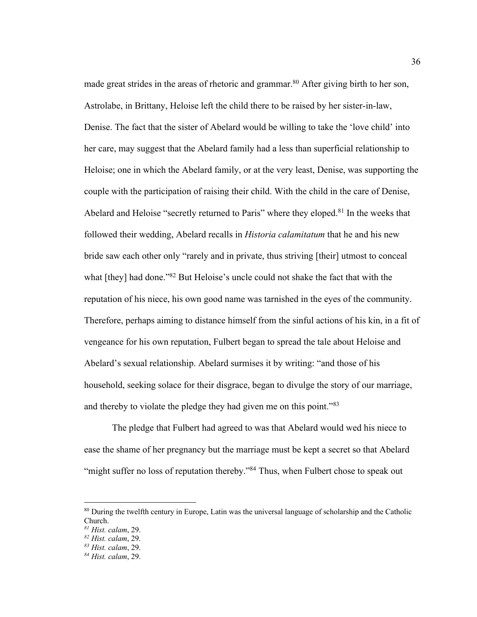made great strides in the areas of rhetoric and grammar.<sup>80</sup> After giving birth to her son, Astrolabe, in Brittany, Heloise left the child there to be raised by her sister-in-law, Denise. The fact that the sister of Abelard would be willing to take the 'love child' into her care, may suggest that the Abelard family had a less than superficial relationship to Heloise; one in which the Abelard family, or at the very least, Denise, was supporting the couple with the participation of raising their child. With the child in the care of Denise, Abelard and Heloise "secretly returned to Paris" where they eloped.<sup>81</sup> In the weeks that followed their wedding, Abelard recalls in *Historia calamitatum* that he and his new bride saw each other only "rarely and in private, thus striving [their] utmost to conceal what [they] had done."<sup>82</sup> But Heloise's uncle could not shake the fact that with the reputation of his niece, his own good name was tarnished in the eyes of the community. Therefore, perhaps aiming to distance himself from the sinful actions of his kin, in a fit of vengeance for his own reputation, Fulbert began to spread the tale about Heloise and Abelard's sexual relationship. Abelard surmises it by writing: "and those of his household, seeking solace for their disgrace, began to divulge the story of our marriage, and thereby to violate the pledge they had given me on this point.<sup>83</sup>

The pledge that Fulbert had agreed to was that Abelard would wed his niece to ease the shame of her pregnancy but the marriage must be kept a secret so that Abelard "might suffer no loss of reputation thereby."<sup>84</sup> Thus, when Fulbert chose to speak out

<sup>&</sup>lt;sup>80</sup> During the twelfth century in Europe, Latin was the universal language of scholarship and the Catholic Church.

*<sup>81</sup> Hist. calam*, 29.

*<sup>82</sup> Hist. calam*, 29.

*<sup>83</sup> Hist. calam*, 29.

*<sup>84</sup> Hist. calam*, 29.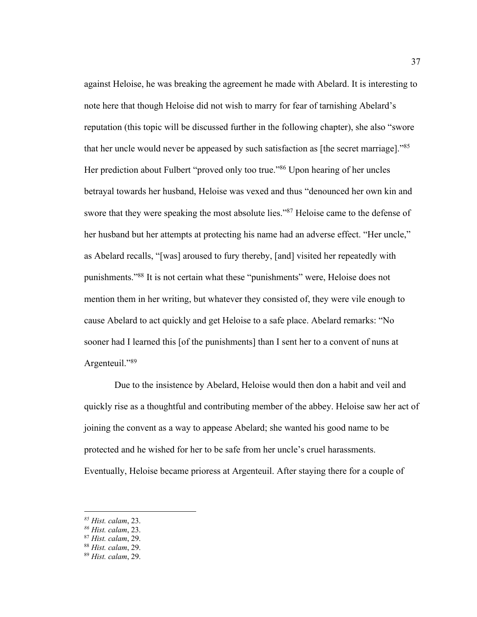against Heloise, he was breaking the agreement he made with Abelard. It is interesting to note here that though Heloise did not wish to marry for fear of tarnishing Abelard's reputation (this topic will be discussed further in the following chapter), she also "swore that her uncle would never be appeased by such satisfaction as [the secret marriage]."<sup>85</sup> Her prediction about Fulbert "proved only too true."<sup>86</sup> Upon hearing of her uncles betrayal towards her husband, Heloise was vexed and thus "denounced her own kin and swore that they were speaking the most absolute lies."<sup>87</sup> Heloise came to the defense of her husband but her attempts at protecting his name had an adverse effect. "Her uncle," as Abelard recalls, "[was] aroused to fury thereby, [and] visited her repeatedly with punishments."88 It is not certain what these "punishments" were, Heloise does not mention them in her writing, but whatever they consisted of, they were vile enough to cause Abelard to act quickly and get Heloise to a safe place. Abelard remarks: "No sooner had I learned this [of the punishments] than I sent her to a convent of nuns at Argenteuil."89

Due to the insistence by Abelard, Heloise would then don a habit and veil and quickly rise as a thoughtful and contributing member of the abbey. Heloise saw her act of joining the convent as a way to appease Abelard; she wanted his good name to be protected and he wished for her to be safe from her uncle's cruel harassments. Eventually, Heloise became prioress at Argenteuil. After staying there for a couple of

*<sup>85</sup> Hist. calam*, 23.

*<sup>86</sup> Hist. calam*, 23.

<sup>87</sup> *Hist. calam*, 29.

<sup>88</sup> *Hist. calam*, 29.

<sup>89</sup> *Hist. calam*, 29.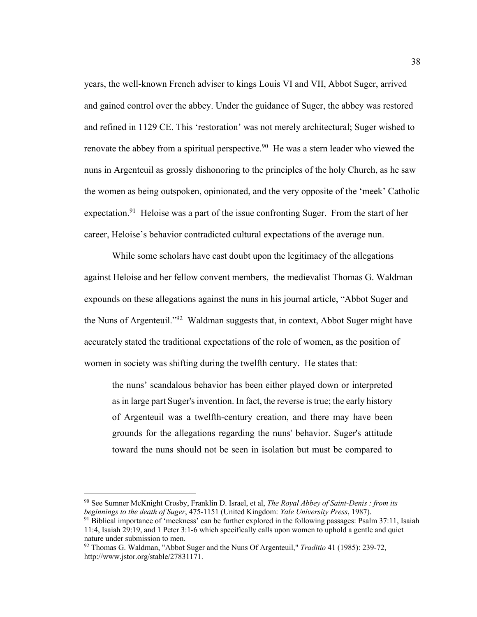years, the well-known French adviser to kings Louis VI and VII, Abbot Suger, arrived and gained control over the abbey. Under the guidance of Suger, the abbey was restored and refined in 1129 CE. This 'restoration' was not merely architectural; Suger wished to renovate the abbey from a spiritual perspective.<sup>90</sup> He was a stern leader who viewed the nuns in Argenteuil as grossly dishonoring to the principles of the holy Church, as he saw the women as being outspoken, opinionated, and the very opposite of the 'meek' Catholic expectation.<sup>91</sup> Heloise was a part of the issue confronting Suger. From the start of her career, Heloise's behavior contradicted cultural expectations of the average nun.

While some scholars have cast doubt upon the legitimacy of the allegations against Heloise and her fellow convent members, the medievalist Thomas G. Waldman expounds on these allegations against the nuns in his journal article, "Abbot Suger and the Nuns of Argenteuil."92 Waldman suggests that, in context, Abbot Suger might have accurately stated the traditional expectations of the role of women, as the position of women in society was shifting during the twelfth century. He states that:

the nuns' scandalous behavior has been either played down or interpreted as in large part Suger's invention. In fact, the reverse is true; the early history of Argenteuil was a twelfth-century creation, and there may have been grounds for the allegations regarding the nuns' behavior. Suger's attitude toward the nuns should not be seen in isolation but must be compared to

<sup>90</sup> See Sumner McKnight Crosby, Franklin D. Israel, et al, *The Royal Abbey of Saint-Denis : from its beginnings to the death of Suger*, 475-1151 (United Kingdom: *Yale University Press*, 1987).

 $91$  Biblical importance of 'meekness' can be further explored in the following passages: Psalm 37:11, Isaiah 11:4, Isaiah 29:19, and 1 Peter 3:1-6 which specifically calls upon women to uphold a gentle and quiet nature under submission to men.

<sup>92</sup> Thomas G. Waldman, "Abbot Suger and the Nuns Of Argenteuil," *Traditio* 41 (1985): 239-72, http://www.jstor.org/stable/27831171.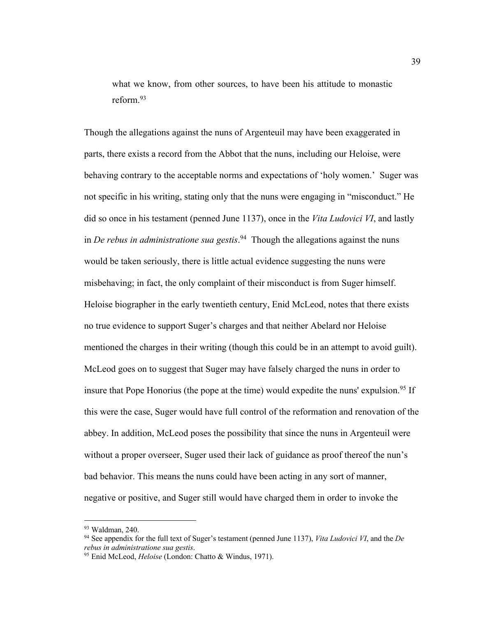what we know, from other sources, to have been his attitude to monastic reform.93

Though the allegations against the nuns of Argenteuil may have been exaggerated in parts, there exists a record from the Abbot that the nuns, including our Heloise, were behaving contrary to the acceptable norms and expectations of 'holy women.' Suger was not specific in his writing, stating only that the nuns were engaging in "misconduct." He did so once in his testament (penned June 1137), once in the *Vita Ludovici VI*, and lastly in *De rebus in administratione sua gestis*. 94 Though the allegations against the nuns would be taken seriously, there is little actual evidence suggesting the nuns were misbehaving; in fact, the only complaint of their misconduct is from Suger himself. Heloise biographer in the early twentieth century, Enid McLeod, notes that there exists no true evidence to support Suger's charges and that neither Abelard nor Heloise mentioned the charges in their writing (though this could be in an attempt to avoid guilt). McLeod goes on to suggest that Suger may have falsely charged the nuns in order to insure that Pope Honorius (the pope at the time) would expedite the nuns' expulsion.<sup>95</sup> If this were the case, Suger would have full control of the reformation and renovation of the abbey. In addition, McLeod poses the possibility that since the nuns in Argenteuil were without a proper overseer, Suger used their lack of guidance as proof thereof the nun's bad behavior. This means the nuns could have been acting in any sort of manner, negative or positive, and Suger still would have charged them in order to invoke the

<sup>93</sup> Waldman, 240. 94 See appendix for the full text of Suger's testament (penned June 1137), *Vita Ludovici VI*, and the *De rebus in administratione sua gestis*.

<sup>95</sup> Enid McLeod, *Heloise* (London: Chatto & Windus, 1971).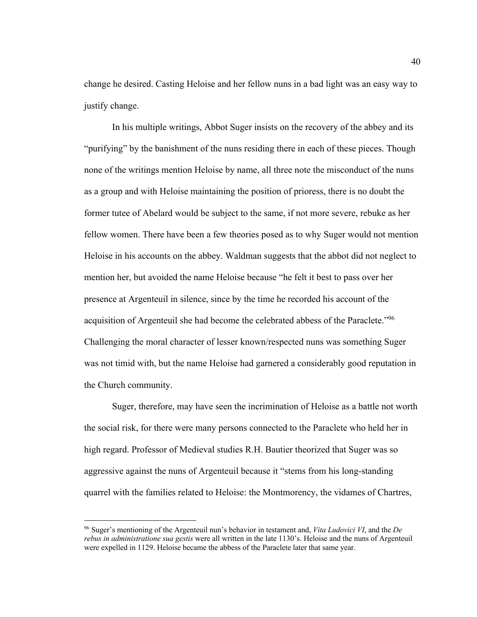change he desired. Casting Heloise and her fellow nuns in a bad light was an easy way to justify change.

In his multiple writings, Abbot Suger insists on the recovery of the abbey and its "purifying" by the banishment of the nuns residing there in each of these pieces. Though none of the writings mention Heloise by name, all three note the misconduct of the nuns as a group and with Heloise maintaining the position of prioress, there is no doubt the former tutee of Abelard would be subject to the same, if not more severe, rebuke as her fellow women. There have been a few theories posed as to why Suger would not mention Heloise in his accounts on the abbey. Waldman suggests that the abbot did not neglect to mention her, but avoided the name Heloise because "he felt it best to pass over her presence at Argenteuil in silence, since by the time he recorded his account of the acquisition of Argenteuil she had become the celebrated abbess of the Paraclete."96 Challenging the moral character of lesser known/respected nuns was something Suger was not timid with, but the name Heloise had garnered a considerably good reputation in the Church community.

Suger, therefore, may have seen the incrimination of Heloise as a battle not worth the social risk, for there were many persons connected to the Paraclete who held her in high regard. Professor of Medieval studies R.H. Bautier theorized that Suger was so aggressive against the nuns of Argenteuil because it "stems from his long-standing quarrel with the families related to Heloise: the Montmorency, the vidames of Chartres,

<sup>96</sup> Suger's mentioning of the Argenteuil nun's behavior in testament and, *Vita Ludovici VI*, and the *De rebus in administratione sua gestis* were all written in the late 1130's. Heloise and the nuns of Argenteuil were expelled in 1129. Heloise became the abbess of the Paraclete later that same year.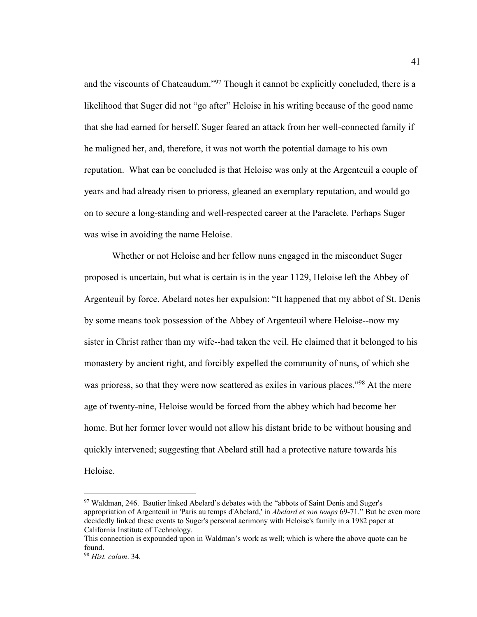and the viscounts of Chateaudum."<sup>97</sup> Though it cannot be explicitly concluded, there is a likelihood that Suger did not "go after" Heloise in his writing because of the good name that she had earned for herself. Suger feared an attack from her well-connected family if he maligned her, and, therefore, it was not worth the potential damage to his own reputation. What can be concluded is that Heloise was only at the Argenteuil a couple of years and had already risen to prioress, gleaned an exemplary reputation, and would go on to secure a long-standing and well-respected career at the Paraclete. Perhaps Suger was wise in avoiding the name Heloise.

Whether or not Heloise and her fellow nuns engaged in the misconduct Suger proposed is uncertain, but what is certain is in the year 1129, Heloise left the Abbey of Argenteuil by force. Abelard notes her expulsion: "It happened that my abbot of St. Denis by some means took possession of the Abbey of Argenteuil where Heloise--now my sister in Christ rather than my wife--had taken the veil. He claimed that it belonged to his monastery by ancient right, and forcibly expelled the community of nuns, of which she was prioress, so that they were now scattered as exiles in various places."<sup>98</sup> At the mere age of twenty-nine, Heloise would be forced from the abbey which had become her home. But her former lover would not allow his distant bride to be without housing and quickly intervened; suggesting that Abelard still had a protective nature towards his Heloise.

<sup>&</sup>lt;sup>97</sup> Waldman, 246. Bautier linked Abelard's debates with the "abbots of Saint Denis and Suger's appropriation of Argenteuil in 'Paris au temps d'Abelard,' in *Abelard et son temps* 69-71." But he even more decidedly linked these events to Suger's personal acrimony with Heloise's family in a 1982 paper at California Institute of Technology.

This connection is expounded upon in Waldman's work as well; which is where the above quote can be found.

<sup>98</sup> *Hist. calam*. 34.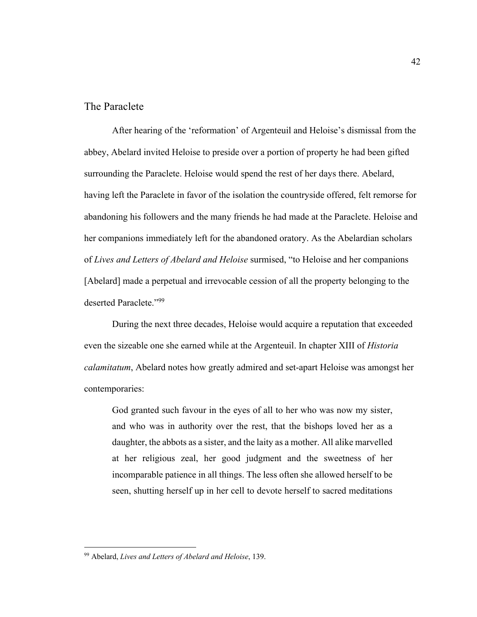### The Paraclete

After hearing of the 'reformation' of Argenteuil and Heloise's dismissal from the abbey, Abelard invited Heloise to preside over a portion of property he had been gifted surrounding the Paraclete. Heloise would spend the rest of her days there. Abelard, having left the Paraclete in favor of the isolation the countryside offered, felt remorse for abandoning his followers and the many friends he had made at the Paraclete. Heloise and her companions immediately left for the abandoned oratory. As the Abelardian scholars of *Lives and Letters of Abelard and Heloise* surmised, "to Heloise and her companions [Abelard] made a perpetual and irrevocable cession of all the property belonging to the deserted Paraclete."99

During the next three decades, Heloise would acquire a reputation that exceeded even the sizeable one she earned while at the Argenteuil. In chapter XIII of *Historia calamitatum*, Abelard notes how greatly admired and set-apart Heloise was amongst her contemporaries:

God granted such favour in the eyes of all to her who was now my sister, and who was in authority over the rest, that the bishops loved her as a daughter, the abbots as a sister, and the laity as a mother. All alike marvelled at her religious zeal, her good judgment and the sweetness of her incomparable patience in all things. The less often she allowed herself to be seen, shutting herself up in her cell to devote herself to sacred meditations

<sup>99</sup> Abelard, *Lives and Letters of Abelard and Heloise*, 139.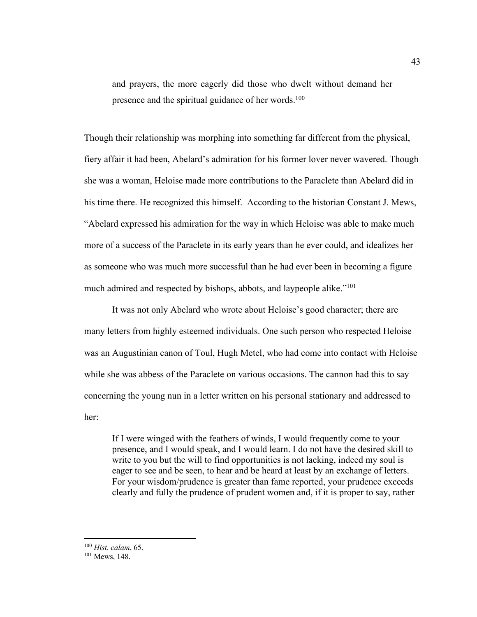and prayers, the more eagerly did those who dwelt without demand her presence and the spiritual guidance of her words.<sup>100</sup>

Though their relationship was morphing into something far different from the physical, fiery affair it had been, Abelard's admiration for his former lover never wavered. Though she was a woman, Heloise made more contributions to the Paraclete than Abelard did in his time there. He recognized this himself. According to the historian Constant J. Mews, "Abelard expressed his admiration for the way in which Heloise was able to make much more of a success of the Paraclete in its early years than he ever could, and idealizes her as someone who was much more successful than he had ever been in becoming a figure much admired and respected by bishops, abbots, and laypeople alike."101

It was not only Abelard who wrote about Heloise's good character; there are many letters from highly esteemed individuals. One such person who respected Heloise was an Augustinian canon of Toul, Hugh Metel, who had come into contact with Heloise while she was abbess of the Paraclete on various occasions. The cannon had this to say concerning the young nun in a letter written on his personal stationary and addressed to her:

If I were winged with the feathers of winds, I would frequently come to your presence, and I would speak, and I would learn. I do not have the desired skill to write to you but the will to find opportunities is not lacking, indeed my soul is eager to see and be seen, to hear and be heard at least by an exchange of letters. For your wisdom/prudence is greater than fame reported, your prudence exceeds clearly and fully the prudence of prudent women and, if it is proper to say, rather

<sup>100</sup> *Hist. calam*, 65.

<sup>101</sup> Mews, 148.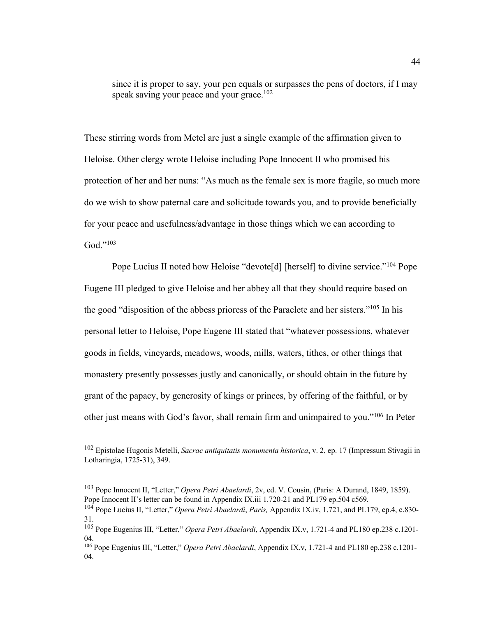since it is proper to say, your pen equals or surpasses the pens of doctors, if I may speak saving your peace and your grace.<sup>102</sup>

These stirring words from Metel are just a single example of the affirmation given to Heloise. Other clergy wrote Heloise including Pope Innocent II who promised his protection of her and her nuns: "As much as the female sex is more fragile, so much more do we wish to show paternal care and solicitude towards you, and to provide beneficially for your peace and usefulness/advantage in those things which we can according to  $God. "103"$ 

Pope Lucius II noted how Heloise "devote<sup>[d]</sup> [herself] to divine service."<sup>104</sup> Pope Eugene III pledged to give Heloise and her abbey all that they should require based on the good "disposition of the abbess prioress of the Paraclete and her sisters."105 In his personal letter to Heloise, Pope Eugene III stated that "whatever possessions, whatever goods in fields, vineyards, meadows, woods, mills, waters, tithes, or other things that monastery presently possesses justly and canonically, or should obtain in the future by grant of the papacy, by generosity of kings or princes, by offering of the faithful, or by other just means with God's favor, shall remain firm and unimpaired to you."<sup>106</sup> In Peter

<sup>102</sup> Epistolae Hugonis Metelli, *Sacrae antiquitatis monumenta historica*, v. 2, ep. 17 (Impressum Stivagii in Lotharingia, 1725-31), 349.

<sup>103</sup> Pope Innocent II, "Letter," *Opera Petri Abaelardi*, 2v, ed. V. Cousin, (Paris: A Durand, 1849, 1859). Pope Innocent II's letter can be found in Appendix IX.iii 1.720-21 and PL179 ep.504 c569.

<sup>104</sup> Pope Lucius II, "Letter," *Opera Petri Abaelardi*, *Paris,* Appendix IX.iv, 1.721, and PL179, ep.4, c.830- 31.

<sup>105</sup> Pope Eugenius III, "Letter," *Opera Petri Abaelardi*, Appendix IX.v, 1.721-4 and PL180 ep.238 c.1201- 04.

<sup>106</sup> Pope Eugenius III, "Letter," *Opera Petri Abaelardi*, Appendix IX.v, 1.721-4 and PL180 ep.238 c.1201- 04.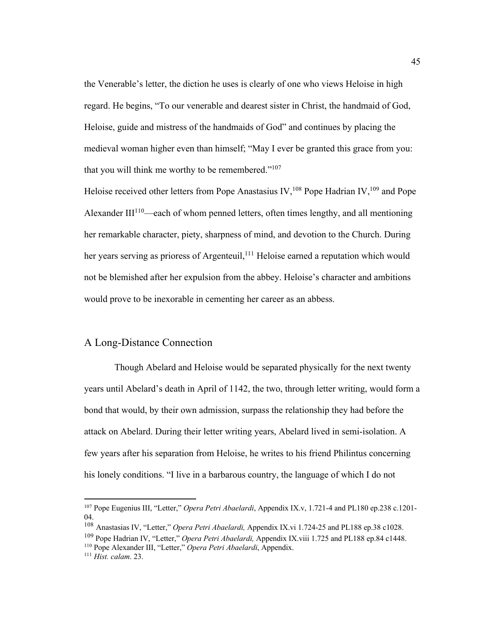the Venerable's letter, the diction he uses is clearly of one who views Heloise in high regard. He begins, "To our venerable and dearest sister in Christ, the handmaid of God, Heloise, guide and mistress of the handmaids of God" and continues by placing the medieval woman higher even than himself; "May I ever be granted this grace from you: that you will think me worthy to be remembered."<sup>107</sup>

Heloise received other letters from Pope Anastasius IV,<sup>108</sup> Pope Hadrian IV,<sup>109</sup> and Pope Alexander III $110$ —each of whom penned letters, often times lengthy, and all mentioning her remarkable character, piety, sharpness of mind, and devotion to the Church. During her years serving as prioress of Argenteuil,<sup>111</sup> Heloise earned a reputation which would not be blemished after her expulsion from the abbey. Heloise's character and ambitions would prove to be inexorable in cementing her career as an abbess.

#### A Long-Distance Connection

 Though Abelard and Heloise would be separated physically for the next twenty years until Abelard's death in April of 1142, the two, through letter writing, would form a bond that would, by their own admission, surpass the relationship they had before the attack on Abelard. During their letter writing years, Abelard lived in semi-isolation. A few years after his separation from Heloise, he writes to his friend Philintus concerning his lonely conditions. "I live in a barbarous country, the language of which I do not

<sup>107</sup> Pope Eugenius III, "Letter," *Opera Petri Abaelardi*, Appendix IX.v, 1.721-4 and PL180 ep.238 c.1201- 04.

<sup>108</sup> Anastasias IV, "Letter," *Opera Petri Abaelardi,* Appendix IX.vi 1.724-25 and PL188 ep.38 c1028.

<sup>109</sup> Pope Hadrian IV, "Letter," *Opera Petri Abaelardi,* Appendix IX.viii 1.725 and PL188 ep.84 c1448.

<sup>110</sup> Pope Alexander III, "Letter," *Opera Petri Abaelardi*, Appendix.

<sup>111</sup> *Hist. calam*. 23.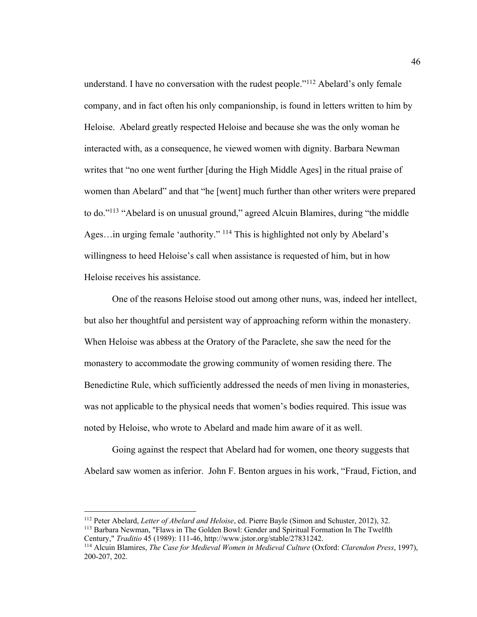understand. I have no conversation with the rudest people."<sup>112</sup> Abelard's only female company, and in fact often his only companionship, is found in letters written to him by Heloise. Abelard greatly respected Heloise and because she was the only woman he interacted with, as a consequence, he viewed women with dignity. Barbara Newman writes that "no one went further [during the High Middle Ages] in the ritual praise of women than Abelard" and that "he [went] much further than other writers were prepared to do."113 "Abelard is on unusual ground," agreed Alcuin Blamires, during "the middle Ages…in urging female 'authority." 114 This is highlighted not only by Abelard's willingness to heed Heloise's call when assistance is requested of him, but in how Heloise receives his assistance.

One of the reasons Heloise stood out among other nuns, was, indeed her intellect, but also her thoughtful and persistent way of approaching reform within the monastery. When Heloise was abbess at the Oratory of the Paraclete, she saw the need for the monastery to accommodate the growing community of women residing there. The Benedictine Rule, which sufficiently addressed the needs of men living in monasteries, was not applicable to the physical needs that women's bodies required. This issue was noted by Heloise, who wrote to Abelard and made him aware of it as well.

Going against the respect that Abelard had for women, one theory suggests that Abelard saw women as inferior. John F. Benton argues in his work, "Fraud, Fiction, and

<sup>112</sup> Peter Abelard, *Letter of Abelard and Heloise*, ed. Pierre Bayle (Simon and Schuster, 2012), 32.

<sup>113</sup> Barbara Newman, "Flaws in The Golden Bowl: Gender and Spiritual Formation In The Twelfth Century," *Traditio* 45 (1989): 111-46, http://www.jstor.org/stable/27831242.

<sup>114</sup> Alcuin Blamires, *The Case for Medieval Women in Medieval Culture* (Oxford: *Clarendon Press*, 1997), 200-207, 202.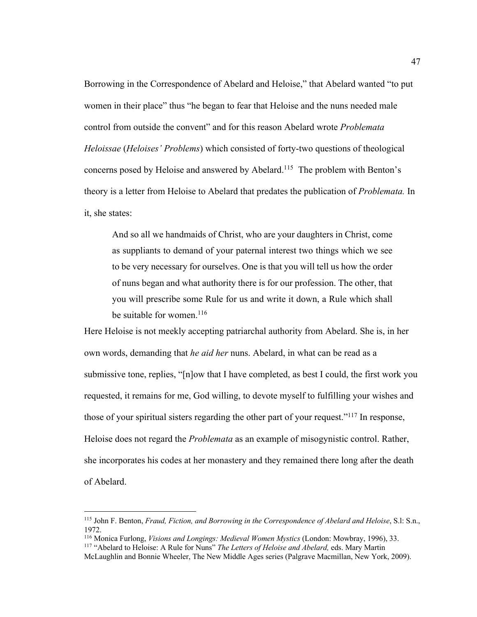Borrowing in the Correspondence of Abelard and Heloise," that Abelard wanted "to put women in their place" thus "he began to fear that Heloise and the nuns needed male control from outside the convent" and for this reason Abelard wrote *Problemata Heloissae* (*Heloises' Problems*) which consisted of forty-two questions of theological concerns posed by Heloise and answered by Abelard.<sup>115</sup> The problem with Benton's theory is a letter from Heloise to Abelard that predates the publication of *Problemata.* In it, she states:

And so all we handmaids of Christ, who are your daughters in Christ, come as suppliants to demand of your paternal interest two things which we see to be very necessary for ourselves. One is that you will tell us how the order of nuns began and what authority there is for our profession. The other, that you will prescribe some Rule for us and write it down, a Rule which shall be suitable for women.<sup>116</sup>

Here Heloise is not meekly accepting patriarchal authority from Abelard. She is, in her own words, demanding that *he aid her* nuns. Abelard, in what can be read as a submissive tone, replies, "[n]ow that I have completed, as best I could, the first work you requested, it remains for me, God willing, to devote myself to fulfilling your wishes and those of your spiritual sisters regarding the other part of your request."<sup>117</sup> In response, Heloise does not regard the *Problemata* as an example of misogynistic control. Rather, she incorporates his codes at her monastery and they remained there long after the death of Abelard.

<sup>115</sup> John F. Benton, *Fraud, Fiction, and Borrowing in the Correspondence of Abelard and Heloise*, S.l: S.n., 1972.

<sup>116</sup> Monica Furlong, *Visions and Longings: Medieval Women Mystics* (London: Mowbray, 1996), 33. 117 "Abelard to Heloise: A Rule for Nuns" *The Letters of Heloise and Abelard,* eds. Mary Martin

McLaughlin and Bonnie Wheeler, The New Middle Ages series (Palgrave Macmillan, New York, 2009).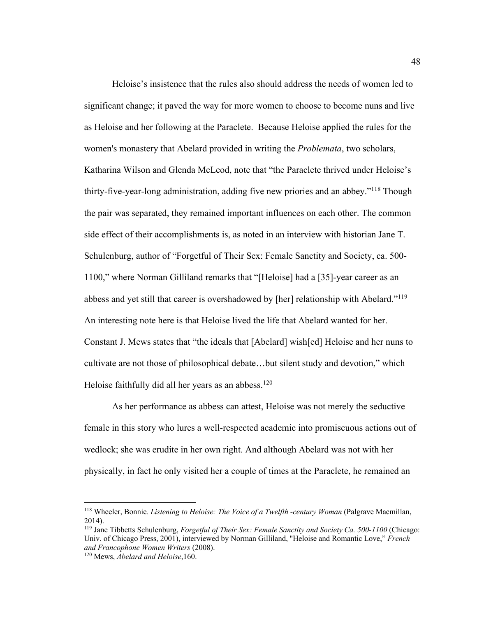Heloise's insistence that the rules also should address the needs of women led to significant change; it paved the way for more women to choose to become nuns and live as Heloise and her following at the Paraclete. Because Heloise applied the rules for the women's monastery that Abelard provided in writing the *Problemata*, two scholars, Katharina Wilson and Glenda McLeod, note that "the Paraclete thrived under Heloise's thirty-five-year-long administration, adding five new priories and an abbey."118 Though the pair was separated, they remained important influences on each other. The common side effect of their accomplishments is, as noted in an interview with historian Jane T. Schulenburg, author of "Forgetful of Their Sex: Female Sanctity and Society, ca. 500- 1100," where Norman Gilliland remarks that "[Heloise] had a [35]-year career as an abbess and yet still that career is overshadowed by [her] relationship with Abelard."119 An interesting note here is that Heloise lived the life that Abelard wanted for her. Constant J. Mews states that "the ideals that [Abelard] wish[ed] Heloise and her nuns to cultivate are not those of philosophical debate…but silent study and devotion," which Heloise faithfully did all her years as an abbess.<sup>120</sup>

As her performance as abbess can attest, Heloise was not merely the seductive female in this story who lures a well-respected academic into promiscuous actions out of wedlock; she was erudite in her own right. And although Abelard was not with her physically, in fact he only visited her a couple of times at the Paraclete, he remained an

<sup>118</sup> Wheeler, Bonnie*. Listening to Heloise: The Voice of a Twelfth -century Woman* (Palgrave Macmillan, 2014).

<sup>119</sup> Jane Tibbetts Schulenburg, *Forgetful of Their Sex: Female Sanctity and Society Ca. 500-1100* (Chicago: Univ. of Chicago Press, 2001), interviewed by Norman Gilliland, "Heloise and Romantic Love," *French and Francophone Women Writers* (2008).

<sup>120</sup> Mews, *Abelard and Heloise*,160.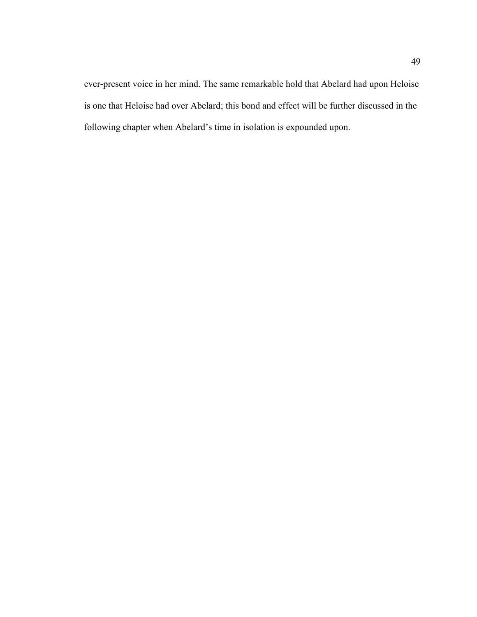ever-present voice in her mind. The same remarkable hold that Abelard had upon Heloise is one that Heloise had over Abelard; this bond and effect will be further discussed in the following chapter when Abelard's time in isolation is expounded upon.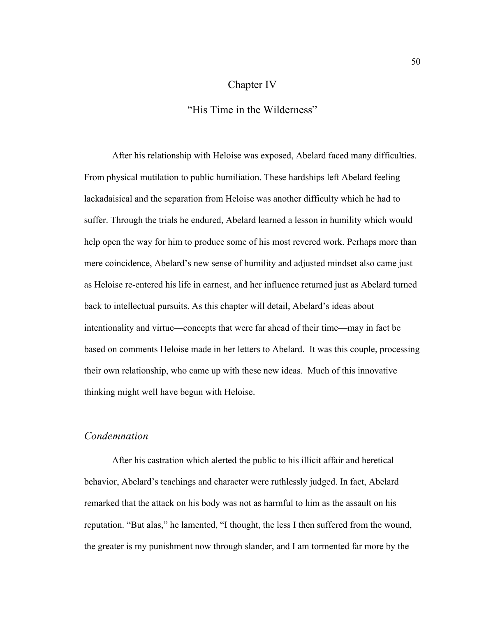### Chapter IV

"His Time in the Wilderness"

After his relationship with Heloise was exposed, Abelard faced many difficulties. From physical mutilation to public humiliation. These hardships left Abelard feeling lackadaisical and the separation from Heloise was another difficulty which he had to suffer. Through the trials he endured, Abelard learned a lesson in humility which would help open the way for him to produce some of his most revered work. Perhaps more than mere coincidence, Abelard's new sense of humility and adjusted mindset also came just as Heloise re-entered his life in earnest, and her influence returned just as Abelard turned back to intellectual pursuits. As this chapter will detail, Abelard's ideas about intentionality and virtue—concepts that were far ahead of their time—may in fact be based on comments Heloise made in her letters to Abelard. It was this couple, processing their own relationship, who came up with these new ideas. Much of this innovative thinking might well have begun with Heloise.

### *Condemnation*

After his castration which alerted the public to his illicit affair and heretical behavior, Abelard's teachings and character were ruthlessly judged. In fact, Abelard remarked that the attack on his body was not as harmful to him as the assault on his reputation. "But alas," he lamented, "I thought, the less I then suffered from the wound, the greater is my punishment now through slander, and I am tormented far more by the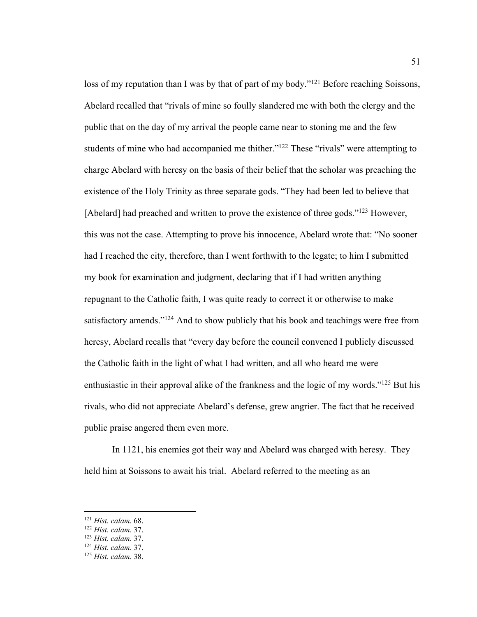loss of my reputation than I was by that of part of my body."<sup>121</sup> Before reaching Soissons, Abelard recalled that "rivals of mine so foully slandered me with both the clergy and the public that on the day of my arrival the people came near to stoning me and the few students of mine who had accompanied me thither."<sup>122</sup> These "rivals" were attempting to charge Abelard with heresy on the basis of their belief that the scholar was preaching the existence of the Holy Trinity as three separate gods. "They had been led to believe that [Abelard] had preached and written to prove the existence of three gods."<sup>123</sup> However, this was not the case. Attempting to prove his innocence, Abelard wrote that: "No sooner had I reached the city, therefore, than I went forthwith to the legate; to him I submitted my book for examination and judgment, declaring that if I had written anything repugnant to the Catholic faith, I was quite ready to correct it or otherwise to make satisfactory amends."<sup>124</sup> And to show publicly that his book and teachings were free from heresy, Abelard recalls that "every day before the council convened I publicly discussed the Catholic faith in the light of what I had written, and all who heard me were enthusiastic in their approval alike of the frankness and the logic of my words."<sup>125</sup> But his rivals, who did not appreciate Abelard's defense, grew angrier. The fact that he received public praise angered them even more.

In 1121, his enemies got their way and Abelard was charged with heresy. They held him at Soissons to await his trial. Abelard referred to the meeting as an

<sup>121</sup> *Hist. calam*. 68.

<sup>122</sup> *Hist. calam*. 37.

<sup>123</sup> *Hist. calam*. 37. 124 *Hist. calam*. 37. 125 *Hist. calam*. 38.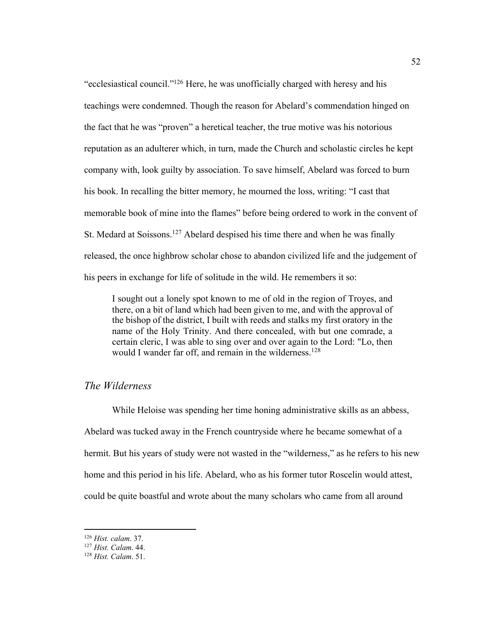"ecclesiastical council."126 Here, he was unofficially charged with heresy and his teachings were condemned. Though the reason for Abelard's commendation hinged on the fact that he was "proven" a heretical teacher, the true motive was his notorious reputation as an adulterer which, in turn, made the Church and scholastic circles he kept company with, look guilty by association. To save himself, Abelard was forced to burn his book. In recalling the bitter memory, he mourned the loss, writing: "I cast that memorable book of mine into the flames" before being ordered to work in the convent of St. Medard at Soissons.<sup>127</sup> Abelard despised his time there and when he was finally released, the once highbrow scholar chose to abandon civilized life and the judgement of his peers in exchange for life of solitude in the wild. He remembers it so:

I sought out a lonely spot known to me of old in the region of Troyes, and there, on a bit of land which had been given to me, and with the approval of the bishop of the district, I built with reeds and stalks my first oratory in the name of the Holy Trinity. And there concealed, with but one comrade, a certain cleric, I was able to sing over and over again to the Lord: "Lo, then would I wander far off, and remain in the wilderness.<sup>128</sup>

### *The Wilderness*

While Heloise was spending her time honing administrative skills as an abbess, Abelard was tucked away in the French countryside where he became somewhat of a hermit. But his years of study were not wasted in the "wilderness," as he refers to his new home and this period in his life. Abelard, who as his former tutor Roscelin would attest, could be quite boastful and wrote about the many scholars who came from all around

<sup>126</sup> *Hist. calam*. 37.

<sup>127</sup> *Hist. Calam*. 44.

<sup>128</sup> *Hist. Calam*. 51.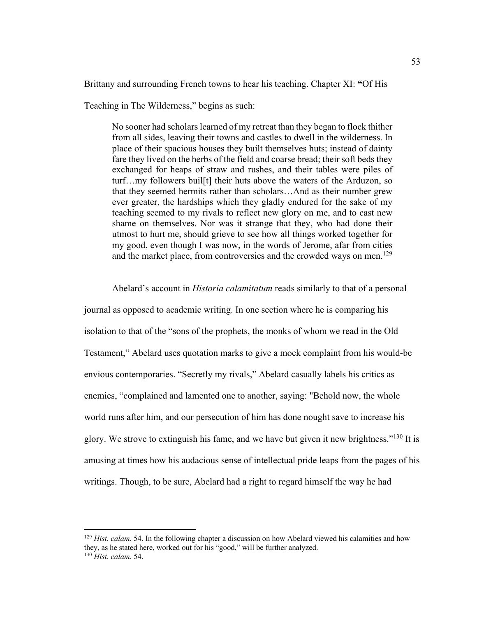Brittany and surrounding French towns to hear his teaching. Chapter XI: **"**Of His

Teaching in The Wilderness," begins as such:

No sooner had scholars learned of my retreat than they began to flock thither from all sides, leaving their towns and castles to dwell in the wilderness. In place of their spacious houses they built themselves huts; instead of dainty fare they lived on the herbs of the field and coarse bread; their soft beds they exchanged for heaps of straw and rushes, and their tables were piles of turf…my followers buil[t] their huts above the waters of the Arduzon, so that they seemed hermits rather than scholars…And as their number grew ever greater, the hardships which they gladly endured for the sake of my teaching seemed to my rivals to reflect new glory on me, and to cast new shame on themselves. Nor was it strange that they, who had done their utmost to hurt me, should grieve to see how all things worked together for my good, even though I was now, in the words of Jerome, afar from cities and the market place, from controversies and the crowded ways on men.<sup>129</sup>

Abelard's account in *Historia calamitatum* reads similarly to that of a personal journal as opposed to academic writing. In one section where he is comparing his isolation to that of the "sons of the prophets, the monks of whom we read in the Old Testament," Abelard uses quotation marks to give a mock complaint from his would-be envious contemporaries. "Secretly my rivals," Abelard casually labels his critics as enemies, "complained and lamented one to another, saying: "Behold now, the whole world runs after him, and our persecution of him has done nought save to increase his glory. We strove to extinguish his fame, and we have but given it new brightness."130 It is amusing at times how his audacious sense of intellectual pride leaps from the pages of his writings. Though, to be sure, Abelard had a right to regard himself the way he had

<sup>&</sup>lt;sup>129</sup> *Hist. calam.* 54. In the following chapter a discussion on how Abelard viewed his calamities and how they, as he stated here, worked out for his "good," will be further analyzed. <sup>130</sup> *Hist. calam*. 54.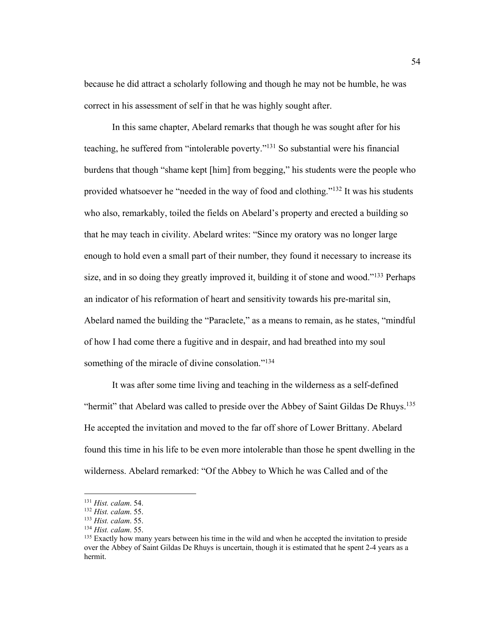because he did attract a scholarly following and though he may not be humble, he was correct in his assessment of self in that he was highly sought after.

In this same chapter, Abelard remarks that though he was sought after for his teaching, he suffered from "intolerable poverty."131 So substantial were his financial burdens that though "shame kept [him] from begging," his students were the people who provided whatsoever he "needed in the way of food and clothing."132 It was his students who also, remarkably, toiled the fields on Abelard's property and erected a building so that he may teach in civility. Abelard writes: "Since my oratory was no longer large enough to hold even a small part of their number, they found it necessary to increase its size, and in so doing they greatly improved it, building it of stone and wood."<sup>133</sup> Perhaps an indicator of his reformation of heart and sensitivity towards his pre-marital sin, Abelard named the building the "Paraclete," as a means to remain, as he states, "mindful of how I had come there a fugitive and in despair, and had breathed into my soul something of the miracle of divine consolation."<sup>134</sup>

It was after some time living and teaching in the wilderness as a self-defined "hermit" that Abelard was called to preside over the Abbey of Saint Gildas De Rhuys.<sup>135</sup> He accepted the invitation and moved to the far off shore of Lower Brittany. Abelard found this time in his life to be even more intolerable than those he spent dwelling in the wilderness. Abelard remarked: "Of the Abbey to Which he was Called and of the

<sup>131</sup> *Hist. calam*. 54.

<sup>132</sup> *Hist. calam*. 55.

<sup>133</sup> *Hist. calam*. 55.

<sup>134</sup> *Hist. calam*. 55.

<sup>&</sup>lt;sup>135</sup> Exactly how many years between his time in the wild and when he accepted the invitation to preside over the Abbey of Saint Gildas De Rhuys is uncertain, though it is estimated that he spent 2-4 years as a hermit.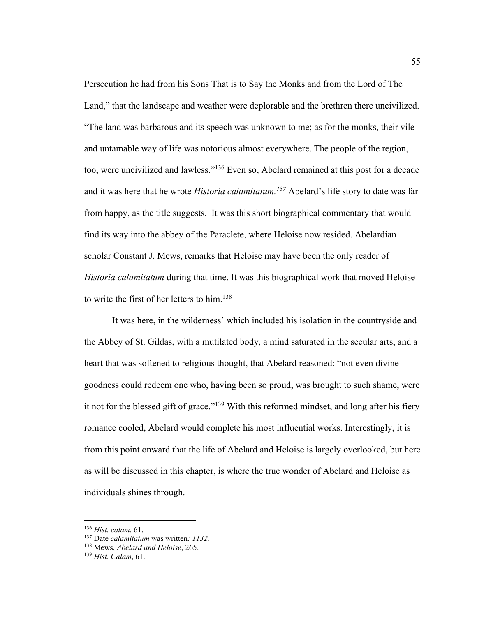Persecution he had from his Sons That is to Say the Monks and from the Lord of The Land," that the landscape and weather were deplorable and the brethren there uncivilized. "The land was barbarous and its speech was unknown to me; as for the monks, their vile and untamable way of life was notorious almost everywhere. The people of the region, too, were uncivilized and lawless."136 Even so, Abelard remained at this post for a decade and it was here that he wrote *Historia calamitatum.137* Abelard's life story to date was far from happy, as the title suggests. It was this short biographical commentary that would find its way into the abbey of the Paraclete, where Heloise now resided. Abelardian scholar Constant J. Mews, remarks that Heloise may have been the only reader of *Historia calamitatum* during that time. It was this biographical work that moved Heloise to write the first of her letters to him.<sup>138</sup>

It was here, in the wilderness' which included his isolation in the countryside and the Abbey of St. Gildas, with a mutilated body, a mind saturated in the secular arts, and a heart that was softened to religious thought, that Abelard reasoned: "not even divine goodness could redeem one who, having been so proud, was brought to such shame, were it not for the blessed gift of grace."<sup>139</sup> With this reformed mindset, and long after his fiery romance cooled, Abelard would complete his most influential works. Interestingly, it is from this point onward that the life of Abelard and Heloise is largely overlooked, but here as will be discussed in this chapter, is where the true wonder of Abelard and Heloise as individuals shines through.

<sup>136</sup> *Hist. calam*. 61.

<sup>137</sup> Date *calamitatum* was written*: 1132.*

<sup>138</sup> Mews, *Abelard and Heloise*, 265. 139 *Hist. Calam*, 61.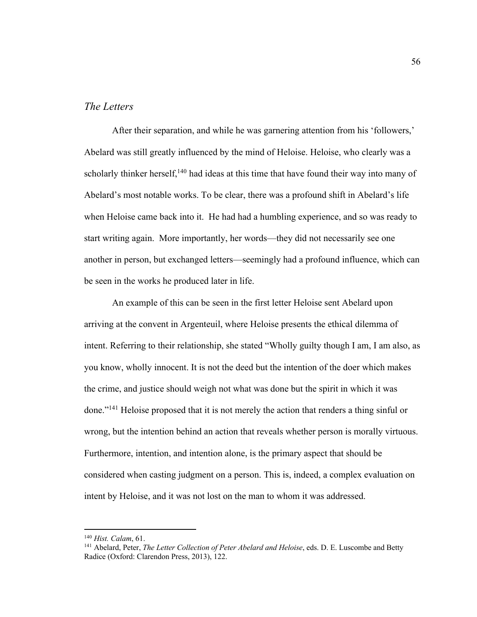#### *The Letters*

After their separation, and while he was garnering attention from his 'followers,' Abelard was still greatly influenced by the mind of Heloise. Heloise, who clearly was a scholarly thinker herself,<sup>140</sup> had ideas at this time that have found their way into many of Abelard's most notable works. To be clear, there was a profound shift in Abelard's life when Heloise came back into it. He had had a humbling experience, and so was ready to start writing again. More importantly, her words—they did not necessarily see one another in person, but exchanged letters—seemingly had a profound influence, which can be seen in the works he produced later in life.

An example of this can be seen in the first letter Heloise sent Abelard upon arriving at the convent in Argenteuil, where Heloise presents the ethical dilemma of intent. Referring to their relationship, she stated "Wholly guilty though I am, I am also, as you know, wholly innocent. It is not the deed but the intention of the doer which makes the crime, and justice should weigh not what was done but the spirit in which it was done."141 Heloise proposed that it is not merely the action that renders a thing sinful or wrong, but the intention behind an action that reveals whether person is morally virtuous. Furthermore, intention, and intention alone, is the primary aspect that should be considered when casting judgment on a person. This is, indeed, a complex evaluation on intent by Heloise, and it was not lost on the man to whom it was addressed.

<sup>140</sup> *Hist. Calam*, 61.

<sup>141</sup> Abelard, Peter, *The Letter Collection of Peter Abelard and Heloise*, eds. D. E. Luscombe and Betty Radice (Oxford: Clarendon Press, 2013), 122.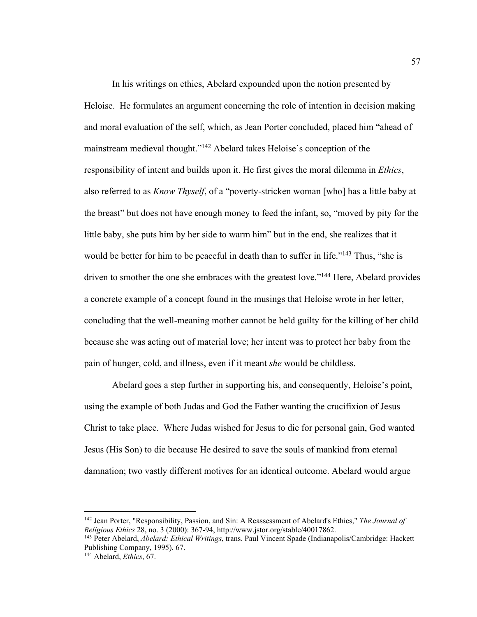In his writings on ethics, Abelard expounded upon the notion presented by Heloise. He formulates an argument concerning the role of intention in decision making and moral evaluation of the self, which, as Jean Porter concluded, placed him "ahead of mainstream medieval thought."142 Abelard takes Heloise's conception of the responsibility of intent and builds upon it. He first gives the moral dilemma in *Ethics*, also referred to as *Know Thyself*, of a "poverty-stricken woman [who] has a little baby at the breast" but does not have enough money to feed the infant, so, "moved by pity for the little baby, she puts him by her side to warm him" but in the end, she realizes that it would be better for him to be peaceful in death than to suffer in life."<sup>143</sup> Thus, "she is driven to smother the one she embraces with the greatest love."<sup>144</sup> Here, Abelard provides a concrete example of a concept found in the musings that Heloise wrote in her letter, concluding that the well-meaning mother cannot be held guilty for the killing of her child because she was acting out of material love; her intent was to protect her baby from the pain of hunger, cold, and illness, even if it meant *she* would be childless.

Abelard goes a step further in supporting his, and consequently, Heloise's point, using the example of both Judas and God the Father wanting the crucifixion of Jesus Christ to take place. Where Judas wished for Jesus to die for personal gain, God wanted Jesus (His Son) to die because He desired to save the souls of mankind from eternal damnation; two vastly different motives for an identical outcome. Abelard would argue

<sup>142</sup> Jean Porter, "Responsibility, Passion, and Sin: A Reassessment of Abelard's Ethics," *The Journal of Religious Ethics* 28, no. 3 (2000): 367-94, http://www.jstor.org/stable/40017862.

<sup>143</sup> Peter Abelard, *Abelard: Ethical Writings*, trans. Paul Vincent Spade (Indianapolis/Cambridge: Hackett Publishing Company, 1995), 67. 144 Abelard, *Ethics*, 67.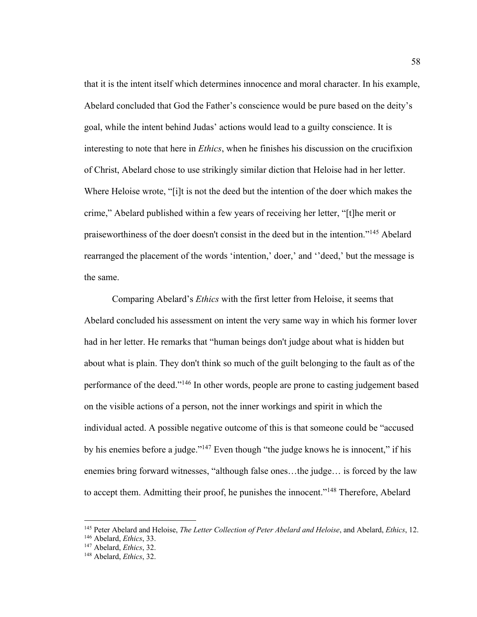that it is the intent itself which determines innocence and moral character. In his example, Abelard concluded that God the Father's conscience would be pure based on the deity's goal, while the intent behind Judas' actions would lead to a guilty conscience. It is interesting to note that here in *Ethics*, when he finishes his discussion on the crucifixion of Christ, Abelard chose to use strikingly similar diction that Heloise had in her letter. Where Heloise wrote, "[i]t is not the deed but the intention of the doer which makes the crime," Abelard published within a few years of receiving her letter, "[t]he merit or praiseworthiness of the doer doesn't consist in the deed but in the intention."145 Abelard rearranged the placement of the words 'intention,' doer,' and ''deed,' but the message is the same.

Comparing Abelard's *Ethics* with the first letter from Heloise, it seems that Abelard concluded his assessment on intent the very same way in which his former lover had in her letter. He remarks that "human beings don't judge about what is hidden but about what is plain. They don't think so much of the guilt belonging to the fault as of the performance of the deed."146 In other words, people are prone to casting judgement based on the visible actions of a person, not the inner workings and spirit in which the individual acted. A possible negative outcome of this is that someone could be "accused by his enemies before a judge."<sup>147</sup> Even though "the judge knows he is innocent," if his enemies bring forward witnesses, "although false ones…the judge… is forced by the law to accept them. Admitting their proof, he punishes the innocent."<sup>148</sup> Therefore, Abelard

<sup>145</sup> Peter Abelard and Heloise, *The Letter Collection of Peter Abelard and Heloise*, and Abelard, *Ethics*, 12.

<sup>146</sup> Abelard, *Ethics*, 33.

<sup>147</sup> Abelard, *Ethics*, 32.

<sup>148</sup> Abelard, *Ethics*, 32.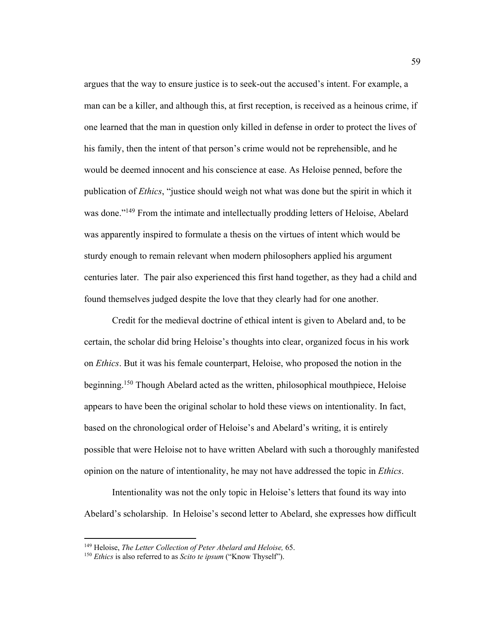argues that the way to ensure justice is to seek-out the accused's intent. For example, a man can be a killer, and although this, at first reception, is received as a heinous crime, if one learned that the man in question only killed in defense in order to protect the lives of his family, then the intent of that person's crime would not be reprehensible, and he would be deemed innocent and his conscience at ease. As Heloise penned, before the publication of *Ethics*, "justice should weigh not what was done but the spirit in which it was done."<sup>149</sup> From the intimate and intellectually prodding letters of Heloise, Abelard was apparently inspired to formulate a thesis on the virtues of intent which would be sturdy enough to remain relevant when modern philosophers applied his argument centuries later. The pair also experienced this first hand together, as they had a child and found themselves judged despite the love that they clearly had for one another.

Credit for the medieval doctrine of ethical intent is given to Abelard and, to be certain, the scholar did bring Heloise's thoughts into clear, organized focus in his work on *Ethics*. But it was his female counterpart, Heloise, who proposed the notion in the beginning.<sup>150</sup> Though Abelard acted as the written, philosophical mouthpiece, Heloise appears to have been the original scholar to hold these views on intentionality. In fact, based on the chronological order of Heloise's and Abelard's writing, it is entirely possible that were Heloise not to have written Abelard with such a thoroughly manifested opinion on the nature of intentionality, he may not have addressed the topic in *Ethics*.

Intentionality was not the only topic in Heloise's letters that found its way into Abelard's scholarship. In Heloise's second letter to Abelard, she expresses how difficult

<sup>149</sup> Heloise, *The Letter Collection of Peter Abelard and Heloise,* 65. 150 *Ethics* is also referred to as *Scito te ipsum* ("Know Thyself").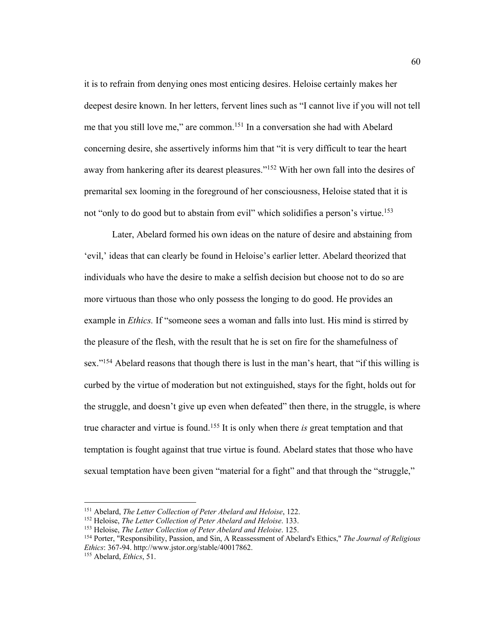it is to refrain from denying ones most enticing desires. Heloise certainly makes her deepest desire known. In her letters, fervent lines such as "I cannot live if you will not tell me that you still love me," are common.151 In a conversation she had with Abelard concerning desire, she assertively informs him that "it is very difficult to tear the heart away from hankering after its dearest pleasures."<sup>152</sup> With her own fall into the desires of premarital sex looming in the foreground of her consciousness, Heloise stated that it is not "only to do good but to abstain from evil" which solidifies a person's virtue.<sup>153</sup>

Later, Abelard formed his own ideas on the nature of desire and abstaining from 'evil,' ideas that can clearly be found in Heloise's earlier letter. Abelard theorized that individuals who have the desire to make a selfish decision but choose not to do so are more virtuous than those who only possess the longing to do good. He provides an example in *Ethics.* If "someone sees a woman and falls into lust. His mind is stirred by the pleasure of the flesh, with the result that he is set on fire for the shamefulness of sex."<sup>154</sup> Abelard reasons that though there is lust in the man's heart, that "if this willing is curbed by the virtue of moderation but not extinguished, stays for the fight, holds out for the struggle, and doesn't give up even when defeated" then there, in the struggle, is where true character and virtue is found.155 It is only when there *is* great temptation and that temptation is fought against that true virtue is found. Abelard states that those who have sexual temptation have been given "material for a fight" and that through the "struggle,"

<sup>151</sup> Abelard, *The Letter Collection of Peter Abelard and Heloise*, 122. 152 Heloise, *The Letter Collection of Peter Abelard and Heloise*. 133.

<sup>153</sup> Heloise, *The Letter Collection of Peter Abelard and Heloise*. 125.

<sup>154</sup> Porter, "Responsibility, Passion, and Sin, A Reassessment of Abelard's Ethics," *The Journal of Religious Ethics*: 367-94. http://www.jstor.org/stable/40017862.

<sup>155</sup> Abelard, *Ethics*, 51.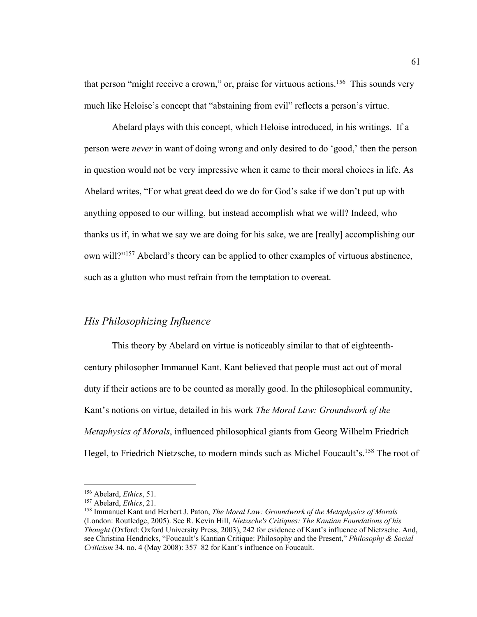that person "might receive a crown," or, praise for virtuous actions.<sup>156</sup> This sounds very much like Heloise's concept that "abstaining from evil" reflects a person's virtue.

Abelard plays with this concept, which Heloise introduced, in his writings. If a person were *never* in want of doing wrong and only desired to do 'good,' then the person in question would not be very impressive when it came to their moral choices in life. As Abelard writes, "For what great deed do we do for God's sake if we don't put up with anything opposed to our willing, but instead accomplish what we will? Indeed, who thanks us if, in what we say we are doing for his sake, we are [really] accomplishing our own will?"157 Abelard's theory can be applied to other examples of virtuous abstinence, such as a glutton who must refrain from the temptation to overeat.

#### *His Philosophizing Influence*

This theory by Abelard on virtue is noticeably similar to that of eighteenthcentury philosopher Immanuel Kant. Kant believed that people must act out of moral duty if their actions are to be counted as morally good. In the philosophical community, Kant's notions on virtue, detailed in his work *The Moral Law: Groundwork of the Metaphysics of Morals*, influenced philosophical giants from Georg Wilhelm Friedrich Hegel, to Friedrich Nietzsche, to modern minds such as Michel Foucault's.<sup>158</sup> The root of

<sup>156</sup> Abelard, *Ethics*, 51. 157 Abelard, *Ethics*, 21.

<sup>158</sup> Immanuel Kant and Herbert J. Paton, *The Moral Law: Groundwork of the Metaphysics of Morals* (London: Routledge, 2005). See R. Kevin Hill, *Nietzsche's Critiques: The Kantian Foundations of his Thought* (Oxford: Oxford University Press, 2003), 242 for evidence of Kant's influence of Nietzsche. And, see Christina Hendricks, "Foucault's Kantian Critique: Philosophy and the Present," *Philosophy & Social Criticism* 34, no. 4 (May 2008): 357–82 for Kant's influence on Foucault.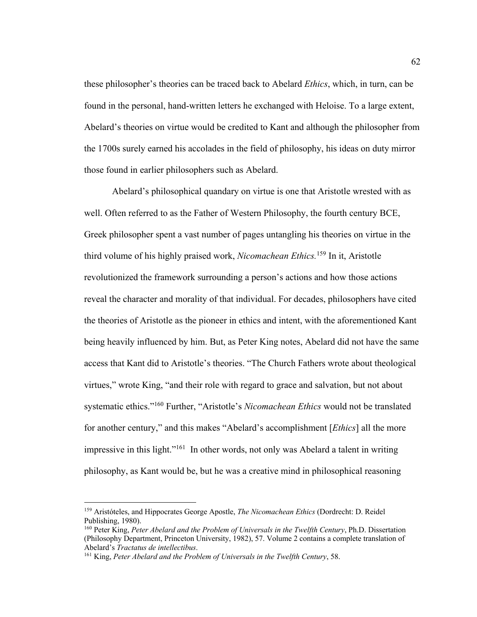these philosopher's theories can be traced back to Abelard *Ethics*, which, in turn, can be found in the personal, hand-written letters he exchanged with Heloise. To a large extent, Abelard's theories on virtue would be credited to Kant and although the philosopher from the 1700s surely earned his accolades in the field of philosophy, his ideas on duty mirror those found in earlier philosophers such as Abelard.

Abelard's philosophical quandary on virtue is one that Aristotle wrested with as well. Often referred to as the Father of Western Philosophy, the fourth century BCE, Greek philosopher spent a vast number of pages untangling his theories on virtue in the third volume of his highly praised work, *Nicomachean Ethics.*<sup>159</sup> In it, Aristotle revolutionized the framework surrounding a person's actions and how those actions reveal the character and morality of that individual. For decades, philosophers have cited the theories of Aristotle as the pioneer in ethics and intent, with the aforementioned Kant being heavily influenced by him. But, as Peter King notes, Abelard did not have the same access that Kant did to Aristotle's theories. "The Church Fathers wrote about theological virtues," wrote King, "and their role with regard to grace and salvation, but not about systematic ethics."160 Further, "Aristotle's *Nicomachean Ethics* would not be translated for another century," and this makes "Abelard's accomplishment [*Ethics*] all the more impressive in this light."<sup>161</sup> In other words, not only was Abelard a talent in writing philosophy, as Kant would be, but he was a creative mind in philosophical reasoning

<sup>159</sup> Aristóteles, and Hippocrates George Apostle, *The Nicomachean Ethics* (Dordrecht: D. Reidel Publishing, 1980).

<sup>160</sup> Peter King, *Peter Abelard and the Problem of Universals in the Twelfth Century*, Ph.D. Dissertation (Philosophy Department, Princeton University, 1982), 57. Volume 2 contains a complete translation of Abelard's *Tractatus de intellectibus*.

<sup>161</sup> King, *Peter Abelard and the Problem of Universals in the Twelfth Century*, 58.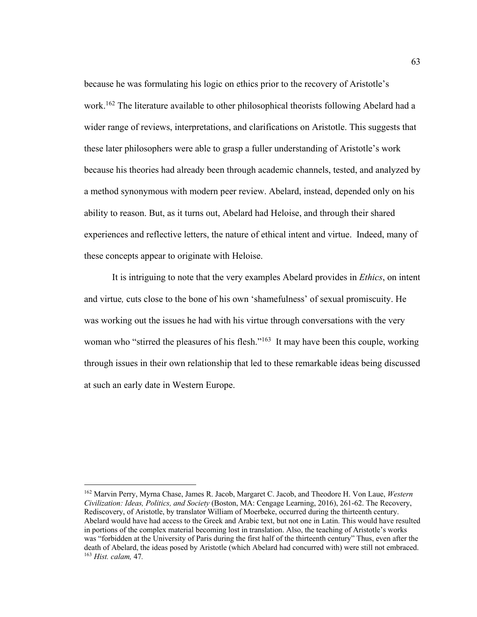because he was formulating his logic on ethics prior to the recovery of Aristotle's work.162 The literature available to other philosophical theorists following Abelard had a wider range of reviews, interpretations, and clarifications on Aristotle. This suggests that these later philosophers were able to grasp a fuller understanding of Aristotle's work because his theories had already been through academic channels, tested, and analyzed by a method synonymous with modern peer review. Abelard, instead, depended only on his ability to reason. But, as it turns out, Abelard had Heloise, and through their shared experiences and reflective letters, the nature of ethical intent and virtue. Indeed, many of these concepts appear to originate with Heloise.

It is intriguing to note that the very examples Abelard provides in *Ethics*, on intent and virtue*,* cuts close to the bone of his own 'shamefulness' of sexual promiscuity. He was working out the issues he had with his virtue through conversations with the very woman who "stirred the pleasures of his flesh."<sup>163</sup> It may have been this couple, working through issues in their own relationship that led to these remarkable ideas being discussed at such an early date in Western Europe.

<sup>162</sup> Marvin Perry, Myrna Chase, James R. Jacob, Margaret C. Jacob, and Theodore H. Von Laue, *Western Civilization: Ideas, Politics, and Society* (Boston, MA: Cengage Learning, 2016), 261-62. The Recovery, Rediscovery, of Aristotle, by translator William of Moerbeke, occurred during the thirteenth century. Abelard would have had access to the Greek and Arabic text, but not one in Latin. This would have resulted in portions of the complex material becoming lost in translation. Also, the teaching of Aristotle's works was "forbidden at the University of Paris during the first half of the thirteenth century" Thus, even after the death of Abelard, the ideas posed by Aristotle (which Abelard had concurred with) were still not embraced. <sup>163</sup> *Hist. calam,* 47*.*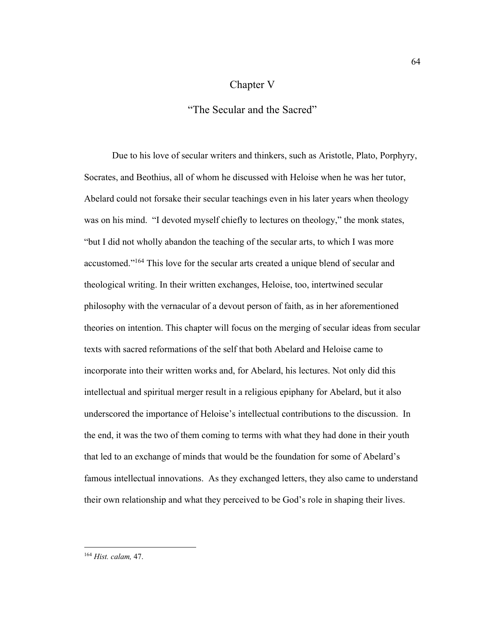## Chapter V

"The Secular and the Sacred"

Due to his love of secular writers and thinkers, such as Aristotle, Plato, Porphyry, Socrates, and Beothius, all of whom he discussed with Heloise when he was her tutor, Abelard could not forsake their secular teachings even in his later years when theology was on his mind. "I devoted myself chiefly to lectures on theology," the monk states, "but I did not wholly abandon the teaching of the secular arts, to which I was more accustomed."164 This love for the secular arts created a unique blend of secular and theological writing. In their written exchanges, Heloise, too, intertwined secular philosophy with the vernacular of a devout person of faith, as in her aforementioned theories on intention. This chapter will focus on the merging of secular ideas from secular texts with sacred reformations of the self that both Abelard and Heloise came to incorporate into their written works and, for Abelard, his lectures. Not only did this intellectual and spiritual merger result in a religious epiphany for Abelard, but it also underscored the importance of Heloise's intellectual contributions to the discussion. In the end, it was the two of them coming to terms with what they had done in their youth that led to an exchange of minds that would be the foundation for some of Abelard's famous intellectual innovations. As they exchanged letters, they also came to understand their own relationship and what they perceived to be God's role in shaping their lives.

<sup>164</sup> *Hist. calam,* 47.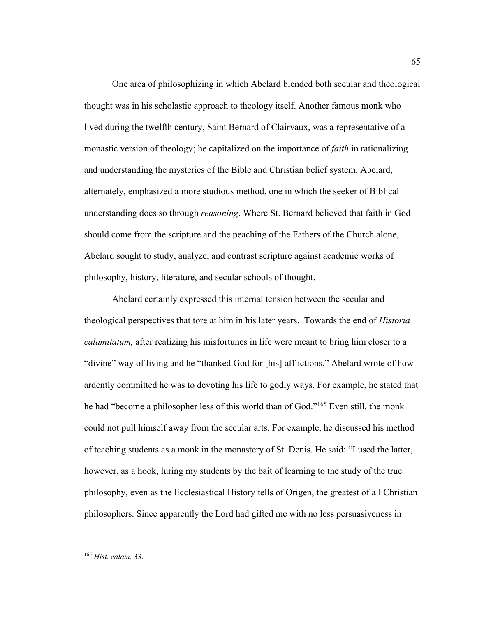One area of philosophizing in which Abelard blended both secular and theological thought was in his scholastic approach to theology itself. Another famous monk who lived during the twelfth century, Saint Bernard of Clairvaux, was a representative of a monastic version of theology; he capitalized on the importance of *faith* in rationalizing and understanding the mysteries of the Bible and Christian belief system. Abelard, alternately, emphasized a more studious method, one in which the seeker of Biblical understanding does so through *reasoning*. Where St. Bernard believed that faith in God should come from the scripture and the peaching of the Fathers of the Church alone, Abelard sought to study, analyze, and contrast scripture against academic works of philosophy, history, literature, and secular schools of thought.

Abelard certainly expressed this internal tension between the secular and theological perspectives that tore at him in his later years. Towards the end of *Historia calamitatum,* after realizing his misfortunes in life were meant to bring him closer to a "divine" way of living and he "thanked God for [his] afflictions," Abelard wrote of how ardently committed he was to devoting his life to godly ways. For example, he stated that he had "become a philosopher less of this world than of God."165 Even still, the monk could not pull himself away from the secular arts. For example, he discussed his method of teaching students as a monk in the monastery of St. Denis. He said: "I used the latter, however, as a hook, luring my students by the bait of learning to the study of the true philosophy, even as the Ecclesiastical History tells of Origen, the greatest of all Christian philosophers. Since apparently the Lord had gifted me with no less persuasiveness in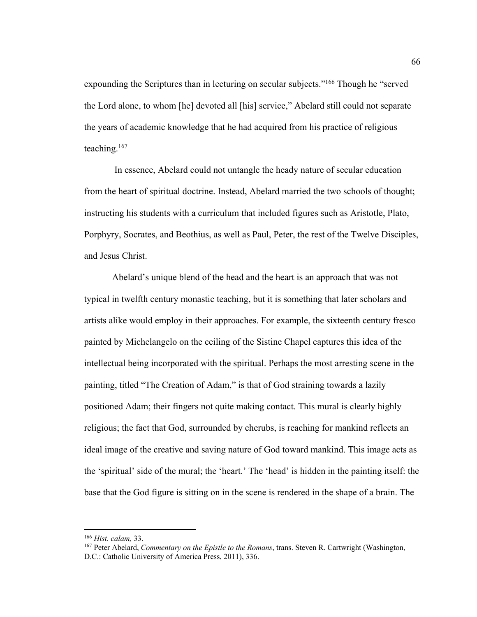expounding the Scriptures than in lecturing on secular subjects."<sup>166</sup> Though he "served the Lord alone, to whom [he] devoted all [his] service," Abelard still could not separate the years of academic knowledge that he had acquired from his practice of religious teaching.167

In essence, Abelard could not untangle the heady nature of secular education from the heart of spiritual doctrine. Instead, Abelard married the two schools of thought; instructing his students with a curriculum that included figures such as Aristotle, Plato, Porphyry, Socrates, and Beothius, as well as Paul, Peter, the rest of the Twelve Disciples, and Jesus Christ.

Abelard's unique blend of the head and the heart is an approach that was not typical in twelfth century monastic teaching, but it is something that later scholars and artists alike would employ in their approaches. For example, the sixteenth century fresco painted by Michelangelo on the ceiling of the Sistine Chapel captures this idea of the intellectual being incorporated with the spiritual. Perhaps the most arresting scene in the painting, titled "The Creation of Adam," is that of God straining towards a lazily positioned Adam; their fingers not quite making contact. This mural is clearly highly religious; the fact that God, surrounded by cherubs, is reaching for mankind reflects an ideal image of the creative and saving nature of God toward mankind. This image acts as the 'spiritual' side of the mural; the 'heart.' The 'head' is hidden in the painting itself: the base that the God figure is sitting on in the scene is rendered in the shape of a brain. The

<sup>166</sup> *Hist. calam,* 33.

<sup>167</sup> Peter Abelard, *Commentary on the Epistle to the Romans*, trans. Steven R. Cartwright (Washington, D.C.: Catholic University of America Press, 2011), 336.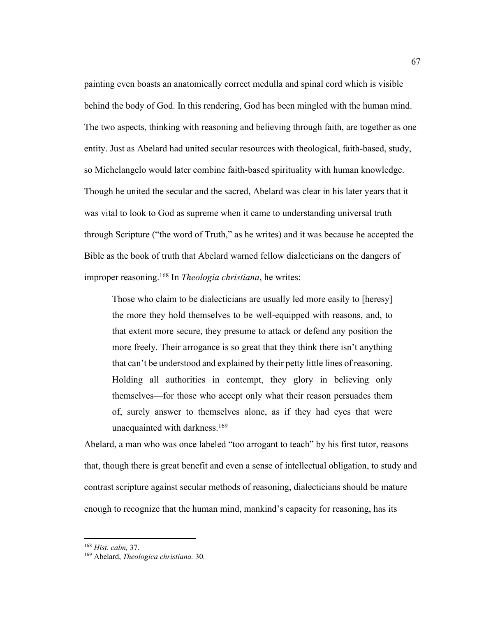painting even boasts an anatomically correct medulla and spinal cord which is visible behind the body of God. In this rendering, God has been mingled with the human mind. The two aspects, thinking with reasoning and believing through faith, are together as one entity. Just as Abelard had united secular resources with theological, faith-based, study, so Michelangelo would later combine faith-based spirituality with human knowledge. Though he united the secular and the sacred, Abelard was clear in his later years that it was vital to look to God as supreme when it came to understanding universal truth through Scripture ("the word of Truth," as he writes) and it was because he accepted the Bible as the book of truth that Abelard warned fellow dialecticians on the dangers of improper reasoning.168 In *Theologia christiana*, he writes:

Those who claim to be dialecticians are usually led more easily to [heresy] the more they hold themselves to be well-equipped with reasons, and, to that extent more secure, they presume to attack or defend any position the more freely. Their arrogance is so great that they think there isn't anything that can't be understood and explained by their petty little lines of reasoning. Holding all authorities in contempt, they glory in believing only themselves—for those who accept only what their reason persuades them of, surely answer to themselves alone, as if they had eyes that were unacquainted with darkness.<sup>169</sup>

Abelard, a man who was once labeled "too arrogant to teach" by his first tutor, reasons that, though there is great benefit and even a sense of intellectual obligation, to study and contrast scripture against secular methods of reasoning, dialecticians should be mature enough to recognize that the human mind, mankind's capacity for reasoning, has its

<sup>168</sup> *Hist. calm,* 37. 169 Abelard, *Theologica christiana.* 30*.*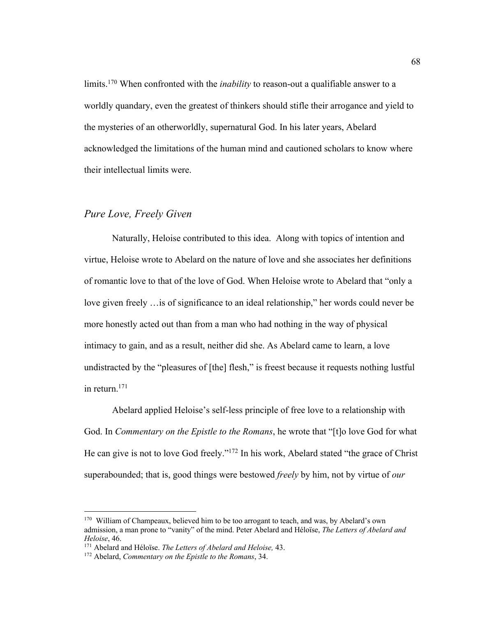limits.<sup>170</sup> When confronted with the *inability* to reason-out a qualifiable answer to a worldly quandary, even the greatest of thinkers should stifle their arrogance and yield to the mysteries of an otherworldly, supernatural God. In his later years, Abelard acknowledged the limitations of the human mind and cautioned scholars to know where their intellectual limits were.

# *Pure Love, Freely Given*

Naturally, Heloise contributed to this idea. Along with topics of intention and virtue, Heloise wrote to Abelard on the nature of love and she associates her definitions of romantic love to that of the love of God. When Heloise wrote to Abelard that "only a love given freely …is of significance to an ideal relationship," her words could never be more honestly acted out than from a man who had nothing in the way of physical intimacy to gain, and as a result, neither did she. As Abelard came to learn, a love undistracted by the "pleasures of [the] flesh," is freest because it requests nothing lustful in return.171

Abelard applied Heloise's self-less principle of free love to a relationship with God. In *Commentary on the Epistle to the Romans*, he wrote that "[t]o love God for what He can give is not to love God freely."172 In his work, Abelard stated "the grace of Christ superabounded; that is, good things were bestowed *freely* by him, not by virtue of *our*

<sup>&</sup>lt;sup>170</sup> William of Champeaux, believed him to be too arrogant to teach, and was, by Abelard's own admission, a man prone to "vanity" of the mind. Peter Abelard and Héloïse, *The Letters of Abelard and Heloise*, 46. 171 Abelard and Héloïse. *The Letters of Abelard and Heloise,* 43.

<sup>172</sup> Abelard, *Commentary on the Epistle to the Romans*, 34.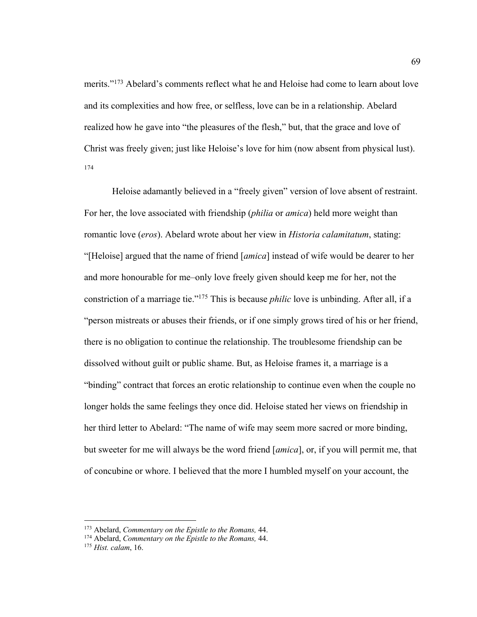merits."<sup>173</sup> Abelard's comments reflect what he and Heloise had come to learn about love and its complexities and how free, or selfless, love can be in a relationship. Abelard realized how he gave into "the pleasures of the flesh," but, that the grace and love of Christ was freely given; just like Heloise's love for him (now absent from physical lust). 174

Heloise adamantly believed in a "freely given" version of love absent of restraint. For her, the love associated with friendship (*philia* or *amica*) held more weight than romantic love (*eros*). Abelard wrote about her view in *Historia calamitatum*, stating: "[Heloise] argued that the name of friend [*amica*] instead of wife would be dearer to her and more honourable for me–only love freely given should keep me for her, not the constriction of a marriage tie."175 This is because *philic* love is unbinding. After all, if a "person mistreats or abuses their friends, or if one simply grows tired of his or her friend, there is no obligation to continue the relationship. The troublesome friendship can be dissolved without guilt or public shame. But, as Heloise frames it, a marriage is a "binding" contract that forces an erotic relationship to continue even when the couple no longer holds the same feelings they once did. Heloise stated her views on friendship in her third letter to Abelard: "The name of wife may seem more sacred or more binding, but sweeter for me will always be the word friend [*amica*], or, if you will permit me, that of concubine or whore. I believed that the more I humbled myself on your account, the

<sup>173</sup> Abelard, *Commentary on the Epistle to the Romans,* 44.

<sup>174</sup> Abelard, *Commentary on the Epistle to the Romans,* 44.

<sup>175</sup> *Hist. calam*, 16.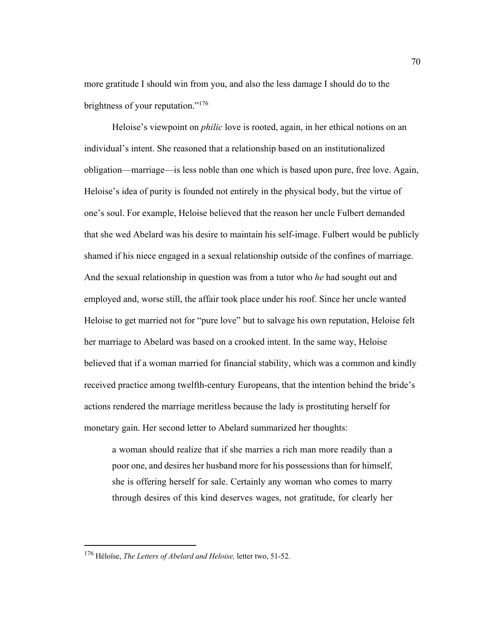more gratitude I should win from you, and also the less damage I should do to the brightness of your reputation."<sup>176</sup>

Heloise's viewpoint on *philic* love is rooted, again, in her ethical notions on an individual's intent. She reasoned that a relationship based on an institutionalized obligation—marriage—is less noble than one which is based upon pure, free love. Again, Heloise's idea of purity is founded not entirely in the physical body, but the virtue of one's soul. For example, Heloise believed that the reason her uncle Fulbert demanded that she wed Abelard was his desire to maintain his self-image. Fulbert would be publicly shamed if his niece engaged in a sexual relationship outside of the confines of marriage. And the sexual relationship in question was from a tutor who *he* had sought out and employed and, worse still, the affair took place under his roof. Since her uncle wanted Heloise to get married not for "pure love" but to salvage his own reputation, Heloise felt her marriage to Abelard was based on a crooked intent. In the same way, Heloise believed that if a woman married for financial stability, which was a common and kindly received practice among twelfth-century Europeans, that the intention behind the bride's actions rendered the marriage meritless because the lady is prostituting herself for monetary gain. Her second letter to Abelard summarized her thoughts:

a woman should realize that if she marries a rich man more readily than a poor one, and desires her husband more for his possessions than for himself, she is offering herself for sale. Certainly any woman who comes to marry through desires of this kind deserves wages, not gratitude, for clearly her

<sup>176</sup> Héloïse, *The Letters of Abelard and Heloise,* letter two, 51-52.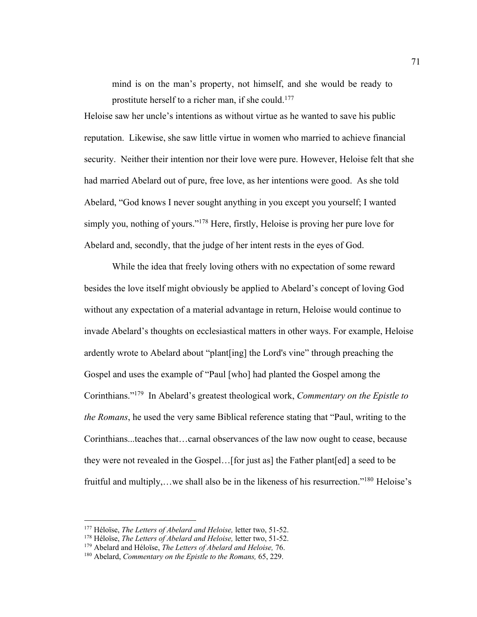mind is on the man's property, not himself, and she would be ready to prostitute herself to a richer man, if she could.<sup>177</sup>

Heloise saw her uncle's intentions as without virtue as he wanted to save his public reputation. Likewise, she saw little virtue in women who married to achieve financial security. Neither their intention nor their love were pure. However, Heloise felt that she had married Abelard out of pure, free love, as her intentions were good. As she told Abelard, "God knows I never sought anything in you except you yourself; I wanted simply you, nothing of yours."178 Here, firstly, Heloise is proving her pure love for Abelard and, secondly, that the judge of her intent rests in the eyes of God.

While the idea that freely loving others with no expectation of some reward besides the love itself might obviously be applied to Abelard's concept of loving God without any expectation of a material advantage in return, Heloise would continue to invade Abelard's thoughts on ecclesiastical matters in other ways. For example, Heloise ardently wrote to Abelard about "plant[ing] the Lord's vine" through preaching the Gospel and uses the example of "Paul [who] had planted the Gospel among the Corinthians."179 In Abelard's greatest theological work, *Commentary on the Epistle to the Romans*, he used the very same Biblical reference stating that "Paul, writing to the Corinthians...teaches that…carnal observances of the law now ought to cease, because they were not revealed in the Gospel…[for just as] the Father plant[ed] a seed to be fruitful and multiply,...we shall also be in the likeness of his resurrection."<sup>180</sup> Heloise's

<sup>177</sup> Héloïse, *The Letters of Abelard and Heloise,* letter two, 51-52. 178 Héloïse, *The Letters of Abelard and Heloise,* letter two, 51-52.

<sup>179</sup> Abelard and Héloïse, *The Letters of Abelard and Heloise,* 76.

<sup>180</sup> Abelard, *Commentary on the Epistle to the Romans,* 65, 229.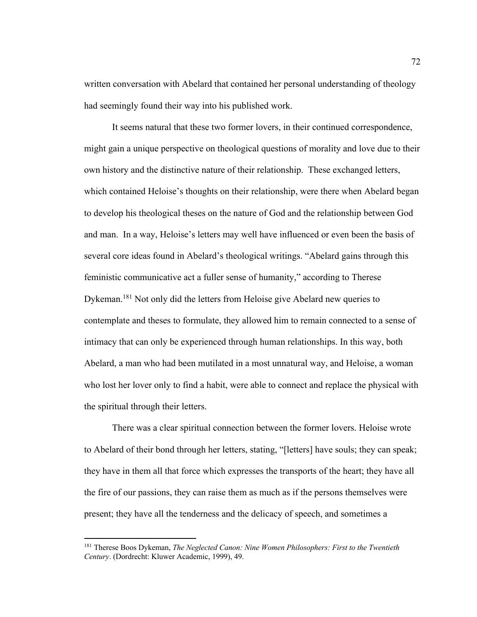written conversation with Abelard that contained her personal understanding of theology had seemingly found their way into his published work.

It seems natural that these two former lovers, in their continued correspondence, might gain a unique perspective on theological questions of morality and love due to their own history and the distinctive nature of their relationship. These exchanged letters, which contained Heloise's thoughts on their relationship, were there when Abelard began to develop his theological theses on the nature of God and the relationship between God and man. In a way, Heloise's letters may well have influenced or even been the basis of several core ideas found in Abelard's theological writings. "Abelard gains through this feministic communicative act a fuller sense of humanity," according to Therese Dykeman.<sup>181</sup> Not only did the letters from Heloise give Abelard new queries to contemplate and theses to formulate, they allowed him to remain connected to a sense of intimacy that can only be experienced through human relationships. In this way, both Abelard, a man who had been mutilated in a most unnatural way, and Heloise, a woman who lost her lover only to find a habit, were able to connect and replace the physical with the spiritual through their letters.

 There was a clear spiritual connection between the former lovers. Heloise wrote to Abelard of their bond through her letters, stating, "[letters] have souls; they can speak; they have in them all that force which expresses the transports of the heart; they have all the fire of our passions, they can raise them as much as if the persons themselves were present; they have all the tenderness and the delicacy of speech, and sometimes a

<sup>181</sup> Therese Boos Dykeman, *The Neglected Canon: Nine Women Philosophers: First to the Twentieth Century*. (Dordrecht: Kluwer Academic, 1999), 49.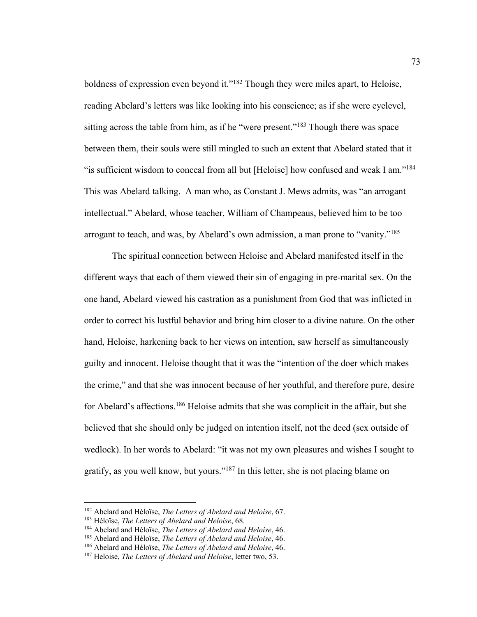boldness of expression even beyond it."<sup>182</sup> Though they were miles apart, to Heloise, reading Abelard's letters was like looking into his conscience; as if she were eyelevel, sitting across the table from him, as if he "were present."<sup>183</sup> Though there was space between them, their souls were still mingled to such an extent that Abelard stated that it "is sufficient wisdom to conceal from all but [Heloise] how confused and weak I am."<sup>184</sup> This was Abelard talking. A man who, as Constant J. Mews admits, was "an arrogant intellectual." Abelard, whose teacher, William of Champeaus, believed him to be too arrogant to teach, and was, by Abelard's own admission, a man prone to "vanity."<sup>185</sup>

The spiritual connection between Heloise and Abelard manifested itself in the different ways that each of them viewed their sin of engaging in pre-marital sex. On the one hand, Abelard viewed his castration as a punishment from God that was inflicted in order to correct his lustful behavior and bring him closer to a divine nature. On the other hand, Heloise, harkening back to her views on intention, saw herself as simultaneously guilty and innocent. Heloise thought that it was the "intention of the doer which makes the crime," and that she was innocent because of her youthful, and therefore pure, desire for Abelard's affections.<sup>186</sup> Heloise admits that she was complicit in the affair, but she believed that she should only be judged on intention itself, not the deed (sex outside of wedlock). In her words to Abelard: "it was not my own pleasures and wishes I sought to gratify, as you well know, but yours."187 In this letter, she is not placing blame on

<sup>182</sup> Abelard and Héloïse, *The Letters of Abelard and Heloise*, 67.

<sup>&</sup>lt;sup>183</sup> Héloïse, *The Letters of Abelard and Heloise*, 68.<br><sup>184</sup> Abelard and Héloïse, *The Letters of Abelard and Heloise*, 46.<br><sup>185</sup> Abelard and Héloïse, *The Letters of Abelard and Heloise*, 46.<br><sup>186</sup> Abelard and Héloïse,

<sup>187</sup> Heloise, *The Letters of Abelard and Heloise*, letter two, 53.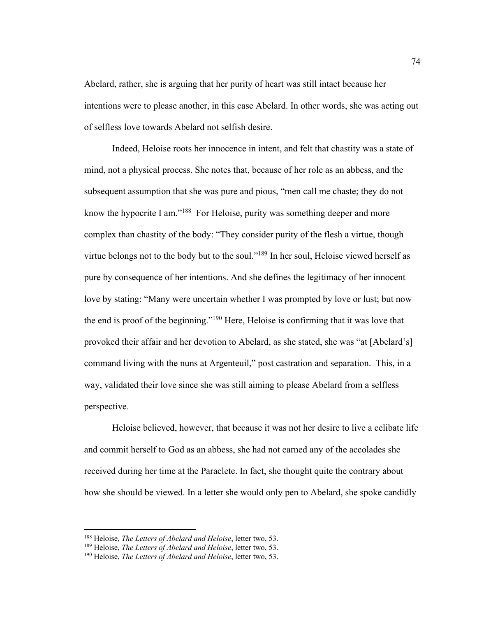Abelard, rather, she is arguing that her purity of heart was still intact because her intentions were to please another, in this case Abelard. In other words, she was acting out of selfless love towards Abelard not selfish desire.

Indeed, Heloise roots her innocence in intent, and felt that chastity was a state of mind, not a physical process. She notes that, because of her role as an abbess, and the subsequent assumption that she was pure and pious, "men call me chaste; they do not know the hypocrite I am."<sup>188</sup> For Heloise, purity was something deeper and more complex than chastity of the body: "They consider purity of the flesh a virtue, though virtue belongs not to the body but to the soul."<sup>189</sup> In her soul, Heloise viewed herself as pure by consequence of her intentions. And she defines the legitimacy of her innocent love by stating: "Many were uncertain whether I was prompted by love or lust; but now the end is proof of the beginning."190 Here, Heloise is confirming that it was love that provoked their affair and her devotion to Abelard, as she stated, she was "at [Abelard's] command living with the nuns at Argenteuil," post castration and separation. This, in a way, validated their love since she was still aiming to please Abelard from a selfless perspective.

Heloise believed, however, that because it was not her desire to live a celibate life and commit herself to God as an abbess, she had not earned any of the accolades she received during her time at the Paraclete. In fact, she thought quite the contrary about how she should be viewed. In a letter she would only pen to Abelard, she spoke candidly

<sup>188</sup> Heloise, *The Letters of Abelard and Heloise*, letter two, 53.

<sup>189</sup> Heloise, *The Letters of Abelard and Heloise*, letter two, 53.

<sup>190</sup> Heloise, *The Letters of Abelard and Heloise*, letter two, 53.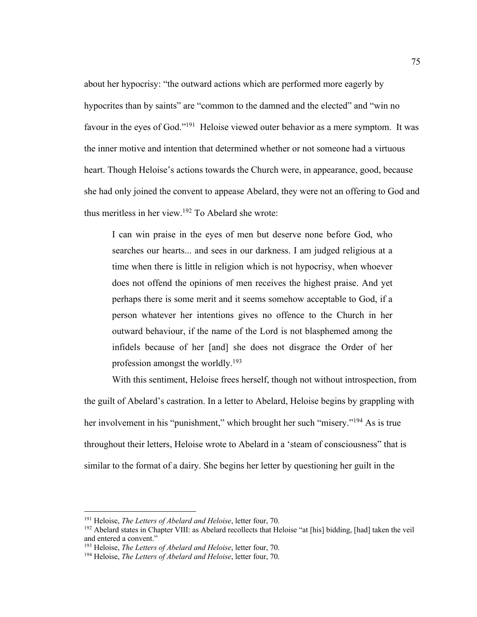about her hypocrisy: "the outward actions which are performed more eagerly by hypocrites than by saints" are "common to the damned and the elected" and "win no favour in the eyes of God."191 Heloise viewed outer behavior as a mere symptom. It was the inner motive and intention that determined whether or not someone had a virtuous heart. Though Heloise's actions towards the Church were, in appearance, good, because she had only joined the convent to appease Abelard, they were not an offering to God and thus meritless in her view. <sup>192</sup> To Abelard she wrote:

I can win praise in the eyes of men but deserve none before God, who searches our hearts... and sees in our darkness. I am judged religious at a time when there is little in religion which is not hypocrisy, when whoever does not offend the opinions of men receives the highest praise. And yet perhaps there is some merit and it seems somehow acceptable to God, if a person whatever her intentions gives no offence to the Church in her outward behaviour, if the name of the Lord is not blasphemed among the infidels because of her [and] she does not disgrace the Order of her profession amongst the worldly.193

With this sentiment, Heloise frees herself, though not without introspection, from the guilt of Abelard's castration. In a letter to Abelard, Heloise begins by grappling with her involvement in his "punishment," which brought her such "misery."<sup>194</sup> As is true throughout their letters, Heloise wrote to Abelard in a 'steam of consciousness" that is similar to the format of a dairy. She begins her letter by questioning her guilt in the

<sup>191</sup> Heloise, *The Letters of Abelard and Heloise*, letter four, 70.

<sup>&</sup>lt;sup>192</sup> Abelard states in Chapter VIII: as Abelard recollects that Heloise "at [his] bidding, [had] taken the veil and entered a convent."

<sup>193</sup> Heloise, *The Letters of Abelard and Heloise*, letter four, 70.

<sup>194</sup> Heloise, *The Letters of Abelard and Heloise*, letter four, 70.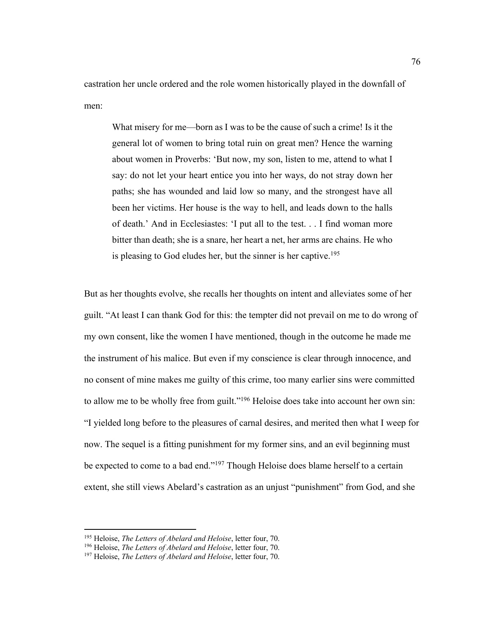castration her uncle ordered and the role women historically played in the downfall of men:

What misery for me—born as I was to be the cause of such a crime! Is it the general lot of women to bring total ruin on great men? Hence the warning about women in Proverbs: 'But now, my son, listen to me, attend to what I say: do not let your heart entice you into her ways, do not stray down her paths; she has wounded and laid low so many, and the strongest have all been her victims. Her house is the way to hell, and leads down to the halls of death.' And in Ecclesiastes: 'I put all to the test. . . I find woman more bitter than death; she is a snare, her heart a net, her arms are chains. He who is pleasing to God eludes her, but the sinner is her captive.<sup>195</sup>

But as her thoughts evolve, she recalls her thoughts on intent and alleviates some of her guilt. "At least I can thank God for this: the tempter did not prevail on me to do wrong of my own consent, like the women I have mentioned, though in the outcome he made me the instrument of his malice. But even if my conscience is clear through innocence, and no consent of mine makes me guilty of this crime, too many earlier sins were committed to allow me to be wholly free from guilt."<sup>196</sup> Heloise does take into account her own sin: "I yielded long before to the pleasures of carnal desires, and merited then what I weep for now. The sequel is a fitting punishment for my former sins, and an evil beginning must be expected to come to a bad end."<sup>197</sup> Though Heloise does blame herself to a certain extent, she still views Abelard's castration as an unjust "punishment" from God, and she

<sup>195</sup> Heloise, *The Letters of Abelard and Heloise*, letter four, 70. 196 Heloise, *The Letters of Abelard and Heloise*, letter four, 70. 197 Heloise, *The Letters of Abelard and Heloise*, letter four, 70.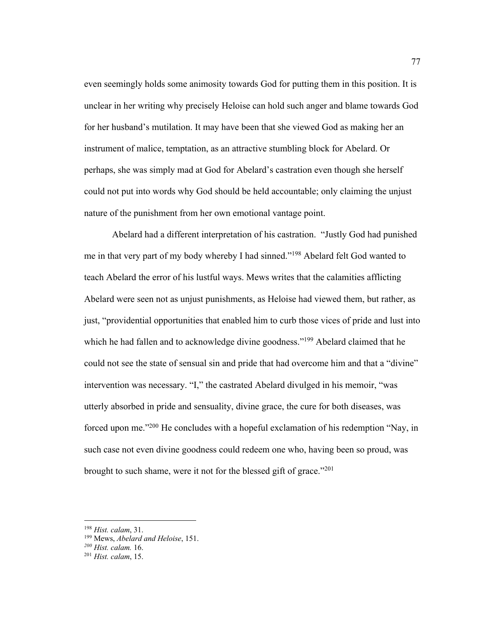even seemingly holds some animosity towards God for putting them in this position. It is unclear in her writing why precisely Heloise can hold such anger and blame towards God for her husband's mutilation. It may have been that she viewed God as making her an instrument of malice, temptation, as an attractive stumbling block for Abelard. Or perhaps, she was simply mad at God for Abelard's castration even though she herself could not put into words why God should be held accountable; only claiming the unjust nature of the punishment from her own emotional vantage point.

Abelard had a different interpretation of his castration. "Justly God had punished me in that very part of my body whereby I had sinned."198 Abelard felt God wanted to teach Abelard the error of his lustful ways. Mews writes that the calamities afflicting Abelard were seen not as unjust punishments, as Heloise had viewed them, but rather, as just, "providential opportunities that enabled him to curb those vices of pride and lust into which he had fallen and to acknowledge divine goodness."<sup>199</sup> Abelard claimed that he could not see the state of sensual sin and pride that had overcome him and that a "divine" intervention was necessary. "I," the castrated Abelard divulged in his memoir, "was utterly absorbed in pride and sensuality, divine grace, the cure for both diseases, was forced upon me."200 He concludes with a hopeful exclamation of his redemption "Nay, in such case not even divine goodness could redeem one who, having been so proud, was brought to such shame, were it not for the blessed gift of grace."<sup>201</sup>

<sup>198</sup> *Hist. calam*, 31.

<sup>199</sup> Mews, *Abelard and Heloise*, 151.

*<sup>200</sup> Hist. calam.* 16.

<sup>201</sup> *Hist. calam*, 15.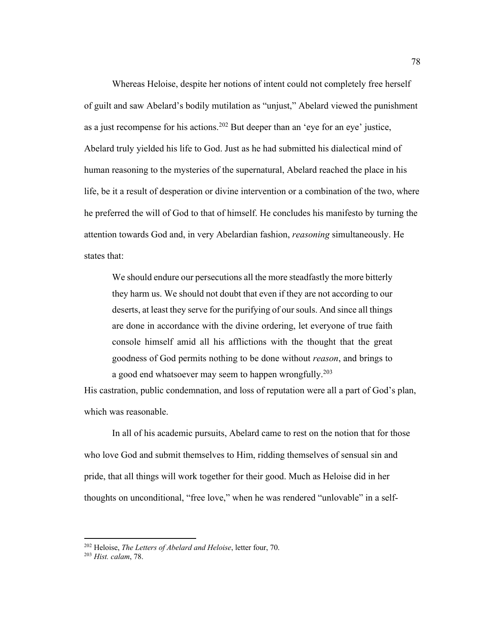Whereas Heloise, despite her notions of intent could not completely free herself of guilt and saw Abelard's bodily mutilation as "unjust," Abelard viewed the punishment as a just recompense for his actions.<sup>202</sup> But deeper than an 'eye for an eye' justice, Abelard truly yielded his life to God. Just as he had submitted his dialectical mind of human reasoning to the mysteries of the supernatural, Abelard reached the place in his life, be it a result of desperation or divine intervention or a combination of the two, where he preferred the will of God to that of himself. He concludes his manifesto by turning the attention towards God and, in very Abelardian fashion, *reasoning* simultaneously. He states that:

We should endure our persecutions all the more steadfastly the more bitterly they harm us. We should not doubt that even if they are not according to our deserts, at least they serve for the purifying of our souls. And since all things are done in accordance with the divine ordering, let everyone of true faith console himself amid all his afflictions with the thought that the great goodness of God permits nothing to be done without *reason*, and brings to a good end whatsoever may seem to happen wrongfully.<sup>203</sup>

His castration, public condemnation, and loss of reputation were all a part of God's plan, which was reasonable.

In all of his academic pursuits, Abelard came to rest on the notion that for those who love God and submit themselves to Him, ridding themselves of sensual sin and pride, that all things will work together for their good. Much as Heloise did in her thoughts on unconditional, "free love," when he was rendered "unlovable" in a self-

<sup>202</sup> Heloise, *The Letters of Abelard and Heloise*, letter four, 70. 203 *Hist. calam*, 78.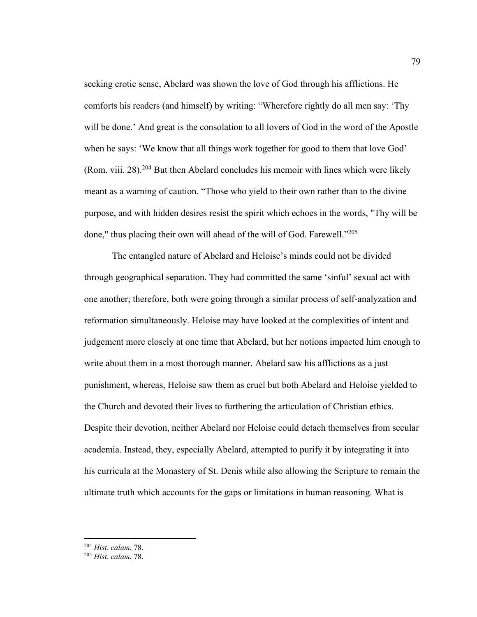seeking erotic sense, Abelard was shown the love of God through his afflictions. He comforts his readers (and himself) by writing: "Wherefore rightly do all men say: 'Thy will be done.' And great is the consolation to all lovers of God in the word of the Apostle when he says: 'We know that all things work together for good to them that love God' (Rom. viii. 28).<sup>204</sup> But then Abelard concludes his memoir with lines which were likely meant as a warning of caution. "Those who yield to their own rather than to the divine purpose, and with hidden desires resist the spirit which echoes in the words, "Thy will be done," thus placing their own will ahead of the will of God. Farewell."<sup>205</sup>

The entangled nature of Abelard and Heloise's minds could not be divided through geographical separation. They had committed the same 'sinful' sexual act with one another; therefore, both were going through a similar process of self-analyzation and reformation simultaneously. Heloise may have looked at the complexities of intent and judgement more closely at one time that Abelard, but her notions impacted him enough to write about them in a most thorough manner. Abelard saw his afflictions as a just punishment, whereas, Heloise saw them as cruel but both Abelard and Heloise yielded to the Church and devoted their lives to furthering the articulation of Christian ethics. Despite their devotion, neither Abelard nor Heloise could detach themselves from secular academia. Instead, they, especially Abelard, attempted to purify it by integrating it into his curricula at the Monastery of St. Denis while also allowing the Scripture to remain the ultimate truth which accounts for the gaps or limitations in human reasoning. What is

<sup>204</sup> *Hist. calam*, 78. 205 *Hist. calam*, 78.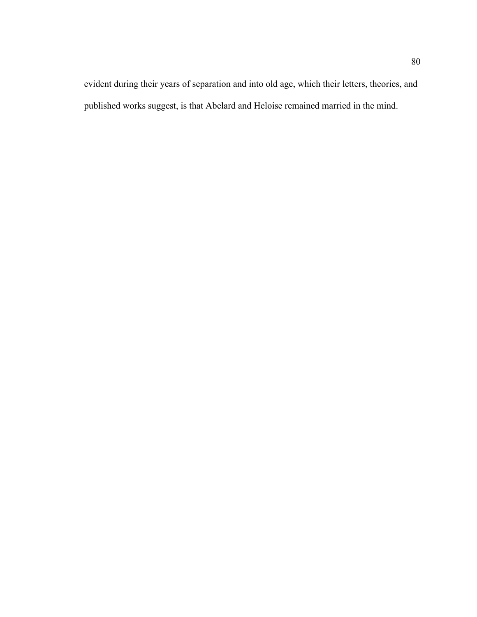evident during their years of separation and into old age, which their letters, theories, and published works suggest, is that Abelard and Heloise remained married in the mind.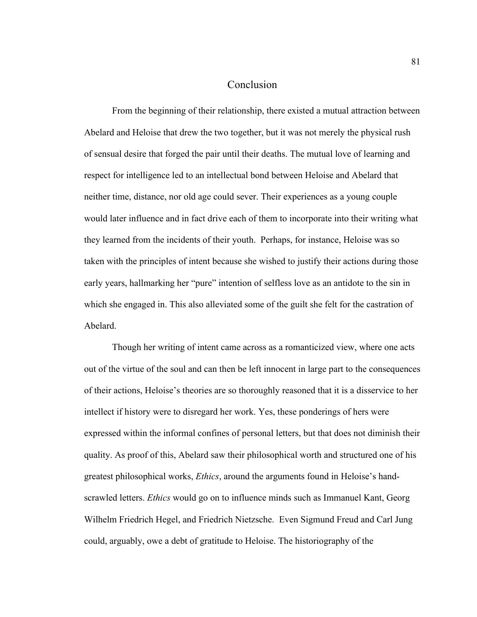## Conclusion

From the beginning of their relationship, there existed a mutual attraction between Abelard and Heloise that drew the two together, but it was not merely the physical rush of sensual desire that forged the pair until their deaths. The mutual love of learning and respect for intelligence led to an intellectual bond between Heloise and Abelard that neither time, distance, nor old age could sever. Their experiences as a young couple would later influence and in fact drive each of them to incorporate into their writing what they learned from the incidents of their youth. Perhaps, for instance, Heloise was so taken with the principles of intent because she wished to justify their actions during those early years, hallmarking her "pure" intention of selfless love as an antidote to the sin in which she engaged in. This also alleviated some of the guilt she felt for the castration of Abelard.

Though her writing of intent came across as a romanticized view, where one acts out of the virtue of the soul and can then be left innocent in large part to the consequences of their actions, Heloise's theories are so thoroughly reasoned that it is a disservice to her intellect if history were to disregard her work. Yes, these ponderings of hers were expressed within the informal confines of personal letters, but that does not diminish their quality. As proof of this, Abelard saw their philosophical worth and structured one of his greatest philosophical works, *Ethics*, around the arguments found in Heloise's handscrawled letters. *Ethics* would go on to influence minds such as Immanuel Kant, Georg Wilhelm Friedrich Hegel, and Friedrich Nietzsche. Even Sigmund Freud and Carl Jung could, arguably, owe a debt of gratitude to Heloise. The historiography of the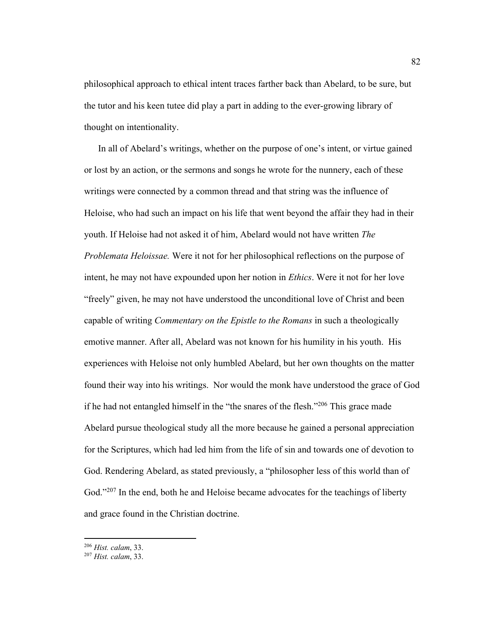philosophical approach to ethical intent traces farther back than Abelard, to be sure, but the tutor and his keen tutee did play a part in adding to the ever-growing library of thought on intentionality.

 In all of Abelard's writings, whether on the purpose of one's intent, or virtue gained or lost by an action, or the sermons and songs he wrote for the nunnery, each of these writings were connected by a common thread and that string was the influence of Heloise, who had such an impact on his life that went beyond the affair they had in their youth. If Heloise had not asked it of him, Abelard would not have written *The Problemata Heloissae.* Were it not for her philosophical reflections on the purpose of intent, he may not have expounded upon her notion in *Ethics*. Were it not for her love "freely" given, he may not have understood the unconditional love of Christ and been capable of writing *Commentary on the Epistle to the Romans* in such a theologically emotive manner. After all, Abelard was not known for his humility in his youth. His experiences with Heloise not only humbled Abelard, but her own thoughts on the matter found their way into his writings. Nor would the monk have understood the grace of God if he had not entangled himself in the "the snares of the flesh."206 This grace made Abelard pursue theological study all the more because he gained a personal appreciation for the Scriptures, which had led him from the life of sin and towards one of devotion to God. Rendering Abelard, as stated previously, a "philosopher less of this world than of God."<sup>207</sup> In the end, both he and Heloise became advocates for the teachings of liberty and grace found in the Christian doctrine.

<sup>206</sup> *Hist. calam*, 33. 207 *Hist. calam*, 33.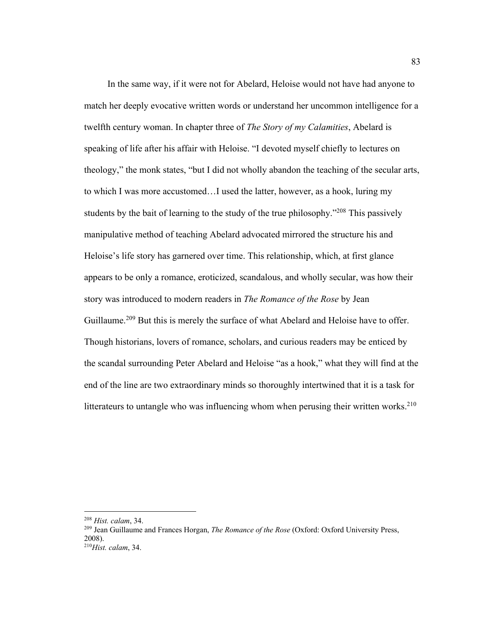In the same way, if it were not for Abelard, Heloise would not have had anyone to match her deeply evocative written words or understand her uncommon intelligence for a twelfth century woman. In chapter three of *The Story of my Calamities*, Abelard is speaking of life after his affair with Heloise. "I devoted myself chiefly to lectures on theology," the monk states, "but I did not wholly abandon the teaching of the secular arts, to which I was more accustomed…I used the latter, however, as a hook, luring my students by the bait of learning to the study of the true philosophy."<sup>208</sup> This passively manipulative method of teaching Abelard advocated mirrored the structure his and Heloise's life story has garnered over time. This relationship, which, at first glance appears to be only a romance, eroticized, scandalous, and wholly secular, was how their story was introduced to modern readers in *The Romance of the Rose* by Jean Guillaume.<sup>209</sup> But this is merely the surface of what Abelard and Heloise have to offer. Though historians, lovers of romance, scholars, and curious readers may be enticed by the scandal surrounding Peter Abelard and Heloise "as a hook," what they will find at the end of the line are two extraordinary minds so thoroughly intertwined that it is a task for litterateurs to untangle who was influencing whom when perusing their written works.<sup>210</sup>

<sup>&</sup>lt;sup>208</sup> *Hist. calam*, 34.<br><sup>209</sup> Jean Guillaume and Frances Horgan, *The Romance of the Rose* (Oxford: Oxford University Press, 2008).

<sup>210</sup>*Hist. calam*, 34.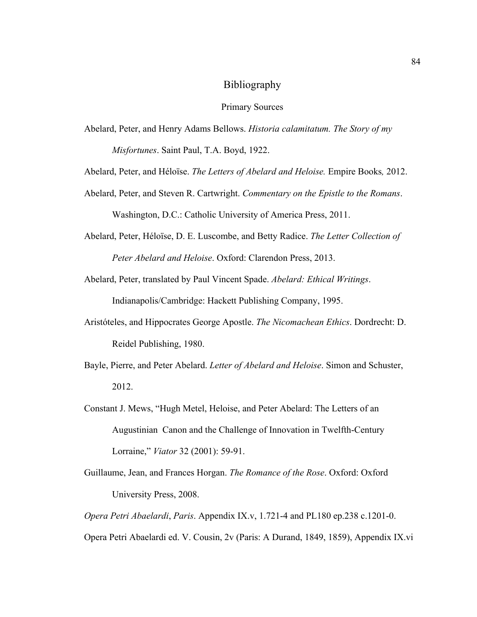## Bibliography

Primary Sources

Abelard, Peter, and Henry Adams Bellows. *Historia calamitatum. The Story of my Misfortunes*. Saint Paul, T.A. Boyd, 1922.

Abelard, Peter, and Héloïse. *The Letters of Abelard and Heloise.* Empire Books*,* 2012.

Abelard, Peter, and Steven R. Cartwright. *Commentary on the Epistle to the Romans*. Washington, D.C.: Catholic University of America Press, 2011.

Abelard, Peter, Héloïse, D. E. Luscombe, and Betty Radice. *The Letter Collection of Peter Abelard and Heloise*. Oxford: Clarendon Press, 2013.

Abelard, Peter, translated by Paul Vincent Spade. *Abelard: Ethical Writings*. Indianapolis/Cambridge: Hackett Publishing Company, 1995.

- Aristóteles, and Hippocrates George Apostle. *The Nicomachean Ethics*. Dordrecht: D. Reidel Publishing, 1980.
- Bayle, Pierre, and Peter Abelard. *Letter of Abelard and Heloise*. Simon and Schuster, 2012.
- Constant J. Mews, "Hugh Metel, Heloise, and Peter Abelard: The Letters of an Augustinian Canon and the Challenge of Innovation in Twelfth-Century Lorraine," *Viator* 32 (2001): 59-91.
- Guillaume, Jean, and Frances Horgan. *The Romance of the Rose*. Oxford: Oxford University Press, 2008.

*Opera Petri Abaelardi*, *Paris*. Appendix IX.v, 1.721-4 and PL180 ep.238 c.1201-0. Opera Petri Abaelardi ed. V. Cousin, 2v (Paris: A Durand, 1849, 1859), Appendix IX.vi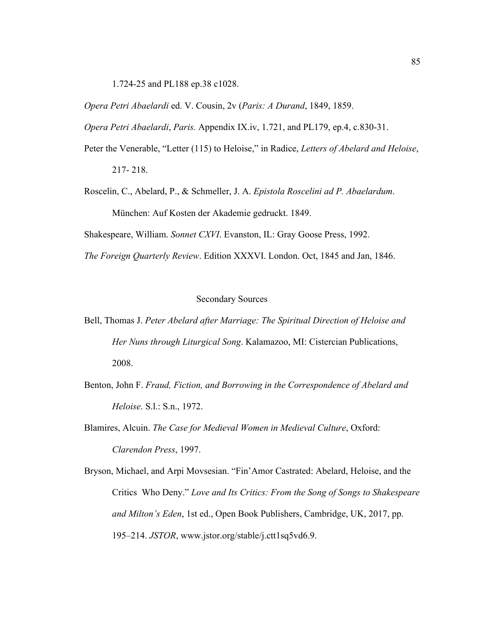1.724-25 and PL188 ep.38 c1028.

*Opera Petri Abaelardi* ed. V. Cousin, 2v (*Paris: A Durand*, 1849, 1859.

*Opera Petri Abaelardi*, *Paris.* Appendix IX.iv, 1.721, and PL179, ep.4, c.830-31.

- Peter the Venerable, "Letter (115) to Heloise," in Radice, *Letters of Abelard and Heloise*, 217- 218.
- Roscelin, C., Abelard, P., & Schmeller, J. A. *Epistola Roscelini ad P. Abaelardum*. München: Auf Kosten der Akademie gedruckt. 1849.

Shakespeare, William. *Sonnet CXVI*. Evanston, IL: Gray Goose Press, 1992.

*The Foreign Quarterly Review*. Edition XXXVI. London. Oct, 1845 and Jan, 1846.

## Secondary Sources

- Bell, Thomas J. *Peter Abelard after Marriage: The Spiritual Direction of Heloise and Her Nuns through Liturgical Song*. Kalamazoo, MI: Cistercian Publications, 2008.
- Benton, John F. *Fraud, Fiction, and Borrowing in the Correspondence of Abelard and Heloise*. S.l.: S.n., 1972.
- Blamires, Alcuin. *The Case for Medieval Women in Medieval Culture*, Oxford: *Clarendon Press*, 1997.
- Bryson, Michael, and Arpi Movsesian. "Fin'Amor Castrated: Abelard, Heloise, and the Critics Who Deny." *Love and Its Critics: From the Song of Songs to Shakespeare and Milton's Eden*, 1st ed., Open Book Publishers, Cambridge, UK, 2017, pp. 195–214. *JSTOR*, www.jstor.org/stable/j.ctt1sq5vd6.9.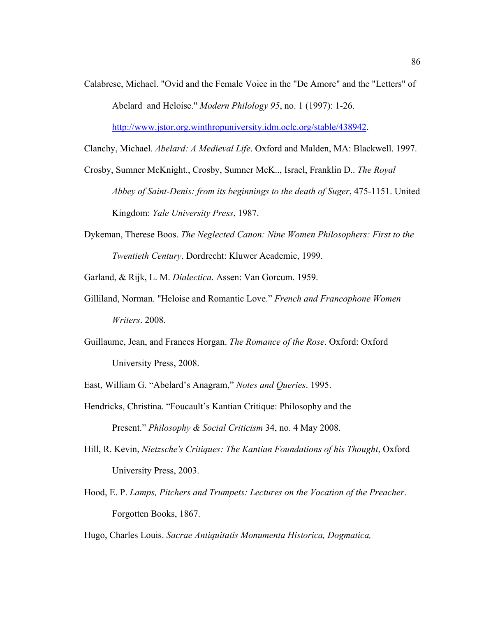Calabrese, Michael. "Ovid and the Female Voice in the "De Amore" and the "Letters" of Abelard and Heloise." *Modern Philology 95*, no. 1 (1997): 1-26.

http://www.jstor.org.winthropuniversity.idm.oclc.org/stable/438942.

Clanchy, Michael. *Abelard: A Medieval Life*. Oxford and Malden, MA: Blackwell. 1997.

- Crosby, Sumner McKnight., Crosby, Sumner McK.., Israel, Franklin D.. *The Royal Abbey of Saint-Denis: from its beginnings to the death of Suger*, 475-1151. United Kingdom: *Yale University Press*, 1987.
- Dykeman, Therese Boos. *The Neglected Canon: Nine Women Philosophers: First to the Twentieth Century*. Dordrecht: Kluwer Academic, 1999.

Garland, & Rijk, L. M. *Dialectica*. Assen: Van Gorcum. 1959.

- Gilliland, Norman. "Heloise and Romantic Love." *French and Francophone Women Writers*. 2008.
- Guillaume, Jean, and Frances Horgan. *The Romance of the Rose*. Oxford: Oxford University Press, 2008.

East, William G. "Abelard's Anagram," *Notes and Queries*. 1995.

- Hendricks, Christina. "Foucault's Kantian Critique: Philosophy and the Present." *Philosophy & Social Criticism* 34, no. 4 May 2008.
- Hill, R. Kevin, *Nietzsche's Critiques: The Kantian Foundations of his Thought*, Oxford University Press, 2003.
- Hood, E. P. *Lamps, Pitchers and Trumpets: Lectures on the Vocation of the Preacher*. Forgotten Books, 1867.

Hugo, Charles Louis. *Sacrae Antiquitatis Monumenta Historica, Dogmatica,*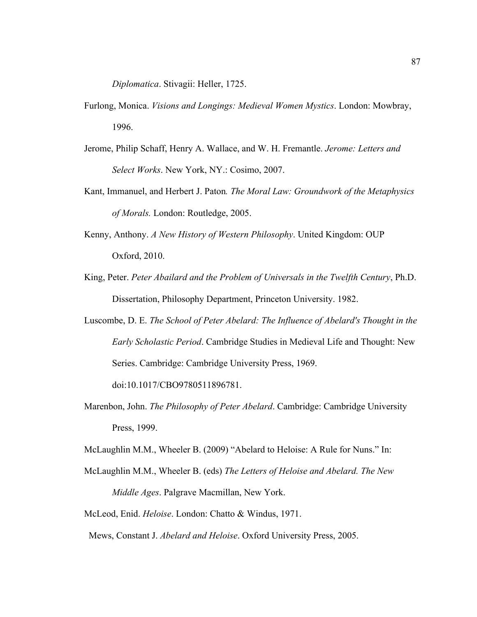*Diplomatica*. Stivagii: Heller, 1725.

- Furlong, Monica. *Visions and Longings: Medieval Women Mystics*. London: Mowbray, 1996.
- Jerome, Philip Schaff, Henry A. Wallace, and W. H. Fremantle. *Jerome: Letters and Select Works*. New York, NY.: Cosimo, 2007.
- Kant, Immanuel, and Herbert J. Paton*. The Moral Law: Groundwork of the Metaphysics of Morals.* London: Routledge, 2005.
- Kenny, Anthony. *A New History of Western Philosophy*. United Kingdom: OUP Oxford, 2010.
- King, Peter. *Peter Abailard and the Problem of Universals in the Twelfth Century*, Ph.D. Dissertation, Philosophy Department, Princeton University. 1982.
- Luscombe, D. E. *The School of Peter Abelard: The Influence of Abelard's Thought in the Early Scholastic Period*. Cambridge Studies in Medieval Life and Thought: New Series. Cambridge: Cambridge University Press, 1969.

doi:10.1017/CBO9780511896781.

Marenbon, John. *The Philosophy of Peter Abelard*. Cambridge: Cambridge University Press, 1999.

McLaughlin M.M., Wheeler B. (2009) "Abelard to Heloise: A Rule for Nuns." In:

McLaughlin M.M., Wheeler B. (eds) *The Letters of Heloise and Abelard. The New Middle Ages*. Palgrave Macmillan, New York.

McLeod, Enid. *Heloise*. London: Chatto & Windus, 1971.

Mews, Constant J. *Abelard and Heloise*. Oxford University Press, 2005.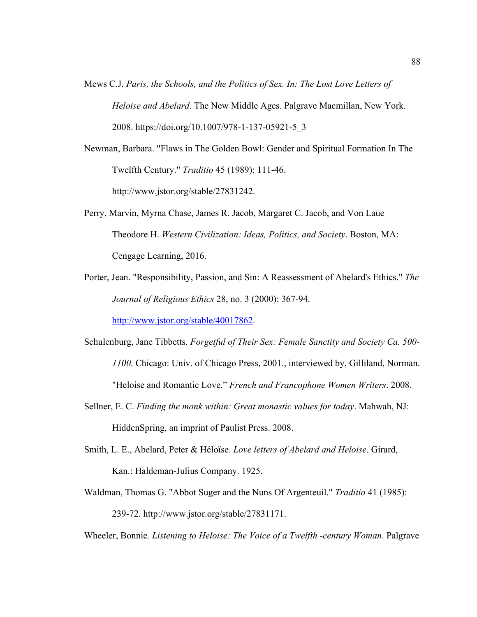- Mews C.J. *Paris, the Schools, and the Politics of Sex. In: The Lost Love Letters of Heloise and Abelard*. The New Middle Ages. Palgrave Macmillan, New York. 2008. https://doi.org/10.1007/978-1-137-05921-5\_3
- Newman, Barbara. "Flaws in The Golden Bowl: Gender and Spiritual Formation In The Twelfth Century." *Traditio* 45 (1989): 111-46. http://www.jstor.org/stable/27831242.

Perry, Marvin, Myrna Chase, James R. Jacob, Margaret C. Jacob, and Von Laue Theodore H. *Western Civilization: Ideas, Politics, and Society*. Boston, MA: Cengage Learning, 2016.

Porter, Jean. "Responsibility, Passion, and Sin: A Reassessment of Abelard's Ethics." *The Journal of Religious Ethics* 28, no. 3 (2000): 367-94.

http://www.jstor.org/stable/40017862.

- Schulenburg, Jane Tibbetts. *Forgetful of Their Sex: Female Sanctity and Society Ca. 500- 1100*. Chicago: Univ. of Chicago Press, 2001., interviewed by, Gilliland, Norman. "Heloise and Romantic Love." *French and Francophone Women Writers*. 2008.
- Sellner, E. C. *Finding the monk within: Great monastic values for today*. Mahwah, NJ: HiddenSpring, an imprint of Paulist Press. 2008.
- Smith, L. E., Abelard, Peter & Héloïse. *Love letters of Abelard and Heloise*. Girard, Kan.: Haldeman-Julius Company. 1925.
- Waldman, Thomas G. "Abbot Suger and the Nuns Of Argenteuil." *Traditio* 41 (1985): 239-72. http://www.jstor.org/stable/27831171.

Wheeler, Bonnie*. Listening to Heloise: The Voice of a Twelfth -century Woman*. Palgrave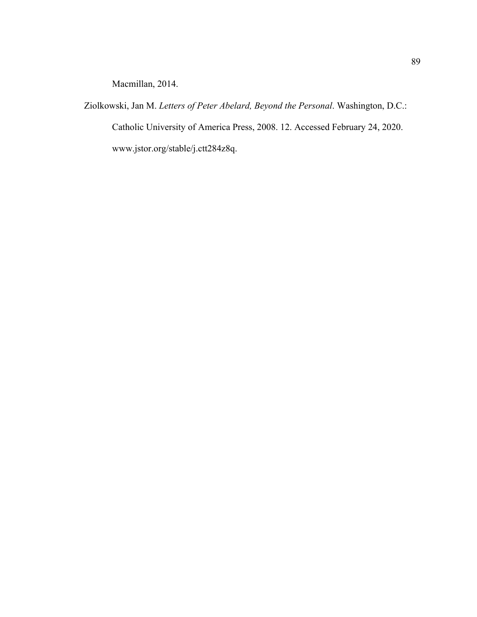Macmillan, 2014.

Ziolkowski, Jan M. *Letters of Peter Abelard, Beyond the Personal*. Washington, D.C.: Catholic University of America Press, 2008. 12. Accessed February 24, 2020. www.jstor.org/stable/j.ctt284z8q.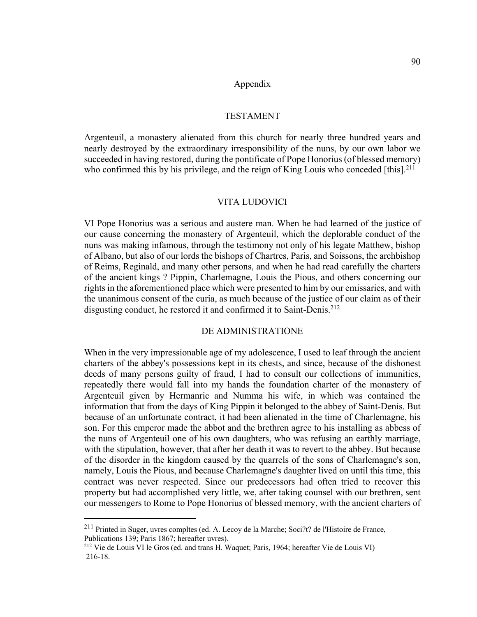#### Appendix

## TESTAMENT

Argenteuil, a monastery alienated from this church for nearly three hundred years and nearly destroyed by the extraordinary irresponsibility of the nuns, by our own labor we succeeded in having restored, during the pontificate of Pope Honorius (of blessed memory) who confirmed this by his privilege, and the reign of King Louis who conceded  $[this]$ <sup>211</sup>

### VITA LUDOVICI

VI Pope Honorius was a serious and austere man. When he had learned of the justice of our cause concerning the monastery of Argenteuil, which the deplorable conduct of the nuns was making infamous, through the testimony not only of his legate Matthew, bishop of Albano, but also of our lords the bishops of Chartres, Paris, and Soissons, the archbishop of Reims, Reginald, and many other persons, and when he had read carefully the charters of the ancient kings ? Pippin, Charlemagne, Louis the Pious, and others concerning our rights in the aforementioned place which were presented to him by our emissaries, and with the unanimous consent of the curia, as much because of the justice of our claim as of their disgusting conduct, he restored it and confirmed it to Saint-Denis.<sup>212</sup>

## DE ADMINISTRATIONE

When in the very impressionable age of my adolescence, I used to leaf through the ancient charters of the abbey's possessions kept in its chests, and since, because of the dishonest deeds of many persons guilty of fraud, I had to consult our collections of immunities, repeatedly there would fall into my hands the foundation charter of the monastery of Argenteuil given by Hermanric and Numma his wife, in which was contained the information that from the days of King Pippin it belonged to the abbey of Saint-Denis. But because of an unfortunate contract, it had been alienated in the time of Charlemagne, his son. For this emperor made the abbot and the brethren agree to his installing as abbess of the nuns of Argenteuil one of his own daughters, who was refusing an earthly marriage, with the stipulation, however, that after her death it was to revert to the abbey. But because of the disorder in the kingdom caused by the quarrels of the sons of Charlemagne's son, namely, Louis the Pious, and because Charlemagne's daughter lived on until this time, this contract was never respected. Since our predecessors had often tried to recover this property but had accomplished very little, we, after taking counsel with our brethren, sent our messengers to Rome to Pope Honorius of blessed memory, with the ancient charters of

 $^{211}$  Printed in Suger, uvres compltes (ed. A. Lecoy de la Marche; Soci?t? de l'Histoire de France, Publications 139; Paris 1867; hereafter uvres).

<sup>&</sup>lt;sup>212</sup> Vie de Louis VI le Gros (ed. and trans H. Waquet; Paris, 1964; hereafter Vie de Louis VI) 216-18.